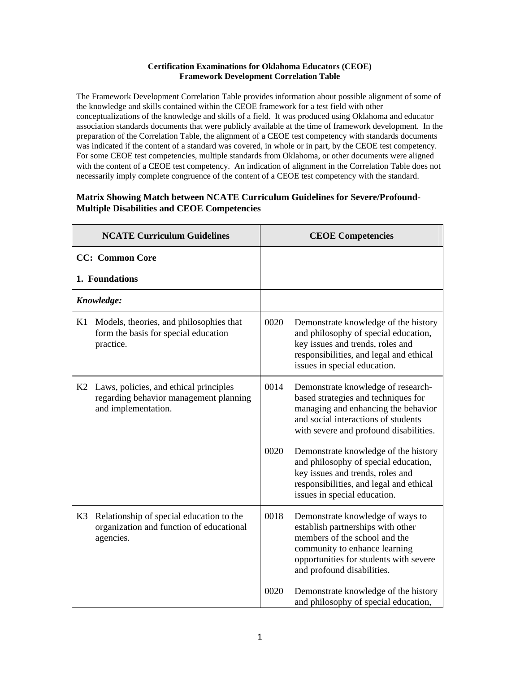## **Certification Examinations for Oklahoma Educators (CEOE) Framework Development Correlation Table**

The Framework Development Correlation Table provides information about possible alignment of some of the knowledge and skills contained within the CEOE framework for a test field with other conceptualizations of the knowledge and skills of a field. It was produced using Oklahoma and educator association standards documents that were publicly available at the time of framework development. In the preparation of the Correlation Table, the alignment of a CEOE test competency with standards documents was indicated if the content of a standard was covered, in whole or in part, by the CEOE test competency. For some CEOE test competencies, multiple standards from Oklahoma, or other documents were aligned with the content of a CEOE test competency. An indication of alignment in the Correlation Table does not necessarily imply complete congruence of the content of a CEOE test competency with the standard.

## **Matrix Showing Match between NCATE Curriculum Guidelines for Severe/Profound-Multiple Disabilities and CEOE Competencies**

| <b>NCATE Curriculum Guidelines</b> |                                                                                                         |      | <b>CEOE Competencies</b>                                                                                                                                                                                        |
|------------------------------------|---------------------------------------------------------------------------------------------------------|------|-----------------------------------------------------------------------------------------------------------------------------------------------------------------------------------------------------------------|
|                                    | <b>CC:</b> Common Core                                                                                  |      |                                                                                                                                                                                                                 |
|                                    | 1. Foundations                                                                                          |      |                                                                                                                                                                                                                 |
|                                    | Knowledge:                                                                                              |      |                                                                                                                                                                                                                 |
| K1                                 | Models, theories, and philosophies that<br>form the basis for special education<br>practice.            | 0020 | Demonstrate knowledge of the history<br>and philosophy of special education,<br>key issues and trends, roles and<br>responsibilities, and legal and ethical<br>issues in special education.                     |
| K2                                 | Laws, policies, and ethical principles<br>regarding behavior management planning<br>and implementation. | 0014 | Demonstrate knowledge of research-<br>based strategies and techniques for<br>managing and enhancing the behavior<br>and social interactions of students<br>with severe and profound disabilities.               |
|                                    |                                                                                                         | 0020 | Demonstrate knowledge of the history<br>and philosophy of special education,<br>key issues and trends, roles and<br>responsibilities, and legal and ethical<br>issues in special education.                     |
| K3                                 | Relationship of special education to the<br>organization and function of educational<br>agencies.       | 0018 | Demonstrate knowledge of ways to<br>establish partnerships with other<br>members of the school and the<br>community to enhance learning<br>opportunities for students with severe<br>and profound disabilities. |
|                                    |                                                                                                         | 0020 | Demonstrate knowledge of the history<br>and philosophy of special education,                                                                                                                                    |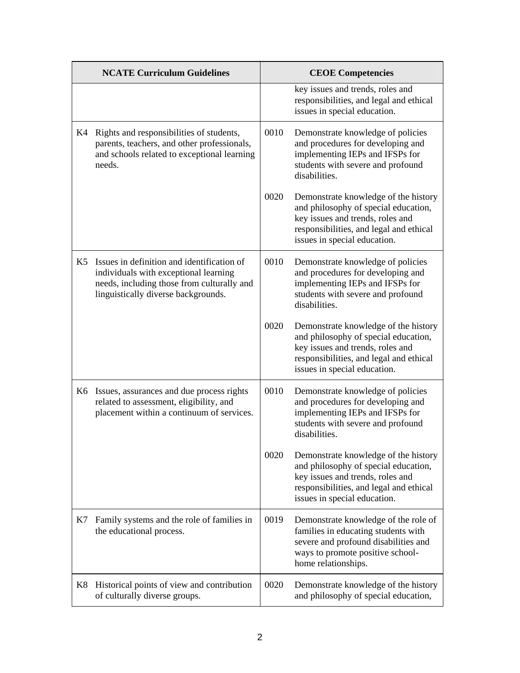|    | <b>NCATE Curriculum Guidelines</b>                                                                                                                                       |      | <b>CEOE Competencies</b>                                                                                                                                                                    |
|----|--------------------------------------------------------------------------------------------------------------------------------------------------------------------------|------|---------------------------------------------------------------------------------------------------------------------------------------------------------------------------------------------|
|    |                                                                                                                                                                          |      | key issues and trends, roles and<br>responsibilities, and legal and ethical<br>issues in special education.                                                                                 |
| K4 | Rights and responsibilities of students,<br>parents, teachers, and other professionals,<br>and schools related to exceptional learning<br>needs.                         | 0010 | Demonstrate knowledge of policies<br>and procedures for developing and<br>implementing IEPs and IFSPs for<br>students with severe and profound<br>disabilities.                             |
|    |                                                                                                                                                                          | 0020 | Demonstrate knowledge of the history<br>and philosophy of special education,<br>key issues and trends, roles and<br>responsibilities, and legal and ethical<br>issues in special education. |
| K5 | Issues in definition and identification of<br>individuals with exceptional learning<br>needs, including those from culturally and<br>linguistically diverse backgrounds. | 0010 | Demonstrate knowledge of policies<br>and procedures for developing and<br>implementing IEPs and IFSPs for<br>students with severe and profound<br>disabilities.                             |
|    |                                                                                                                                                                          | 0020 | Demonstrate knowledge of the history<br>and philosophy of special education,<br>key issues and trends, roles and<br>responsibilities, and legal and ethical<br>issues in special education. |
|    | K6 Issues, assurances and due process rights<br>related to assessment, eligibility, and<br>placement within a continuum of services.                                     | 0010 | Demonstrate knowledge of policies<br>and procedures for developing and<br>implementing IEPs and IFSPs for<br>students with severe and profound<br>disabilities.                             |
|    |                                                                                                                                                                          | 0020 | Demonstrate knowledge of the history<br>and philosophy of special education,<br>key issues and trends, roles and<br>responsibilities, and legal and ethical<br>issues in special education. |
| K7 | Family systems and the role of families in<br>the educational process.                                                                                                   | 0019 | Demonstrate knowledge of the role of<br>families in educating students with<br>severe and profound disabilities and<br>ways to promote positive school-<br>home relationships.              |
| K8 | Historical points of view and contribution<br>of culturally diverse groups.                                                                                              | 0020 | Demonstrate knowledge of the history<br>and philosophy of special education,                                                                                                                |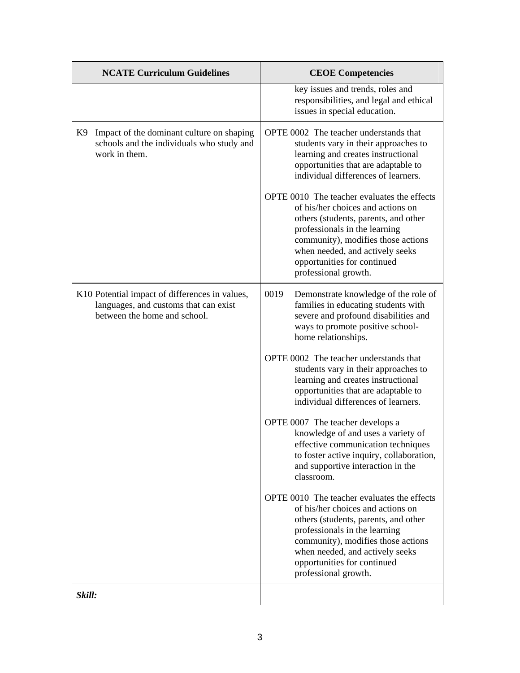| <b>NCATE Curriculum Guidelines</b>                                                                                      | <b>CEOE Competencies</b>                                                                                                                                                                                                                                                                  |
|-------------------------------------------------------------------------------------------------------------------------|-------------------------------------------------------------------------------------------------------------------------------------------------------------------------------------------------------------------------------------------------------------------------------------------|
|                                                                                                                         | key issues and trends, roles and<br>responsibilities, and legal and ethical<br>issues in special education.                                                                                                                                                                               |
| K9 Impact of the dominant culture on shaping<br>schools and the individuals who study and<br>work in them.              | OPTE 0002 The teacher understands that<br>students vary in their approaches to<br>learning and creates instructional<br>opportunities that are adaptable to<br>individual differences of learners.                                                                                        |
|                                                                                                                         | OPTE 0010 The teacher evaluates the effects<br>of his/her choices and actions on<br>others (students, parents, and other<br>professionals in the learning<br>community), modifies those actions<br>when needed, and actively seeks<br>opportunities for continued<br>professional growth. |
| K10 Potential impact of differences in values,<br>languages, and customs that can exist<br>between the home and school. | 0019<br>Demonstrate knowledge of the role of<br>families in educating students with<br>severe and profound disabilities and<br>ways to promote positive school-<br>home relationships.                                                                                                    |
|                                                                                                                         | OPTE 0002 The teacher understands that<br>students vary in their approaches to<br>learning and creates instructional<br>opportunities that are adaptable to<br>individual differences of learners.                                                                                        |
|                                                                                                                         | OPTE 0007 The teacher develops a<br>knowledge of and uses a variety of<br>effective communication techniques<br>to foster active inquiry, collaboration,<br>and supportive interaction in the<br>classroom.                                                                               |
|                                                                                                                         | OPTE 0010 The teacher evaluates the effects<br>of his/her choices and actions on<br>others (students, parents, and other<br>professionals in the learning<br>community), modifies those actions<br>when needed, and actively seeks<br>opportunities for continued<br>professional growth. |
| Skill:                                                                                                                  |                                                                                                                                                                                                                                                                                           |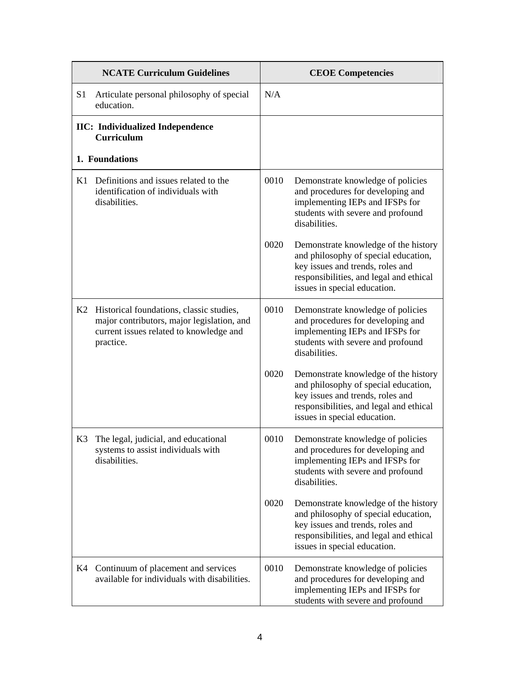|                | <b>NCATE Curriculum Guidelines</b>                                                                                                             |      | <b>CEOE Competencies</b>                                                                                                                                                                    |  |
|----------------|------------------------------------------------------------------------------------------------------------------------------------------------|------|---------------------------------------------------------------------------------------------------------------------------------------------------------------------------------------------|--|
| S <sub>1</sub> | Articulate personal philosophy of special<br>education.                                                                                        | N/A  |                                                                                                                                                                                             |  |
|                | <b>IIC:</b> Individualized Independence<br>Curriculum                                                                                          |      |                                                                                                                                                                                             |  |
|                | 1. Foundations                                                                                                                                 |      |                                                                                                                                                                                             |  |
| K1             | Definitions and issues related to the<br>identification of individuals with<br>disabilities.                                                   | 0010 | Demonstrate knowledge of policies<br>and procedures for developing and<br>implementing IEPs and IFSPs for<br>students with severe and profound<br>disabilities.                             |  |
|                |                                                                                                                                                | 0020 | Demonstrate knowledge of the history<br>and philosophy of special education,<br>key issues and trends, roles and<br>responsibilities, and legal and ethical<br>issues in special education. |  |
| K2             | Historical foundations, classic studies,<br>major contributors, major legislation, and<br>current issues related to knowledge and<br>practice. | 0010 | Demonstrate knowledge of policies<br>and procedures for developing and<br>implementing IEPs and IFSPs for<br>students with severe and profound<br>disabilities.                             |  |
|                |                                                                                                                                                | 0020 | Demonstrate knowledge of the history<br>and philosophy of special education,<br>key issues and trends, roles and<br>responsibilities, and legal and ethical<br>issues in special education. |  |
| K3             | The legal, judicial, and educational<br>systems to assist individuals with<br>disabilities.                                                    | 0010 | Demonstrate knowledge of policies<br>and procedures for developing and<br>implementing IEPs and IFSPs for<br>students with severe and profound<br>disabilities.                             |  |
|                |                                                                                                                                                | 0020 | Demonstrate knowledge of the history<br>and philosophy of special education,<br>key issues and trends, roles and<br>responsibilities, and legal and ethical<br>issues in special education. |  |
| K4             | Continuum of placement and services<br>available for individuals with disabilities.                                                            | 0010 | Demonstrate knowledge of policies<br>and procedures for developing and<br>implementing IEPs and IFSPs for<br>students with severe and profound                                              |  |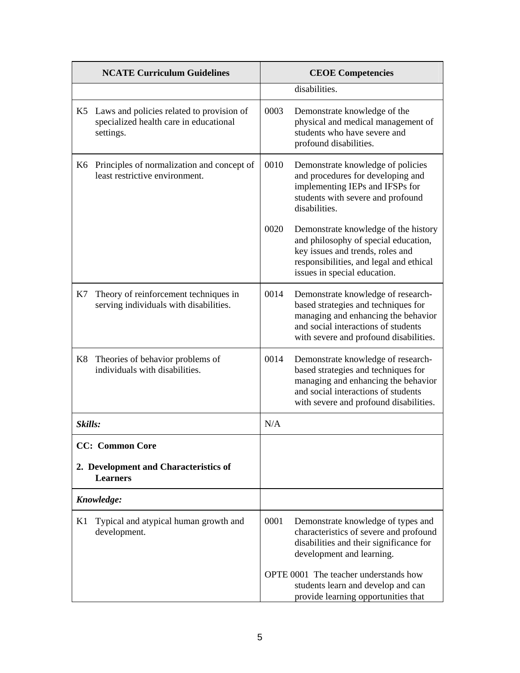|            | <b>NCATE Curriculum Guidelines</b>                                                                  |      | <b>CEOE Competencies</b>                                                                                                                                                                          |  |
|------------|-----------------------------------------------------------------------------------------------------|------|---------------------------------------------------------------------------------------------------------------------------------------------------------------------------------------------------|--|
|            |                                                                                                     |      | disabilities.                                                                                                                                                                                     |  |
|            | K5 Laws and policies related to provision of<br>specialized health care in educational<br>settings. | 0003 | Demonstrate knowledge of the<br>physical and medical management of<br>students who have severe and<br>profound disabilities.                                                                      |  |
|            | K6 Principles of normalization and concept of<br>least restrictive environment.                     | 0010 | Demonstrate knowledge of policies<br>and procedures for developing and<br>implementing IEPs and IFSPs for<br>students with severe and profound<br>disabilities.                                   |  |
|            |                                                                                                     | 0020 | Demonstrate knowledge of the history<br>and philosophy of special education,<br>key issues and trends, roles and<br>responsibilities, and legal and ethical<br>issues in special education.       |  |
| K7         | Theory of reinforcement techniques in<br>serving individuals with disabilities.                     | 0014 | Demonstrate knowledge of research-<br>based strategies and techniques for<br>managing and enhancing the behavior<br>and social interactions of students<br>with severe and profound disabilities. |  |
| K8         | Theories of behavior problems of<br>individuals with disabilities.                                  | 0014 | Demonstrate knowledge of research-<br>based strategies and techniques for<br>managing and enhancing the behavior<br>and social interactions of students<br>with severe and profound disabilities. |  |
| Skills:    |                                                                                                     | N/A  |                                                                                                                                                                                                   |  |
|            | <b>CC:</b> Common Core                                                                              |      |                                                                                                                                                                                                   |  |
|            | 2. Development and Characteristics of<br><b>Learners</b>                                            |      |                                                                                                                                                                                                   |  |
| Knowledge: |                                                                                                     |      |                                                                                                                                                                                                   |  |
| K1         | Typical and atypical human growth and<br>development.                                               | 0001 | Demonstrate knowledge of types and<br>characteristics of severe and profound<br>disabilities and their significance for<br>development and learning.                                              |  |
|            |                                                                                                     |      | OPTE 0001 The teacher understands how<br>students learn and develop and can<br>provide learning opportunities that                                                                                |  |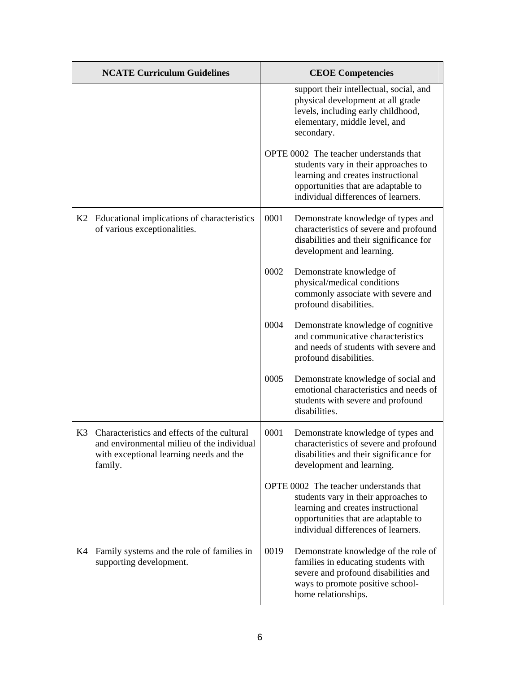|    | <b>NCATE Curriculum Guidelines</b>                                                                                                                 | <b>CEOE Competencies</b> |                                                                                                                                                                                                    |
|----|----------------------------------------------------------------------------------------------------------------------------------------------------|--------------------------|----------------------------------------------------------------------------------------------------------------------------------------------------------------------------------------------------|
|    |                                                                                                                                                    |                          | support their intellectual, social, and<br>physical development at all grade<br>levels, including early childhood,<br>elementary, middle level, and<br>secondary.                                  |
|    |                                                                                                                                                    |                          | OPTE 0002 The teacher understands that<br>students vary in their approaches to<br>learning and creates instructional<br>opportunities that are adaptable to<br>individual differences of learners. |
|    | K2 Educational implications of characteristics<br>of various exceptionalities.                                                                     | 0001                     | Demonstrate knowledge of types and<br>characteristics of severe and profound<br>disabilities and their significance for<br>development and learning.                                               |
|    |                                                                                                                                                    | 0002                     | Demonstrate knowledge of<br>physical/medical conditions<br>commonly associate with severe and<br>profound disabilities.                                                                            |
|    |                                                                                                                                                    | 0004                     | Demonstrate knowledge of cognitive<br>and communicative characteristics<br>and needs of students with severe and<br>profound disabilities.                                                         |
|    |                                                                                                                                                    | 0005                     | Demonstrate knowledge of social and<br>emotional characteristics and needs of<br>students with severe and profound<br>disabilities.                                                                |
|    | K3 Characteristics and effects of the cultural<br>and environmental milieu of the individual<br>with exceptional learning needs and the<br>family. | 0001                     | Demonstrate knowledge of types and<br>characteristics of severe and profound<br>disabilities and their significance for<br>development and learning.                                               |
|    |                                                                                                                                                    |                          | OPTE 0002 The teacher understands that<br>students vary in their approaches to<br>learning and creates instructional<br>opportunities that are adaptable to<br>individual differences of learners. |
| K4 | Family systems and the role of families in<br>supporting development.                                                                              | 0019                     | Demonstrate knowledge of the role of<br>families in educating students with<br>severe and profound disabilities and<br>ways to promote positive school-<br>home relationships.                     |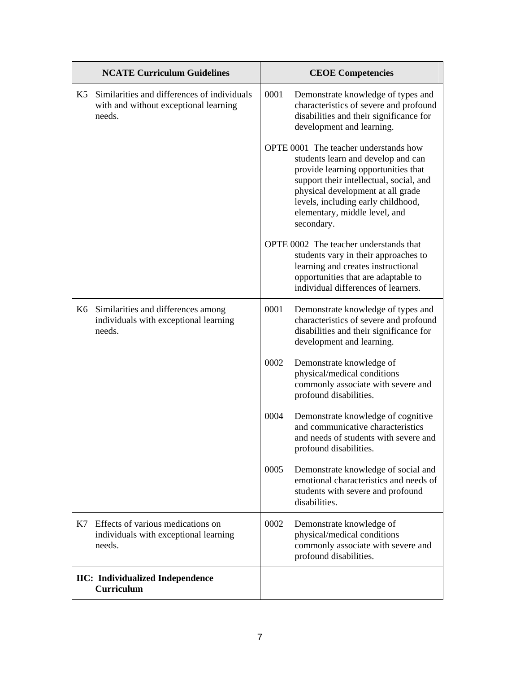| <b>NCATE Curriculum Guidelines</b> |                                                                                                | <b>CEOE Competencies</b> |                                                                                                                                                                                                                                                                                         |
|------------------------------------|------------------------------------------------------------------------------------------------|--------------------------|-----------------------------------------------------------------------------------------------------------------------------------------------------------------------------------------------------------------------------------------------------------------------------------------|
| K <sub>5</sub>                     | Similarities and differences of individuals<br>with and without exceptional learning<br>needs. | 0001                     | Demonstrate knowledge of types and<br>characteristics of severe and profound<br>disabilities and their significance for<br>development and learning.                                                                                                                                    |
|                                    |                                                                                                |                          | OPTE 0001 The teacher understands how<br>students learn and develop and can<br>provide learning opportunities that<br>support their intellectual, social, and<br>physical development at all grade<br>levels, including early childhood,<br>elementary, middle level, and<br>secondary. |
|                                    |                                                                                                |                          | OPTE 0002 The teacher understands that<br>students vary in their approaches to<br>learning and creates instructional<br>opportunities that are adaptable to<br>individual differences of learners.                                                                                      |
| K6                                 | Similarities and differences among<br>individuals with exceptional learning<br>needs.          | 0001                     | Demonstrate knowledge of types and<br>characteristics of severe and profound<br>disabilities and their significance for<br>development and learning.                                                                                                                                    |
|                                    |                                                                                                | 0002                     | Demonstrate knowledge of<br>physical/medical conditions<br>commonly associate with severe and<br>profound disabilities.                                                                                                                                                                 |
|                                    |                                                                                                | 0004                     | Demonstrate knowledge of cognitive<br>and communicative characteristics<br>and needs of students with severe and<br>profound disabilities.                                                                                                                                              |
|                                    |                                                                                                | 0005                     | Demonstrate knowledge of social and<br>emotional characteristics and needs of<br>students with severe and profound<br>disabilities.                                                                                                                                                     |
| K7                                 | Effects of various medications on<br>individuals with exceptional learning<br>needs.           | 0002                     | Demonstrate knowledge of<br>physical/medical conditions<br>commonly associate with severe and<br>profound disabilities.                                                                                                                                                                 |
|                                    | <b>IIC:</b> Individualized Independence<br>Curriculum                                          |                          |                                                                                                                                                                                                                                                                                         |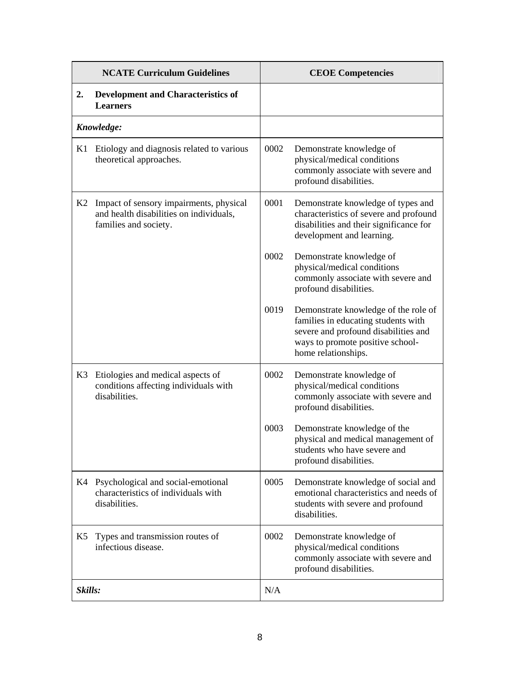| <b>NCATE Curriculum Guidelines</b> |                                                                                                             | <b>CEOE Competencies</b> |                                                                                                                                                                                |
|------------------------------------|-------------------------------------------------------------------------------------------------------------|--------------------------|--------------------------------------------------------------------------------------------------------------------------------------------------------------------------------|
| 2.                                 | <b>Development and Characteristics of</b><br><b>Learners</b>                                                |                          |                                                                                                                                                                                |
|                                    | Knowledge:                                                                                                  |                          |                                                                                                                                                                                |
| K1                                 | Etiology and diagnosis related to various<br>theoretical approaches.                                        | 0002                     | Demonstrate knowledge of<br>physical/medical conditions<br>commonly associate with severe and<br>profound disabilities.                                                        |
| K2                                 | Impact of sensory impairments, physical<br>and health disabilities on individuals,<br>families and society. | 0001                     | Demonstrate knowledge of types and<br>characteristics of severe and profound<br>disabilities and their significance for<br>development and learning.                           |
|                                    |                                                                                                             | 0002                     | Demonstrate knowledge of<br>physical/medical conditions<br>commonly associate with severe and<br>profound disabilities.                                                        |
|                                    |                                                                                                             | 0019                     | Demonstrate knowledge of the role of<br>families in educating students with<br>severe and profound disabilities and<br>ways to promote positive school-<br>home relationships. |
| K3                                 | Etiologies and medical aspects of<br>conditions affecting individuals with<br>disabilities.                 | 0002                     | Demonstrate knowledge of<br>physical/medical conditions<br>commonly associate with severe and<br>profound disabilities.                                                        |
|                                    |                                                                                                             | 0003                     | Demonstrate knowledge of the<br>physical and medical management of<br>students who have severe and<br>profound disabilities.                                                   |
|                                    | K4 Psychological and social-emotional<br>characteristics of individuals with<br>disabilities.               | 0005                     | Demonstrate knowledge of social and<br>emotional characteristics and needs of<br>students with severe and profound<br>disabilities.                                            |
| K5                                 | Types and transmission routes of<br>infectious disease.                                                     | 0002                     | Demonstrate knowledge of<br>physical/medical conditions<br>commonly associate with severe and<br>profound disabilities.                                                        |
| Skills:                            |                                                                                                             | N/A                      |                                                                                                                                                                                |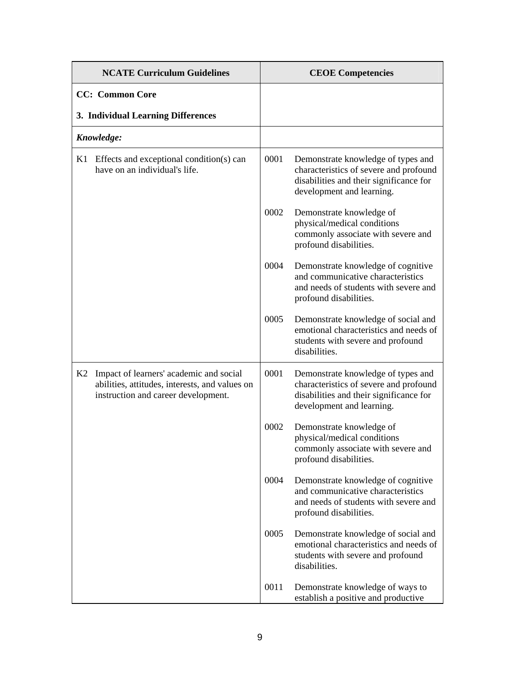| <b>NCATE Curriculum Guidelines</b> |                                                                                                                                  | <b>CEOE Competencies</b> |                                                                                                                                                      |
|------------------------------------|----------------------------------------------------------------------------------------------------------------------------------|--------------------------|------------------------------------------------------------------------------------------------------------------------------------------------------|
|                                    | <b>CC:</b> Common Core                                                                                                           |                          |                                                                                                                                                      |
|                                    | 3. Individual Learning Differences                                                                                               |                          |                                                                                                                                                      |
|                                    | Knowledge:                                                                                                                       |                          |                                                                                                                                                      |
| K1                                 | Effects and exceptional condition(s) can<br>have on an individual's life.                                                        | 0001                     | Demonstrate knowledge of types and<br>characteristics of severe and profound<br>disabilities and their significance for<br>development and learning. |
|                                    |                                                                                                                                  | 0002                     | Demonstrate knowledge of<br>physical/medical conditions<br>commonly associate with severe and<br>profound disabilities.                              |
|                                    |                                                                                                                                  | 0004                     | Demonstrate knowledge of cognitive<br>and communicative characteristics<br>and needs of students with severe and<br>profound disabilities.           |
|                                    |                                                                                                                                  | 0005                     | Demonstrate knowledge of social and<br>emotional characteristics and needs of<br>students with severe and profound<br>disabilities.                  |
| K2                                 | Impact of learners' academic and social<br>abilities, attitudes, interests, and values on<br>instruction and career development. | 0001                     | Demonstrate knowledge of types and<br>characteristics of severe and profound<br>disabilities and their significance for<br>development and learning. |
|                                    |                                                                                                                                  | 0002                     | Demonstrate knowledge of<br>physical/medical conditions<br>commonly associate with severe and<br>profound disabilities.                              |
|                                    |                                                                                                                                  | 0004                     | Demonstrate knowledge of cognitive<br>and communicative characteristics<br>and needs of students with severe and<br>profound disabilities.           |
|                                    |                                                                                                                                  | 0005                     | Demonstrate knowledge of social and<br>emotional characteristics and needs of<br>students with severe and profound<br>disabilities.                  |
|                                    |                                                                                                                                  | 0011                     | Demonstrate knowledge of ways to<br>establish a positive and productive                                                                              |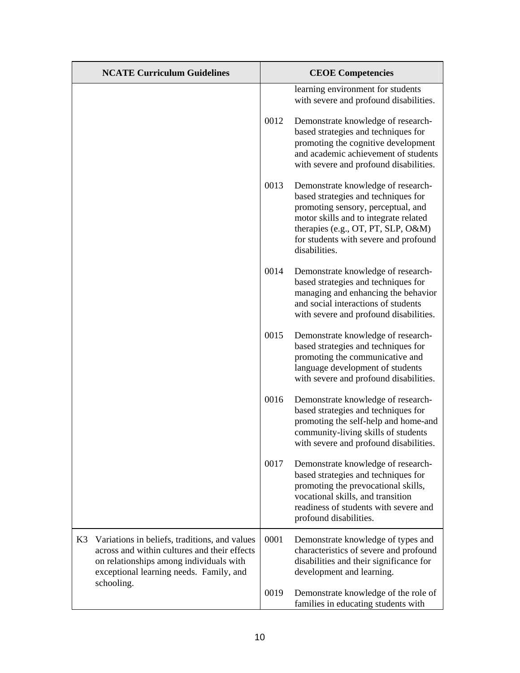| <b>NCATE Curriculum Guidelines</b>                                                                                                                                                                      | <b>CEOE</b> Competencies |                                                                                                                                                                                                                                                          |
|---------------------------------------------------------------------------------------------------------------------------------------------------------------------------------------------------------|--------------------------|----------------------------------------------------------------------------------------------------------------------------------------------------------------------------------------------------------------------------------------------------------|
|                                                                                                                                                                                                         |                          | learning environment for students<br>with severe and profound disabilities.                                                                                                                                                                              |
|                                                                                                                                                                                                         | 0012                     | Demonstrate knowledge of research-<br>based strategies and techniques for<br>promoting the cognitive development<br>and academic achievement of students<br>with severe and profound disabilities.                                                       |
|                                                                                                                                                                                                         | 0013                     | Demonstrate knowledge of research-<br>based strategies and techniques for<br>promoting sensory, perceptual, and<br>motor skills and to integrate related<br>therapies (e.g., OT, PT, SLP, O&M)<br>for students with severe and profound<br>disabilities. |
|                                                                                                                                                                                                         | 0014                     | Demonstrate knowledge of research-<br>based strategies and techniques for<br>managing and enhancing the behavior<br>and social interactions of students<br>with severe and profound disabilities.                                                        |
|                                                                                                                                                                                                         | 0015                     | Demonstrate knowledge of research-<br>based strategies and techniques for<br>promoting the communicative and<br>language development of students<br>with severe and profound disabilities.                                                               |
|                                                                                                                                                                                                         | 0016                     | Demonstrate knowledge of research-<br>based strategies and techniques for<br>promoting the self-help and home-and<br>community-living skills of students<br>with severe and profound disabilities.                                                       |
|                                                                                                                                                                                                         | 0017                     | Demonstrate knowledge of research-<br>based strategies and techniques for<br>promoting the prevocational skills,<br>vocational skills, and transition<br>readiness of students with severe and<br>profound disabilities.                                 |
| K3<br>Variations in beliefs, traditions, and values<br>across and within cultures and their effects<br>on relationships among individuals with<br>exceptional learning needs. Family, and<br>schooling. | 0001                     | Demonstrate knowledge of types and<br>characteristics of severe and profound<br>disabilities and their significance for<br>development and learning.                                                                                                     |
|                                                                                                                                                                                                         | 0019                     | Demonstrate knowledge of the role of<br>families in educating students with                                                                                                                                                                              |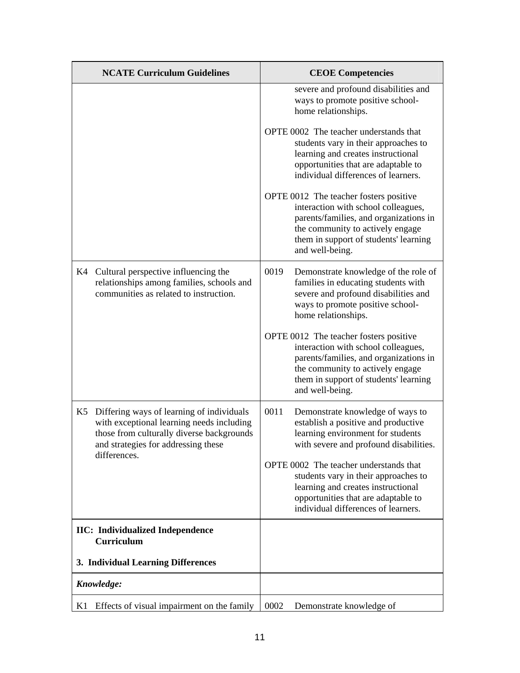| <b>NCATE Curriculum Guidelines</b>                                                                                                                                               | <b>CEOE Competencies</b>                                                                                                                                                                                                |
|----------------------------------------------------------------------------------------------------------------------------------------------------------------------------------|-------------------------------------------------------------------------------------------------------------------------------------------------------------------------------------------------------------------------|
|                                                                                                                                                                                  | severe and profound disabilities and<br>ways to promote positive school-<br>home relationships.                                                                                                                         |
|                                                                                                                                                                                  | OPTE 0002 The teacher understands that<br>students vary in their approaches to<br>learning and creates instructional<br>opportunities that are adaptable to<br>individual differences of learners.                      |
|                                                                                                                                                                                  | OPTE 0012 The teacher fosters positive<br>interaction with school colleagues,<br>parents/families, and organizations in<br>the community to actively engage<br>them in support of students' learning<br>and well-being. |
| Cultural perspective influencing the<br>K4<br>relationships among families, schools and<br>communities as related to instruction.                                                | 0019<br>Demonstrate knowledge of the role of<br>families in educating students with<br>severe and profound disabilities and<br>ways to promote positive school-<br>home relationships.                                  |
|                                                                                                                                                                                  | OPTE 0012 The teacher fosters positive<br>interaction with school colleagues,<br>parents/families, and organizations in<br>the community to actively engage<br>them in support of students' learning<br>and well-being. |
| Differing ways of learning of individuals<br>K5<br>with exceptional learning needs including<br>those from culturally diverse backgrounds<br>and strategies for addressing these | 0011<br>Demonstrate knowledge of ways to<br>establish a positive and productive<br>learning environment for students<br>with severe and profound disabilities.                                                          |
| differences.                                                                                                                                                                     | OPTE 0002 The teacher understands that<br>students vary in their approaches to<br>learning and creates instructional<br>opportunities that are adaptable to<br>individual differences of learners.                      |
| <b>IIC:</b> Individualized Independence<br>Curriculum                                                                                                                            |                                                                                                                                                                                                                         |
| 3. Individual Learning Differences                                                                                                                                               |                                                                                                                                                                                                                         |
| Knowledge:                                                                                                                                                                       |                                                                                                                                                                                                                         |
| K1<br>Effects of visual impairment on the family                                                                                                                                 | 0002<br>Demonstrate knowledge of                                                                                                                                                                                        |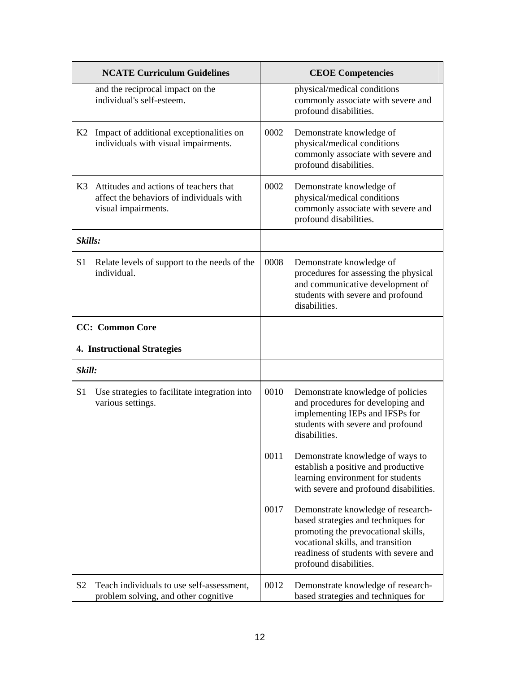|                | <b>NCATE Curriculum Guidelines</b>                                                                        |      | <b>CEOE Competencies</b>                                                                                                                                                                                                 |
|----------------|-----------------------------------------------------------------------------------------------------------|------|--------------------------------------------------------------------------------------------------------------------------------------------------------------------------------------------------------------------------|
|                | and the reciprocal impact on the<br>individual's self-esteem.                                             |      | physical/medical conditions<br>commonly associate with severe and<br>profound disabilities.                                                                                                                              |
|                | K2 Impact of additional exceptionalities on<br>individuals with visual impairments.                       | 0002 | Demonstrate knowledge of<br>physical/medical conditions<br>commonly associate with severe and<br>profound disabilities.                                                                                                  |
| K3             | Attitudes and actions of teachers that<br>affect the behaviors of individuals with<br>visual impairments. | 0002 | Demonstrate knowledge of<br>physical/medical conditions<br>commonly associate with severe and<br>profound disabilities.                                                                                                  |
| Skills:        |                                                                                                           |      |                                                                                                                                                                                                                          |
| S <sub>1</sub> | Relate levels of support to the needs of the<br>individual.                                               | 0008 | Demonstrate knowledge of<br>procedures for assessing the physical<br>and communicative development of<br>students with severe and profound<br>disabilities.                                                              |
|                | <b>CC:</b> Common Core                                                                                    |      |                                                                                                                                                                                                                          |
|                | <b>4. Instructional Strategies</b>                                                                        |      |                                                                                                                                                                                                                          |
| Skill:         |                                                                                                           |      |                                                                                                                                                                                                                          |
| S <sub>1</sub> | Use strategies to facilitate integration into<br>various settings.                                        | 0010 | Demonstrate knowledge of policies<br>and procedures for developing and<br>implementing IEPs and IFSPs for<br>students with severe and profound<br>disabilities.                                                          |
|                |                                                                                                           | 0011 | Demonstrate knowledge of ways to<br>establish a positive and productive<br>learning environment for students<br>with severe and profound disabilities.                                                                   |
|                |                                                                                                           | 0017 | Demonstrate knowledge of research-<br>based strategies and techniques for<br>promoting the prevocational skills,<br>vocational skills, and transition<br>readiness of students with severe and<br>profound disabilities. |
| S <sub>2</sub> | Teach individuals to use self-assessment,<br>problem solving, and other cognitive                         | 0012 | Demonstrate knowledge of research-<br>based strategies and techniques for                                                                                                                                                |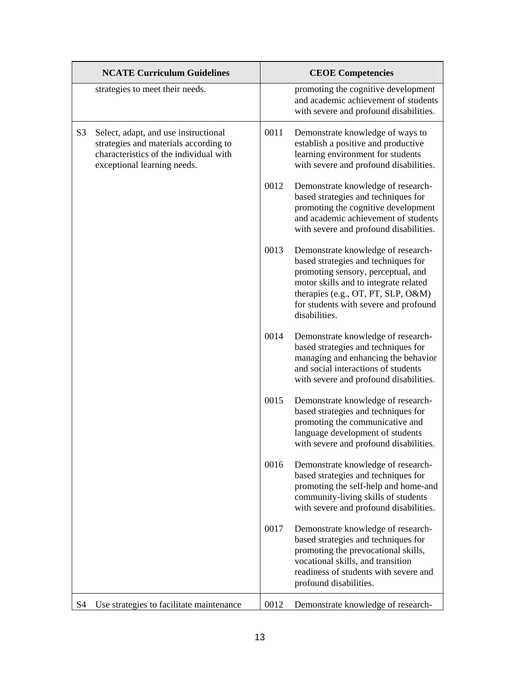|                | <b>NCATE Curriculum Guidelines</b>                                                                                                                     |                                                                                                                                                                                                   | <b>CEOE Competencies</b>                                                                                                                                                                                                                                 |
|----------------|--------------------------------------------------------------------------------------------------------------------------------------------------------|---------------------------------------------------------------------------------------------------------------------------------------------------------------------------------------------------|----------------------------------------------------------------------------------------------------------------------------------------------------------------------------------------------------------------------------------------------------------|
|                | strategies to meet their needs.                                                                                                                        |                                                                                                                                                                                                   | promoting the cognitive development<br>and academic achievement of students<br>with severe and profound disabilities.                                                                                                                                    |
| S <sub>3</sub> | Select, adapt, and use instructional<br>strategies and materials according to<br>characteristics of the individual with<br>exceptional learning needs. | 0011                                                                                                                                                                                              | Demonstrate knowledge of ways to<br>establish a positive and productive<br>learning environment for students<br>with severe and profound disabilities.                                                                                                   |
|                |                                                                                                                                                        | 0012                                                                                                                                                                                              | Demonstrate knowledge of research-<br>based strategies and techniques for<br>promoting the cognitive development<br>and academic achievement of students<br>with severe and profound disabilities.                                                       |
|                |                                                                                                                                                        | 0013                                                                                                                                                                                              | Demonstrate knowledge of research-<br>based strategies and techniques for<br>promoting sensory, perceptual, and<br>motor skills and to integrate related<br>therapies (e.g., OT, PT, SLP, O&M)<br>for students with severe and profound<br>disabilities. |
|                | 0014<br>0015<br>0016                                                                                                                                   | Demonstrate knowledge of research-<br>based strategies and techniques for<br>managing and enhancing the behavior<br>and social interactions of students<br>with severe and profound disabilities. |                                                                                                                                                                                                                                                          |
|                |                                                                                                                                                        |                                                                                                                                                                                                   | Demonstrate knowledge of research-<br>based strategies and techniques for<br>promoting the communicative and<br>language development of students<br>with severe and profound disabilities.                                                               |
|                |                                                                                                                                                        |                                                                                                                                                                                                   | Demonstrate knowledge of research-<br>based strategies and techniques for<br>promoting the self-help and home-and<br>community-living skills of students<br>with severe and profound disabilities.                                                       |
|                |                                                                                                                                                        | 0017                                                                                                                                                                                              | Demonstrate knowledge of research-<br>based strategies and techniques for<br>promoting the prevocational skills,<br>vocational skills, and transition<br>readiness of students with severe and<br>profound disabilities.                                 |
| S <sub>4</sub> | Use strategies to facilitate maintenance                                                                                                               | 0012                                                                                                                                                                                              | Demonstrate knowledge of research-                                                                                                                                                                                                                       |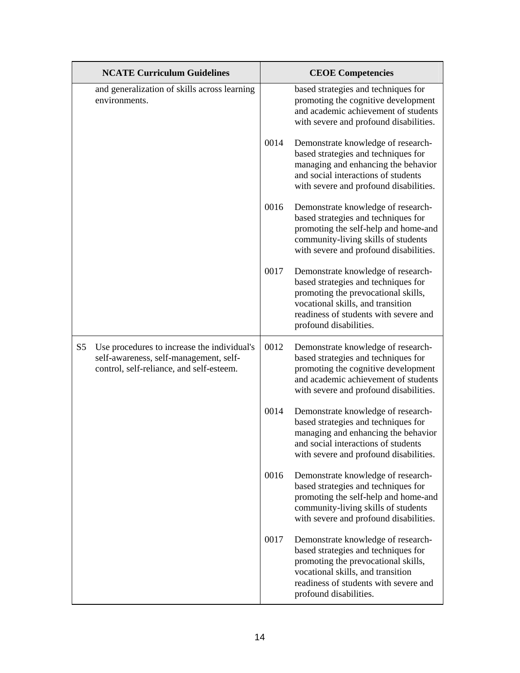|                | <b>NCATE Curriculum Guidelines</b>                                                                                                |      | <b>CEOE Competencies</b>                                                                                                                                                                                                 |
|----------------|-----------------------------------------------------------------------------------------------------------------------------------|------|--------------------------------------------------------------------------------------------------------------------------------------------------------------------------------------------------------------------------|
|                | and generalization of skills across learning<br>environments.                                                                     |      | based strategies and techniques for<br>promoting the cognitive development<br>and academic achievement of students<br>with severe and profound disabilities.                                                             |
|                |                                                                                                                                   | 0014 | Demonstrate knowledge of research-<br>based strategies and techniques for<br>managing and enhancing the behavior<br>and social interactions of students<br>with severe and profound disabilities.                        |
|                |                                                                                                                                   | 0016 | Demonstrate knowledge of research-<br>based strategies and techniques for<br>promoting the self-help and home-and<br>community-living skills of students<br>with severe and profound disabilities.                       |
|                |                                                                                                                                   | 0017 | Demonstrate knowledge of research-<br>based strategies and techniques for<br>promoting the prevocational skills,<br>vocational skills, and transition<br>readiness of students with severe and<br>profound disabilities. |
| S <sub>5</sub> | Use procedures to increase the individual's<br>self-awareness, self-management, self-<br>control, self-reliance, and self-esteem. | 0012 | Demonstrate knowledge of research-<br>based strategies and techniques for<br>promoting the cognitive development<br>and academic achievement of students<br>with severe and profound disabilities.                       |
|                |                                                                                                                                   | 0014 | Demonstrate knowledge of research-<br>based strategies and techniques for<br>managing and enhancing the behavior<br>and social interactions of students<br>with severe and profound disabilities.                        |
|                |                                                                                                                                   | 0016 | Demonstrate knowledge of research-<br>based strategies and techniques for<br>promoting the self-help and home-and<br>community-living skills of students<br>with severe and profound disabilities.                       |
|                |                                                                                                                                   | 0017 | Demonstrate knowledge of research-<br>based strategies and techniques for<br>promoting the prevocational skills,<br>vocational skills, and transition<br>readiness of students with severe and<br>profound disabilities. |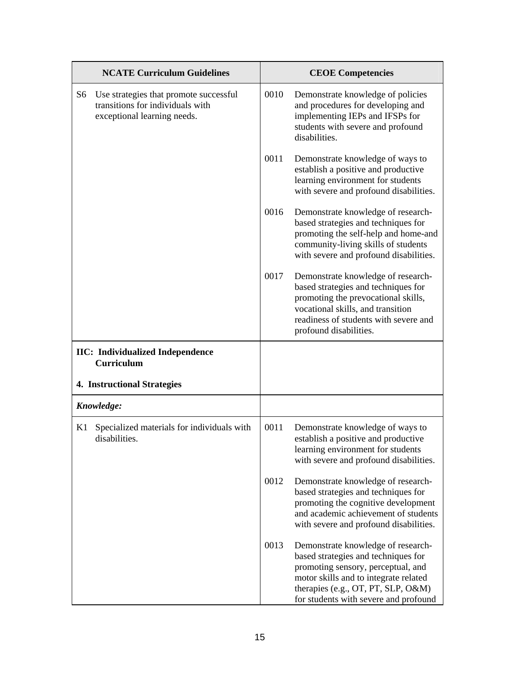|    | <b>NCATE Curriculum Guidelines</b>                                                                        |      | <b>CEOE Competencies</b>                                                                                                                                                                                                                |
|----|-----------------------------------------------------------------------------------------------------------|------|-----------------------------------------------------------------------------------------------------------------------------------------------------------------------------------------------------------------------------------------|
| S6 | Use strategies that promote successful<br>transitions for individuals with<br>exceptional learning needs. | 0010 | Demonstrate knowledge of policies<br>and procedures for developing and<br>implementing IEPs and IFSPs for<br>students with severe and profound<br>disabilities.                                                                         |
|    |                                                                                                           | 0011 | Demonstrate knowledge of ways to<br>establish a positive and productive<br>learning environment for students<br>with severe and profound disabilities.                                                                                  |
|    |                                                                                                           | 0016 | Demonstrate knowledge of research-<br>based strategies and techniques for<br>promoting the self-help and home-and<br>community-living skills of students<br>with severe and profound disabilities.                                      |
|    |                                                                                                           | 0017 | Demonstrate knowledge of research-<br>based strategies and techniques for<br>promoting the prevocational skills,<br>vocational skills, and transition<br>readiness of students with severe and<br>profound disabilities.                |
|    | <b>IIC:</b> Individualized Independence<br><b>Curriculum</b>                                              |      |                                                                                                                                                                                                                                         |
|    | <b>4. Instructional Strategies</b>                                                                        |      |                                                                                                                                                                                                                                         |
|    | Knowledge:                                                                                                |      |                                                                                                                                                                                                                                         |
| K1 | Specialized materials for individuals with<br>disabilities.                                               | 0011 | Demonstrate knowledge of ways to<br>establish a positive and productive<br>learning environment for students<br>with severe and profound disabilities.                                                                                  |
|    |                                                                                                           | 0012 | Demonstrate knowledge of research-<br>based strategies and techniques for<br>promoting the cognitive development<br>and academic achievement of students<br>with severe and profound disabilities.                                      |
|    |                                                                                                           | 0013 | Demonstrate knowledge of research-<br>based strategies and techniques for<br>promoting sensory, perceptual, and<br>motor skills and to integrate related<br>therapies (e.g., OT, PT, SLP, O&M)<br>for students with severe and profound |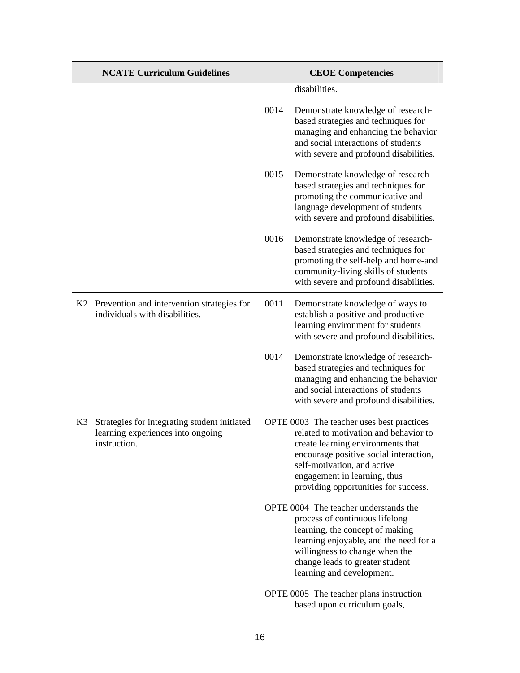|    | <b>NCATE Curriculum Guidelines</b>                                                                | <b>CEOE Competencies</b> |                                                                                                                                                                                                                                                                          |
|----|---------------------------------------------------------------------------------------------------|--------------------------|--------------------------------------------------------------------------------------------------------------------------------------------------------------------------------------------------------------------------------------------------------------------------|
|    |                                                                                                   |                          | disabilities.                                                                                                                                                                                                                                                            |
|    |                                                                                                   | 0014                     | Demonstrate knowledge of research-<br>based strategies and techniques for<br>managing and enhancing the behavior<br>and social interactions of students<br>with severe and profound disabilities.                                                                        |
|    |                                                                                                   | 0015                     | Demonstrate knowledge of research-<br>based strategies and techniques for<br>promoting the communicative and<br>language development of students<br>with severe and profound disabilities.                                                                               |
|    |                                                                                                   | 0016                     | Demonstrate knowledge of research-<br>based strategies and techniques for<br>promoting the self-help and home-and<br>community-living skills of students<br>with severe and profound disabilities.                                                                       |
|    | K2 Prevention and intervention strategies for<br>individuals with disabilities.                   | 0011                     | Demonstrate knowledge of ways to<br>establish a positive and productive<br>learning environment for students<br>with severe and profound disabilities.                                                                                                                   |
|    |                                                                                                   | 0014                     | Demonstrate knowledge of research-<br>based strategies and techniques for<br>managing and enhancing the behavior<br>and social interactions of students<br>with severe and profound disabilities.                                                                        |
| K3 | Strategies for integrating student initiated<br>learning experiences into ongoing<br>instruction. |                          | OPTE 0003 The teacher uses best practices<br>related to motivation and behavior to<br>create learning environments that<br>encourage positive social interaction,<br>self-motivation, and active<br>engagement in learning, thus<br>providing opportunities for success. |
|    |                                                                                                   |                          | OPTE 0004 The teacher understands the<br>process of continuous lifelong<br>learning, the concept of making<br>learning enjoyable, and the need for a<br>willingness to change when the<br>change leads to greater student<br>learning and development.                   |
|    |                                                                                                   |                          | OPTE 0005 The teacher plans instruction<br>based upon curriculum goals,                                                                                                                                                                                                  |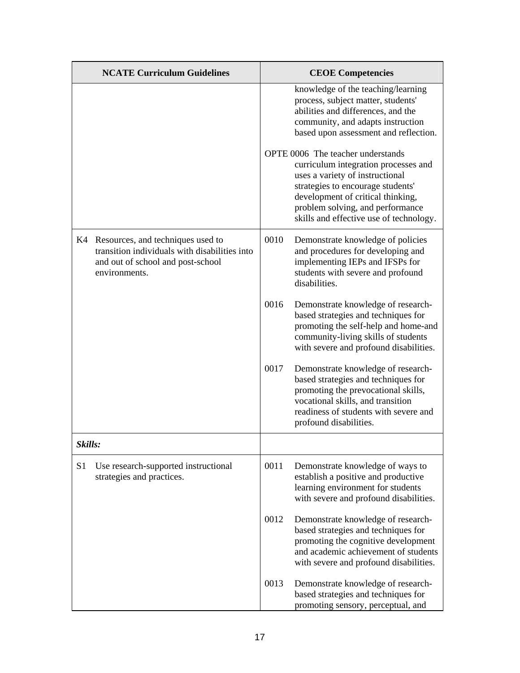|         | <b>NCATE Curriculum Guidelines</b>                                                                                                          |      | <b>CEOE</b> Competencies                                                                                                                                                                                                                                              |
|---------|---------------------------------------------------------------------------------------------------------------------------------------------|------|-----------------------------------------------------------------------------------------------------------------------------------------------------------------------------------------------------------------------------------------------------------------------|
|         |                                                                                                                                             |      | knowledge of the teaching/learning<br>process, subject matter, students'<br>abilities and differences, and the<br>community, and adapts instruction<br>based upon assessment and reflection.                                                                          |
|         |                                                                                                                                             |      | OPTE 0006 The teacher understands<br>curriculum integration processes and<br>uses a variety of instructional<br>strategies to encourage students'<br>development of critical thinking,<br>problem solving, and performance<br>skills and effective use of technology. |
|         | K4 Resources, and techniques used to<br>transition individuals with disabilities into<br>and out of school and post-school<br>environments. | 0010 | Demonstrate knowledge of policies<br>and procedures for developing and<br>implementing IEPs and IFSPs for<br>students with severe and profound<br>disabilities.                                                                                                       |
|         |                                                                                                                                             | 0016 | Demonstrate knowledge of research-<br>based strategies and techniques for<br>promoting the self-help and home-and<br>community-living skills of students<br>with severe and profound disabilities.                                                                    |
|         |                                                                                                                                             | 0017 | Demonstrate knowledge of research-<br>based strategies and techniques for<br>promoting the prevocational skills,<br>vocational skills, and transition<br>readiness of students with severe and<br>profound disabilities.                                              |
| Skills: |                                                                                                                                             |      |                                                                                                                                                                                                                                                                       |
| S1      | Use research-supported instructional<br>strategies and practices.                                                                           | 0011 | Demonstrate knowledge of ways to<br>establish a positive and productive<br>learning environment for students<br>with severe and profound disabilities.                                                                                                                |
|         |                                                                                                                                             | 0012 | Demonstrate knowledge of research-<br>based strategies and techniques for<br>promoting the cognitive development<br>and academic achievement of students<br>with severe and profound disabilities.                                                                    |
|         |                                                                                                                                             | 0013 | Demonstrate knowledge of research-<br>based strategies and techniques for<br>promoting sensory, perceptual, and                                                                                                                                                       |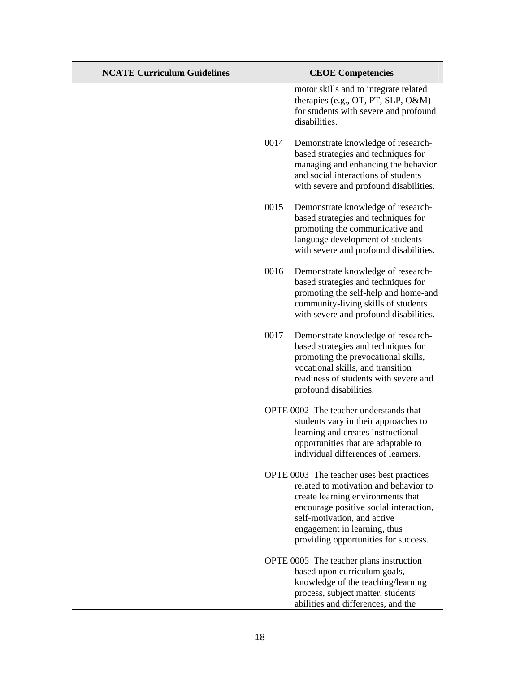| <b>NCATE Curriculum Guidelines</b> |      | <b>CEOE</b> Competencies                                                                                                                                                                                                                                                 |
|------------------------------------|------|--------------------------------------------------------------------------------------------------------------------------------------------------------------------------------------------------------------------------------------------------------------------------|
|                                    |      | motor skills and to integrate related<br>therapies (e.g., OT, PT, SLP, O&M)<br>for students with severe and profound<br>disabilities.                                                                                                                                    |
|                                    | 0014 | Demonstrate knowledge of research-<br>based strategies and techniques for<br>managing and enhancing the behavior<br>and social interactions of students<br>with severe and profound disabilities.                                                                        |
|                                    | 0015 | Demonstrate knowledge of research-<br>based strategies and techniques for<br>promoting the communicative and<br>language development of students<br>with severe and profound disabilities.                                                                               |
|                                    | 0016 | Demonstrate knowledge of research-<br>based strategies and techniques for<br>promoting the self-help and home-and<br>community-living skills of students<br>with severe and profound disabilities.                                                                       |
|                                    | 0017 | Demonstrate knowledge of research-<br>based strategies and techniques for<br>promoting the prevocational skills,<br>vocational skills, and transition<br>readiness of students with severe and<br>profound disabilities.                                                 |
|                                    |      | OPTE 0002 The teacher understands that<br>students vary in their approaches to<br>learning and creates instructional<br>opportunities that are adaptable to<br>individual differences of learners.                                                                       |
|                                    |      | OPTE 0003 The teacher uses best practices<br>related to motivation and behavior to<br>create learning environments that<br>encourage positive social interaction,<br>self-motivation, and active<br>engagement in learning, thus<br>providing opportunities for success. |
|                                    |      | OPTE 0005 The teacher plans instruction<br>based upon curriculum goals,<br>knowledge of the teaching/learning<br>process, subject matter, students'<br>abilities and differences, and the                                                                                |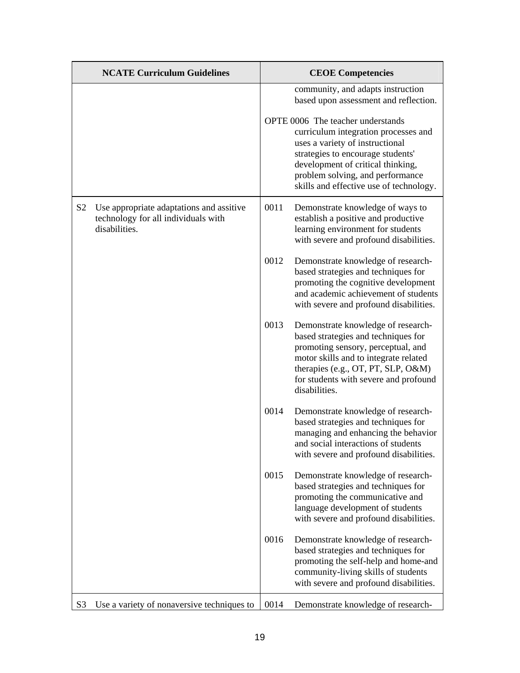|                | <b>NCATE Curriculum Guidelines</b>                                                               |      | <b>CEOE Competencies</b>                                                                                                                                                                                                                                              |
|----------------|--------------------------------------------------------------------------------------------------|------|-----------------------------------------------------------------------------------------------------------------------------------------------------------------------------------------------------------------------------------------------------------------------|
|                |                                                                                                  |      | community, and adapts instruction<br>based upon assessment and reflection.                                                                                                                                                                                            |
|                |                                                                                                  |      | OPTE 0006 The teacher understands<br>curriculum integration processes and<br>uses a variety of instructional<br>strategies to encourage students'<br>development of critical thinking,<br>problem solving, and performance<br>skills and effective use of technology. |
| S <sub>2</sub> | Use appropriate adaptations and assitive<br>technology for all individuals with<br>disabilities. | 0011 | Demonstrate knowledge of ways to<br>establish a positive and productive<br>learning environment for students<br>with severe and profound disabilities.                                                                                                                |
|                |                                                                                                  | 0012 | Demonstrate knowledge of research-<br>based strategies and techniques for<br>promoting the cognitive development<br>and academic achievement of students<br>with severe and profound disabilities.                                                                    |
|                |                                                                                                  | 0013 | Demonstrate knowledge of research-<br>based strategies and techniques for<br>promoting sensory, perceptual, and<br>motor skills and to integrate related<br>therapies (e.g., OT, PT, SLP, O&M)<br>for students with severe and profound<br>disabilities.              |
|                |                                                                                                  | 0014 | Demonstrate knowledge of research-<br>based strategies and techniques for<br>managing and enhancing the behavior<br>and social interactions of students<br>with severe and profound disabilities.                                                                     |
|                |                                                                                                  | 0015 | Demonstrate knowledge of research-<br>based strategies and techniques for<br>promoting the communicative and<br>language development of students<br>with severe and profound disabilities.                                                                            |
|                |                                                                                                  | 0016 | Demonstrate knowledge of research-<br>based strategies and techniques for<br>promoting the self-help and home-and<br>community-living skills of students<br>with severe and profound disabilities.                                                                    |
| S <sub>3</sub> | Use a variety of nonaversive techniques to                                                       | 0014 | Demonstrate knowledge of research-                                                                                                                                                                                                                                    |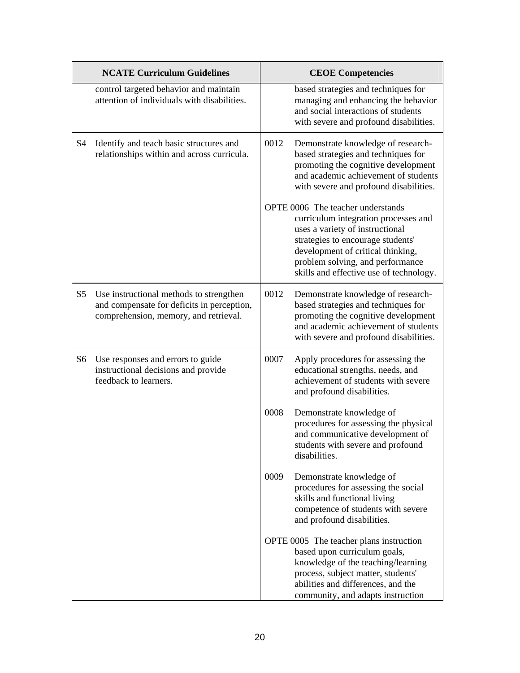|                | <b>NCATE Curriculum Guidelines</b>                                                                                             |      | <b>CEOE Competencies</b>                                                                                                                                                                                                                                              |
|----------------|--------------------------------------------------------------------------------------------------------------------------------|------|-----------------------------------------------------------------------------------------------------------------------------------------------------------------------------------------------------------------------------------------------------------------------|
|                | control targeted behavior and maintain<br>attention of individuals with disabilities.                                          |      | based strategies and techniques for<br>managing and enhancing the behavior<br>and social interactions of students<br>with severe and profound disabilities.                                                                                                           |
| S <sub>4</sub> | Identify and teach basic structures and<br>relationships within and across curricula.                                          | 0012 | Demonstrate knowledge of research-<br>based strategies and techniques for<br>promoting the cognitive development<br>and academic achievement of students<br>with severe and profound disabilities.                                                                    |
|                |                                                                                                                                |      | OPTE 0006 The teacher understands<br>curriculum integration processes and<br>uses a variety of instructional<br>strategies to encourage students'<br>development of critical thinking,<br>problem solving, and performance<br>skills and effective use of technology. |
| S5             | Use instructional methods to strengthen<br>and compensate for deficits in perception,<br>comprehension, memory, and retrieval. | 0012 | Demonstrate knowledge of research-<br>based strategies and techniques for<br>promoting the cognitive development<br>and academic achievement of students<br>with severe and profound disabilities.                                                                    |
| S <sub>6</sub> | Use responses and errors to guide<br>instructional decisions and provide<br>feedback to learners.                              | 0007 | Apply procedures for assessing the<br>educational strengths, needs, and<br>achievement of students with severe<br>and profound disabilities.                                                                                                                          |
|                |                                                                                                                                | 0008 | Demonstrate knowledge of<br>procedures for assessing the physical<br>and communicative development of<br>students with severe and profound<br>disabilities.                                                                                                           |
|                |                                                                                                                                | 0009 | Demonstrate knowledge of<br>procedures for assessing the social<br>skills and functional living<br>competence of students with severe<br>and profound disabilities.                                                                                                   |
|                |                                                                                                                                |      | OPTE 0005 The teacher plans instruction<br>based upon curriculum goals,<br>knowledge of the teaching/learning<br>process, subject matter, students'<br>abilities and differences, and the<br>community, and adapts instruction                                        |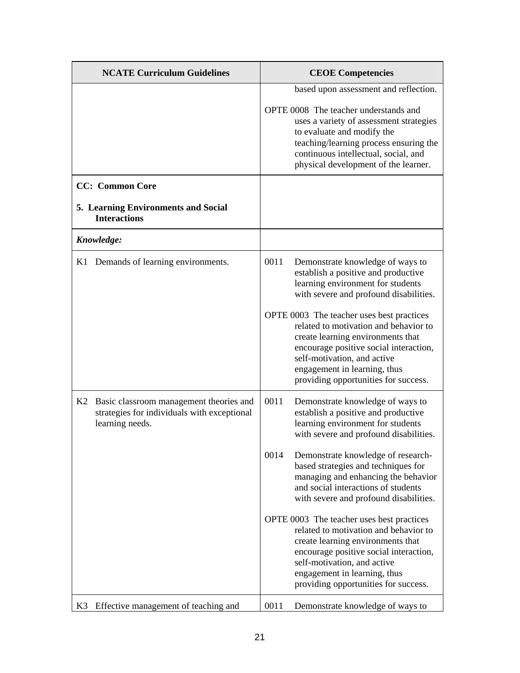|    | <b>NCATE Curriculum Guidelines</b>                                                                        |      | <b>CEOE Competencies</b>                                                                                                                                                                                                                                                 |
|----|-----------------------------------------------------------------------------------------------------------|------|--------------------------------------------------------------------------------------------------------------------------------------------------------------------------------------------------------------------------------------------------------------------------|
|    |                                                                                                           |      | based upon assessment and reflection.                                                                                                                                                                                                                                    |
|    |                                                                                                           |      | OPTE 0008 The teacher understands and<br>uses a variety of assessment strategies<br>to evaluate and modify the<br>teaching/learning process ensuring the<br>continuous intellectual, social, and<br>physical development of the learner.                                 |
|    | <b>CC:</b> Common Core                                                                                    |      |                                                                                                                                                                                                                                                                          |
|    | 5. Learning Environments and Social<br><b>Interactions</b>                                                |      |                                                                                                                                                                                                                                                                          |
|    | Knowledge:                                                                                                |      |                                                                                                                                                                                                                                                                          |
|    | K1 Demands of learning environments.                                                                      | 0011 | Demonstrate knowledge of ways to<br>establish a positive and productive<br>learning environment for students<br>with severe and profound disabilities.                                                                                                                   |
|    |                                                                                                           |      | OPTE 0003 The teacher uses best practices<br>related to motivation and behavior to<br>create learning environments that<br>encourage positive social interaction,<br>self-motivation, and active<br>engagement in learning, thus<br>providing opportunities for success. |
| K2 | Basic classroom management theories and<br>strategies for individuals with exceptional<br>learning needs. | 0011 | Demonstrate knowledge of ways to<br>establish a positive and productive<br>learning environment for students<br>with severe and profound disabilities.                                                                                                                   |
|    |                                                                                                           | 0014 | Demonstrate knowledge of research-<br>based strategies and techniques for<br>managing and enhancing the behavior<br>and social interactions of students<br>with severe and profound disabilities.                                                                        |
|    |                                                                                                           |      | OPTE 0003 The teacher uses best practices<br>related to motivation and behavior to<br>create learning environments that<br>encourage positive social interaction,<br>self-motivation, and active<br>engagement in learning, thus<br>providing opportunities for success. |
| K3 | Effective management of teaching and                                                                      | 0011 | Demonstrate knowledge of ways to                                                                                                                                                                                                                                         |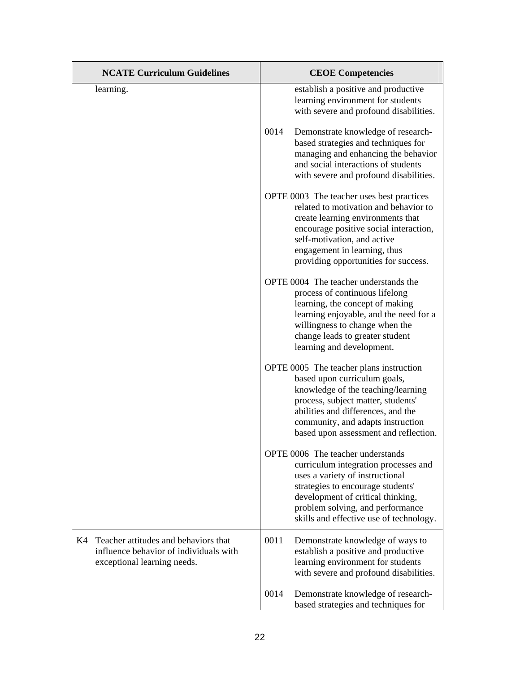| <b>NCATE Curriculum Guidelines</b>                                                                                  | <b>CEOE Competencies</b>                                                                                                                                                                                                                                                 |
|---------------------------------------------------------------------------------------------------------------------|--------------------------------------------------------------------------------------------------------------------------------------------------------------------------------------------------------------------------------------------------------------------------|
| learning.                                                                                                           | establish a positive and productive<br>learning environment for students<br>with severe and profound disabilities.                                                                                                                                                       |
|                                                                                                                     | 0014<br>Demonstrate knowledge of research-<br>based strategies and techniques for<br>managing and enhancing the behavior<br>and social interactions of students<br>with severe and profound disabilities.                                                                |
|                                                                                                                     | OPTE 0003 The teacher uses best practices<br>related to motivation and behavior to<br>create learning environments that<br>encourage positive social interaction,<br>self-motivation, and active<br>engagement in learning, thus<br>providing opportunities for success. |
|                                                                                                                     | OPTE 0004 The teacher understands the<br>process of continuous lifelong<br>learning, the concept of making<br>learning enjoyable, and the need for a<br>willingness to change when the<br>change leads to greater student<br>learning and development.                   |
|                                                                                                                     | OPTE 0005 The teacher plans instruction<br>based upon curriculum goals,<br>knowledge of the teaching/learning<br>process, subject matter, students'<br>abilities and differences, and the<br>community, and adapts instruction<br>based upon assessment and reflection.  |
|                                                                                                                     | OPTE 0006 The teacher understands<br>curriculum integration processes and<br>uses a variety of instructional<br>strategies to encourage students'<br>development of critical thinking,<br>problem solving, and performance<br>skills and effective use of technology.    |
| Teacher attitudes and behaviors that<br>K4<br>influence behavior of individuals with<br>exceptional learning needs. | 0011<br>Demonstrate knowledge of ways to<br>establish a positive and productive<br>learning environment for students<br>with severe and profound disabilities.                                                                                                           |
|                                                                                                                     | 0014<br>Demonstrate knowledge of research-<br>based strategies and techniques for                                                                                                                                                                                        |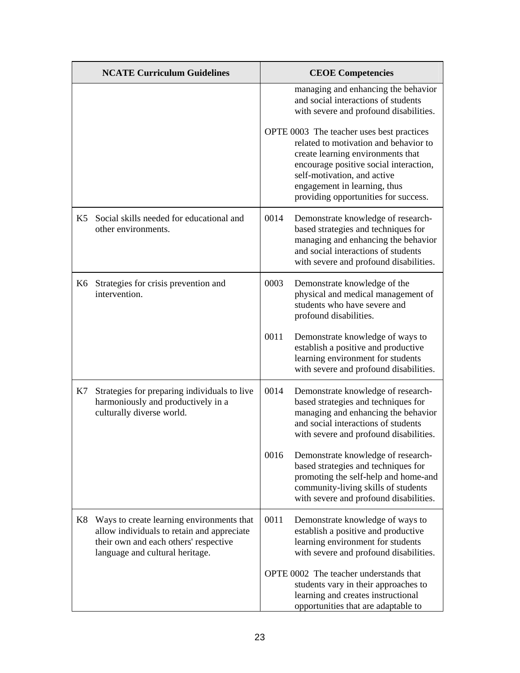|                | <b>NCATE Curriculum Guidelines</b>                                                                                                                                  |      | <b>CEOE Competencies</b>                                                                                                                                                                                                                                                                                                                                                                         |
|----------------|---------------------------------------------------------------------------------------------------------------------------------------------------------------------|------|--------------------------------------------------------------------------------------------------------------------------------------------------------------------------------------------------------------------------------------------------------------------------------------------------------------------------------------------------------------------------------------------------|
|                |                                                                                                                                                                     |      | managing and enhancing the behavior<br>and social interactions of students<br>with severe and profound disabilities.<br>OPTE 0003 The teacher uses best practices<br>related to motivation and behavior to<br>create learning environments that<br>encourage positive social interaction,<br>self-motivation, and active<br>engagement in learning, thus<br>providing opportunities for success. |
| K <sub>5</sub> | Social skills needed for educational and<br>other environments.                                                                                                     | 0014 | Demonstrate knowledge of research-<br>based strategies and techniques for<br>managing and enhancing the behavior<br>and social interactions of students<br>with severe and profound disabilities.                                                                                                                                                                                                |
| K6             | Strategies for crisis prevention and<br>intervention.                                                                                                               | 0003 | Demonstrate knowledge of the<br>physical and medical management of<br>students who have severe and<br>profound disabilities.                                                                                                                                                                                                                                                                     |
|                |                                                                                                                                                                     | 0011 | Demonstrate knowledge of ways to<br>establish a positive and productive<br>learning environment for students<br>with severe and profound disabilities.                                                                                                                                                                                                                                           |
| K7             | Strategies for preparing individuals to live<br>harmoniously and productively in a<br>culturally diverse world.                                                     | 0014 | Demonstrate knowledge of research-<br>based strategies and techniques for<br>managing and enhancing the behavior<br>and social interactions of students<br>with severe and profound disabilities.                                                                                                                                                                                                |
|                |                                                                                                                                                                     | 0016 | Demonstrate knowledge of research-<br>based strategies and techniques for<br>promoting the self-help and home-and<br>community-living skills of students<br>with severe and profound disabilities.                                                                                                                                                                                               |
| K8             | Ways to create learning environments that<br>allow individuals to retain and appreciate<br>their own and each others' respective<br>language and cultural heritage. | 0011 | Demonstrate knowledge of ways to<br>establish a positive and productive<br>learning environment for students<br>with severe and profound disabilities.                                                                                                                                                                                                                                           |
|                |                                                                                                                                                                     |      | OPTE 0002 The teacher understands that<br>students vary in their approaches to<br>learning and creates instructional<br>opportunities that are adaptable to                                                                                                                                                                                                                                      |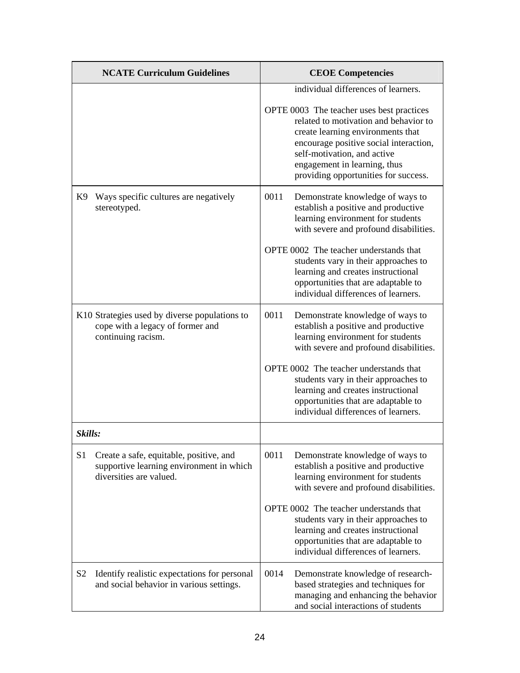|                | <b>NCATE Curriculum Guidelines</b>                                                                             |      | <b>CEOE Competencies</b>                                                                                                                                                                                                                                                 |
|----------------|----------------------------------------------------------------------------------------------------------------|------|--------------------------------------------------------------------------------------------------------------------------------------------------------------------------------------------------------------------------------------------------------------------------|
|                |                                                                                                                |      | individual differences of learners.                                                                                                                                                                                                                                      |
|                |                                                                                                                |      | OPTE 0003 The teacher uses best practices<br>related to motivation and behavior to<br>create learning environments that<br>encourage positive social interaction,<br>self-motivation, and active<br>engagement in learning, thus<br>providing opportunities for success. |
| K9             | Ways specific cultures are negatively<br>stereotyped.                                                          | 0011 | Demonstrate knowledge of ways to<br>establish a positive and productive<br>learning environment for students<br>with severe and profound disabilities.                                                                                                                   |
|                |                                                                                                                |      | OPTE 0002 The teacher understands that<br>students vary in their approaches to<br>learning and creates instructional<br>opportunities that are adaptable to<br>individual differences of learners.                                                                       |
|                | K10 Strategies used by diverse populations to<br>cope with a legacy of former and<br>continuing racism.        | 0011 | Demonstrate knowledge of ways to<br>establish a positive and productive<br>learning environment for students<br>with severe and profound disabilities.                                                                                                                   |
|                |                                                                                                                |      | OPTE 0002 The teacher understands that<br>students vary in their approaches to<br>learning and creates instructional<br>opportunities that are adaptable to<br>individual differences of learners.                                                                       |
| Skills:        |                                                                                                                |      |                                                                                                                                                                                                                                                                          |
| S <sub>1</sub> | Create a safe, equitable, positive, and<br>supportive learning environment in which<br>diversities are valued. | 0011 | Demonstrate knowledge of ways to<br>establish a positive and productive<br>learning environment for students<br>with severe and profound disabilities.                                                                                                                   |
|                |                                                                                                                |      | OPTE 0002 The teacher understands that<br>students vary in their approaches to<br>learning and creates instructional<br>opportunities that are adaptable to<br>individual differences of learners.                                                                       |
| S <sub>2</sub> | Identify realistic expectations for personal<br>and social behavior in various settings.                       | 0014 | Demonstrate knowledge of research-<br>based strategies and techniques for<br>managing and enhancing the behavior<br>and social interactions of students                                                                                                                  |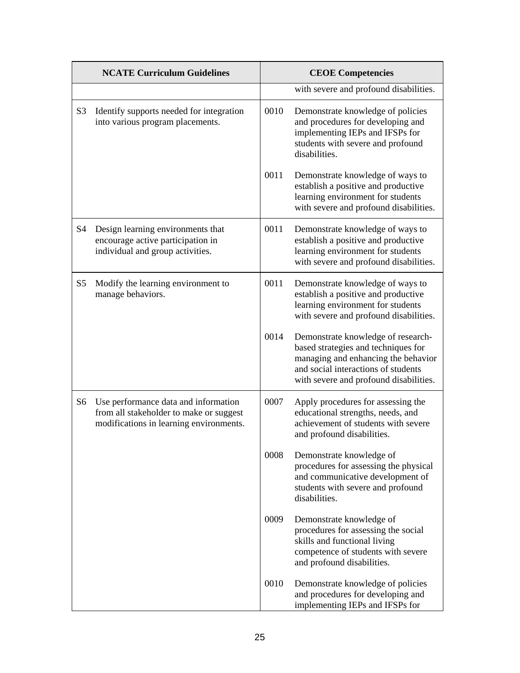|                | <b>NCATE Curriculum Guidelines</b>                                                                                         | <b>CEOE Competencies</b> |                                                                                                                                                                                                   |
|----------------|----------------------------------------------------------------------------------------------------------------------------|--------------------------|---------------------------------------------------------------------------------------------------------------------------------------------------------------------------------------------------|
|                |                                                                                                                            |                          | with severe and profound disabilities.                                                                                                                                                            |
| S <sub>3</sub> | Identify supports needed for integration<br>into various program placements.                                               | 0010                     | Demonstrate knowledge of policies<br>and procedures for developing and<br>implementing IEPs and IFSPs for<br>students with severe and profound<br>disabilities.                                   |
|                |                                                                                                                            | 0011                     | Demonstrate knowledge of ways to<br>establish a positive and productive<br>learning environment for students<br>with severe and profound disabilities.                                            |
| S <sub>4</sub> | Design learning environments that<br>encourage active participation in<br>individual and group activities.                 | 0011                     | Demonstrate knowledge of ways to<br>establish a positive and productive<br>learning environment for students<br>with severe and profound disabilities.                                            |
| S <sub>5</sub> | Modify the learning environment to<br>manage behaviors.                                                                    | 0011                     | Demonstrate knowledge of ways to<br>establish a positive and productive<br>learning environment for students<br>with severe and profound disabilities.                                            |
|                |                                                                                                                            | 0014                     | Demonstrate knowledge of research-<br>based strategies and techniques for<br>managing and enhancing the behavior<br>and social interactions of students<br>with severe and profound disabilities. |
| S6             | Use performance data and information<br>from all stakeholder to make or suggest<br>modifications in learning environments. | 0007                     | Apply procedures for assessing the<br>educational strengths, needs, and<br>achievement of students with severe<br>and profound disabilities.                                                      |
|                |                                                                                                                            | 0008                     | Demonstrate knowledge of<br>procedures for assessing the physical<br>and communicative development of<br>students with severe and profound<br>disabilities.                                       |
|                |                                                                                                                            | 0009                     | Demonstrate knowledge of<br>procedures for assessing the social<br>skills and functional living<br>competence of students with severe<br>and profound disabilities.                               |
|                |                                                                                                                            | 0010                     | Demonstrate knowledge of policies<br>and procedures for developing and<br>implementing IEPs and IFSPs for                                                                                         |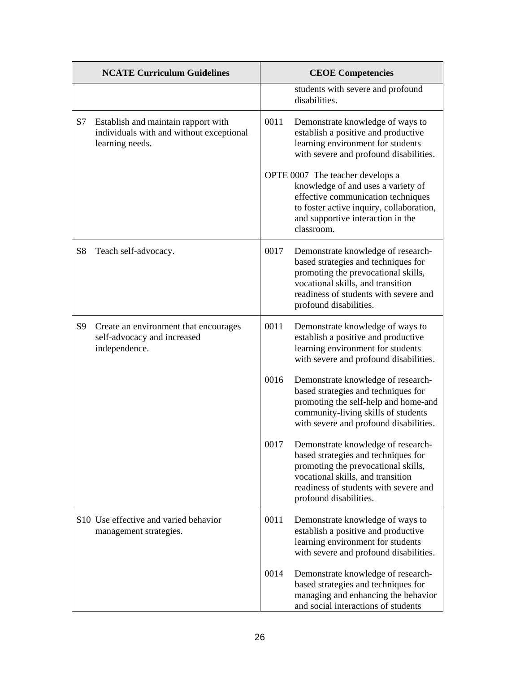|                | <b>NCATE Curriculum Guidelines</b>                                                                 |      | <b>CEOE Competencies</b>                                                                                                                                                                                                 |
|----------------|----------------------------------------------------------------------------------------------------|------|--------------------------------------------------------------------------------------------------------------------------------------------------------------------------------------------------------------------------|
|                |                                                                                                    |      | students with severe and profound<br>disabilities.                                                                                                                                                                       |
| S7             | Establish and maintain rapport with<br>individuals with and without exceptional<br>learning needs. | 0011 | Demonstrate knowledge of ways to<br>establish a positive and productive<br>learning environment for students<br>with severe and profound disabilities.                                                                   |
|                |                                                                                                    |      | OPTE 0007 The teacher develops a<br>knowledge of and uses a variety of<br>effective communication techniques<br>to foster active inquiry, collaboration,<br>and supportive interaction in the<br>classroom.              |
| S <sub>8</sub> | Teach self-advocacy.                                                                               | 0017 | Demonstrate knowledge of research-<br>based strategies and techniques for<br>promoting the prevocational skills,<br>vocational skills, and transition<br>readiness of students with severe and<br>profound disabilities. |
| S <sub>9</sub> | Create an environment that encourages<br>self-advocacy and increased<br>independence.              | 0011 | Demonstrate knowledge of ways to<br>establish a positive and productive<br>learning environment for students<br>with severe and profound disabilities.                                                                   |
|                |                                                                                                    | 0016 | Demonstrate knowledge of research-<br>based strategies and techniques for<br>promoting the self-help and home-and<br>community-living skills of students<br>with severe and profound disabilities.                       |
|                |                                                                                                    | 0017 | Demonstrate knowledge of research-<br>based strategies and techniques for<br>promoting the prevocational skills,<br>vocational skills, and transition<br>readiness of students with severe and<br>profound disabilities. |
|                | S10 Use effective and varied behavior<br>management strategies.                                    | 0011 | Demonstrate knowledge of ways to<br>establish a positive and productive<br>learning environment for students<br>with severe and profound disabilities.                                                                   |
|                |                                                                                                    | 0014 | Demonstrate knowledge of research-<br>based strategies and techniques for<br>managing and enhancing the behavior<br>and social interactions of students                                                                  |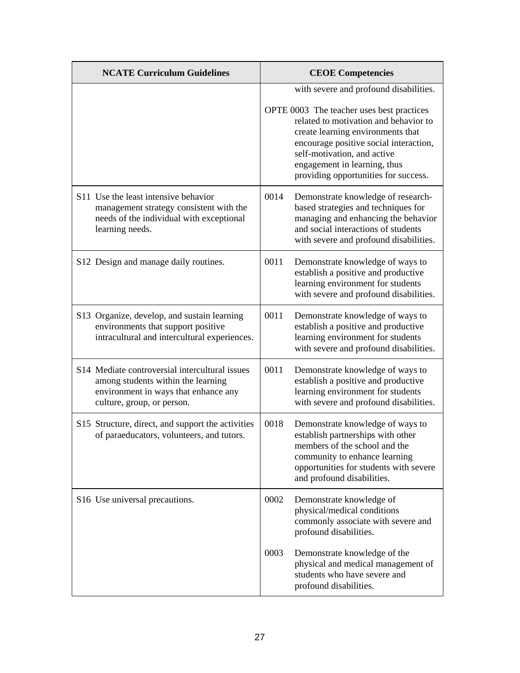| <b>NCATE Curriculum Guidelines</b>                                                                                                                         | <b>CEOE Competencies</b>                                                                                                                                                                                                                                                                                           |  |
|------------------------------------------------------------------------------------------------------------------------------------------------------------|--------------------------------------------------------------------------------------------------------------------------------------------------------------------------------------------------------------------------------------------------------------------------------------------------------------------|--|
|                                                                                                                                                            | with severe and profound disabilities.<br>OPTE 0003 The teacher uses best practices<br>related to motivation and behavior to<br>create learning environments that<br>encourage positive social interaction,<br>self-motivation, and active<br>engagement in learning, thus<br>providing opportunities for success. |  |
| S11 Use the least intensive behavior<br>management strategy consistent with the<br>needs of the individual with exceptional<br>learning needs.             | 0014<br>Demonstrate knowledge of research-<br>based strategies and techniques for<br>managing and enhancing the behavior<br>and social interactions of students<br>with severe and profound disabilities.                                                                                                          |  |
| S12 Design and manage daily routines.                                                                                                                      | 0011<br>Demonstrate knowledge of ways to<br>establish a positive and productive<br>learning environment for students<br>with severe and profound disabilities.                                                                                                                                                     |  |
| S13 Organize, develop, and sustain learning<br>environments that support positive<br>intracultural and intercultural experiences.                          | 0011<br>Demonstrate knowledge of ways to<br>establish a positive and productive<br>learning environment for students<br>with severe and profound disabilities.                                                                                                                                                     |  |
| S14 Mediate controversial intercultural issues<br>among students within the learning<br>environment in ways that enhance any<br>culture, group, or person. | 0011<br>Demonstrate knowledge of ways to<br>establish a positive and productive<br>learning environment for students<br>with severe and profound disabilities.                                                                                                                                                     |  |
| S15 Structure, direct, and support the activities<br>of paraeducators, volunteers, and tutors.                                                             | 0018<br>Demonstrate knowledge of ways to<br>establish partnerships with other<br>members of the school and the<br>community to enhance learning<br>opportunities for students with severe<br>and profound disabilities.                                                                                            |  |
| S16 Use universal precautions.                                                                                                                             | 0002<br>Demonstrate knowledge of<br>physical/medical conditions<br>commonly associate with severe and<br>profound disabilities.                                                                                                                                                                                    |  |
|                                                                                                                                                            | 0003<br>Demonstrate knowledge of the<br>physical and medical management of<br>students who have severe and<br>profound disabilities.                                                                                                                                                                               |  |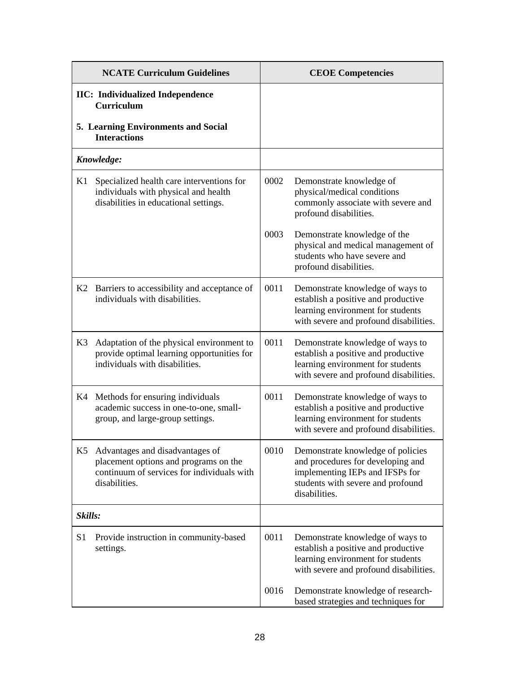|                | <b>NCATE Curriculum Guidelines</b>                                                                                                      |      | <b>CEOE Competencies</b>                                                                                                                                        |
|----------------|-----------------------------------------------------------------------------------------------------------------------------------------|------|-----------------------------------------------------------------------------------------------------------------------------------------------------------------|
|                | <b>IIC:</b> Individualized Independence<br><b>Curriculum</b>                                                                            |      |                                                                                                                                                                 |
|                | 5. Learning Environments and Social<br><b>Interactions</b>                                                                              |      |                                                                                                                                                                 |
|                | Knowledge:                                                                                                                              |      |                                                                                                                                                                 |
| K1             | Specialized health care interventions for<br>individuals with physical and health<br>disabilities in educational settings.              | 0002 | Demonstrate knowledge of<br>physical/medical conditions<br>commonly associate with severe and<br>profound disabilities.                                         |
|                |                                                                                                                                         | 0003 | Demonstrate knowledge of the<br>physical and medical management of<br>students who have severe and<br>profound disabilities.                                    |
|                | K2 Barriers to accessibility and acceptance of<br>individuals with disabilities.                                                        | 0011 | Demonstrate knowledge of ways to<br>establish a positive and productive<br>learning environment for students<br>with severe and profound disabilities.          |
| K3             | Adaptation of the physical environment to<br>provide optimal learning opportunities for<br>individuals with disabilities.               | 0011 | Demonstrate knowledge of ways to<br>establish a positive and productive<br>learning environment for students<br>with severe and profound disabilities.          |
|                | K4 Methods for ensuring individuals<br>academic success in one-to-one, small-<br>group, and large-group settings.                       | 0011 | Demonstrate knowledge of ways to<br>establish a positive and productive<br>learning environment for students<br>with severe and profound disabilities.          |
| K <sub>5</sub> | Advantages and disadvantages of<br>placement options and programs on the<br>continuum of services for individuals with<br>disabilities. | 0010 | Demonstrate knowledge of policies<br>and procedures for developing and<br>implementing IEPs and IFSPs for<br>students with severe and profound<br>disabilities. |
|                | Skills:                                                                                                                                 |      |                                                                                                                                                                 |
| S <sub>1</sub> | Provide instruction in community-based<br>settings.                                                                                     | 0011 | Demonstrate knowledge of ways to<br>establish a positive and productive<br>learning environment for students<br>with severe and profound disabilities.          |
|                |                                                                                                                                         | 0016 | Demonstrate knowledge of research-<br>based strategies and techniques for                                                                                       |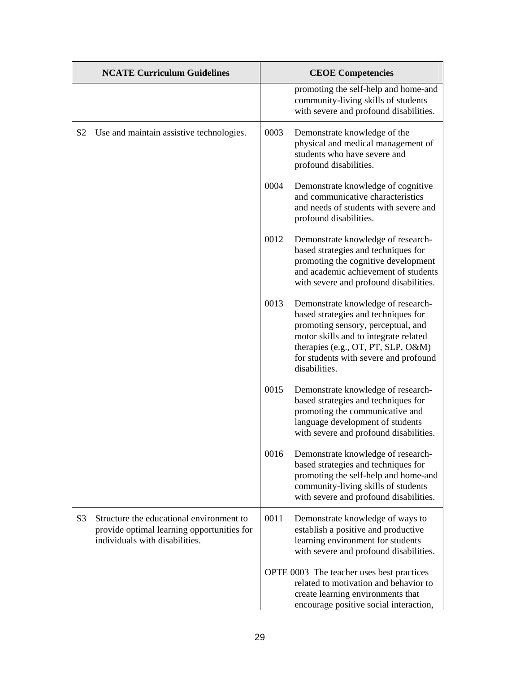|                | <b>NCATE Curriculum Guidelines</b>                                                                                       |      | <b>CEOE Competencies</b>                                                                                                                                                                                                                                 |
|----------------|--------------------------------------------------------------------------------------------------------------------------|------|----------------------------------------------------------------------------------------------------------------------------------------------------------------------------------------------------------------------------------------------------------|
|                |                                                                                                                          |      | promoting the self-help and home-and<br>community-living skills of students<br>with severe and profound disabilities.                                                                                                                                    |
| S <sub>2</sub> | Use and maintain assistive technologies.                                                                                 | 0003 | Demonstrate knowledge of the<br>physical and medical management of<br>students who have severe and<br>profound disabilities.                                                                                                                             |
|                |                                                                                                                          | 0004 | Demonstrate knowledge of cognitive<br>and communicative characteristics<br>and needs of students with severe and<br>profound disabilities.                                                                                                               |
|                |                                                                                                                          | 0012 | Demonstrate knowledge of research-<br>based strategies and techniques for<br>promoting the cognitive development<br>and academic achievement of students<br>with severe and profound disabilities.                                                       |
|                |                                                                                                                          | 0013 | Demonstrate knowledge of research-<br>based strategies and techniques for<br>promoting sensory, perceptual, and<br>motor skills and to integrate related<br>therapies (e.g., OT, PT, SLP, O&M)<br>for students with severe and profound<br>disabilities. |
|                |                                                                                                                          | 0015 | Demonstrate knowledge of research-<br>based strategies and techniques for<br>promoting the communicative and<br>language development of students<br>with severe and profound disabilities.                                                               |
|                |                                                                                                                          | 0016 | Demonstrate knowledge of research-<br>based strategies and techniques for<br>promoting the self-help and home-and<br>community-living skills of students<br>with severe and profound disabilities.                                                       |
| S <sub>3</sub> | Structure the educational environment to<br>provide optimal learning opportunities for<br>individuals with disabilities. | 0011 | Demonstrate knowledge of ways to<br>establish a positive and productive<br>learning environment for students<br>with severe and profound disabilities.                                                                                                   |
|                |                                                                                                                          |      | OPTE 0003 The teacher uses best practices<br>related to motivation and behavior to<br>create learning environments that<br>encourage positive social interaction,                                                                                        |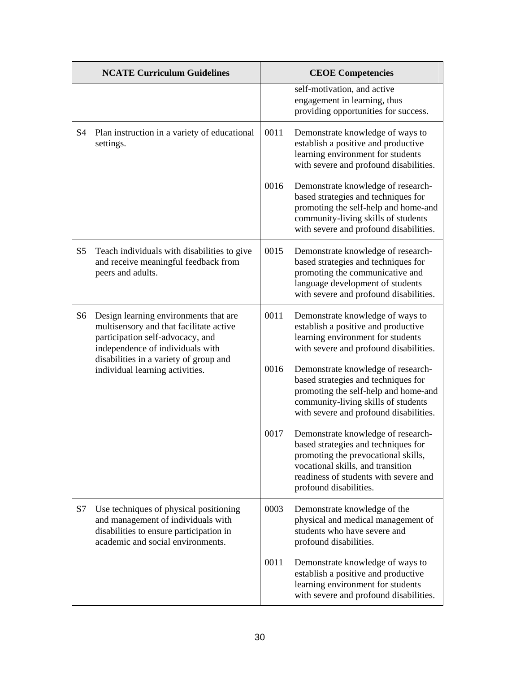|                | <b>NCATE Curriculum Guidelines</b>                                                                                                                                                                                                    |      | <b>CEOE Competencies</b>                                                                                                                                                                                                 |
|----------------|---------------------------------------------------------------------------------------------------------------------------------------------------------------------------------------------------------------------------------------|------|--------------------------------------------------------------------------------------------------------------------------------------------------------------------------------------------------------------------------|
|                |                                                                                                                                                                                                                                       |      | self-motivation, and active<br>engagement in learning, thus<br>providing opportunities for success.                                                                                                                      |
| S <sub>4</sub> | Plan instruction in a variety of educational<br>settings.                                                                                                                                                                             | 0011 | Demonstrate knowledge of ways to<br>establish a positive and productive<br>learning environment for students<br>with severe and profound disabilities.                                                                   |
|                |                                                                                                                                                                                                                                       | 0016 | Demonstrate knowledge of research-<br>based strategies and techniques for<br>promoting the self-help and home-and<br>community-living skills of students<br>with severe and profound disabilities.                       |
| S <sub>5</sub> | Teach individuals with disabilities to give<br>and receive meaningful feedback from<br>peers and adults.                                                                                                                              | 0015 | Demonstrate knowledge of research-<br>based strategies and techniques for<br>promoting the communicative and<br>language development of students<br>with severe and profound disabilities.                               |
| S6             | Design learning environments that are<br>multisensory and that facilitate active<br>participation self-advocacy, and<br>independence of individuals with<br>disabilities in a variety of group and<br>individual learning activities. | 0011 | Demonstrate knowledge of ways to<br>establish a positive and productive<br>learning environment for students<br>with severe and profound disabilities.                                                                   |
|                |                                                                                                                                                                                                                                       | 0016 | Demonstrate knowledge of research-<br>based strategies and techniques for<br>promoting the self-help and home-and<br>community-living skills of students<br>with severe and profound disabilities.                       |
|                |                                                                                                                                                                                                                                       | 0017 | Demonstrate knowledge of research-<br>based strategies and techniques for<br>promoting the prevocational skills,<br>vocational skills, and transition<br>readiness of students with severe and<br>profound disabilities. |
| S7             | Use techniques of physical positioning<br>and management of individuals with<br>disabilities to ensure participation in<br>academic and social environments.                                                                          | 0003 | Demonstrate knowledge of the<br>physical and medical management of<br>students who have severe and<br>profound disabilities.                                                                                             |
|                |                                                                                                                                                                                                                                       | 0011 | Demonstrate knowledge of ways to<br>establish a positive and productive<br>learning environment for students<br>with severe and profound disabilities.                                                                   |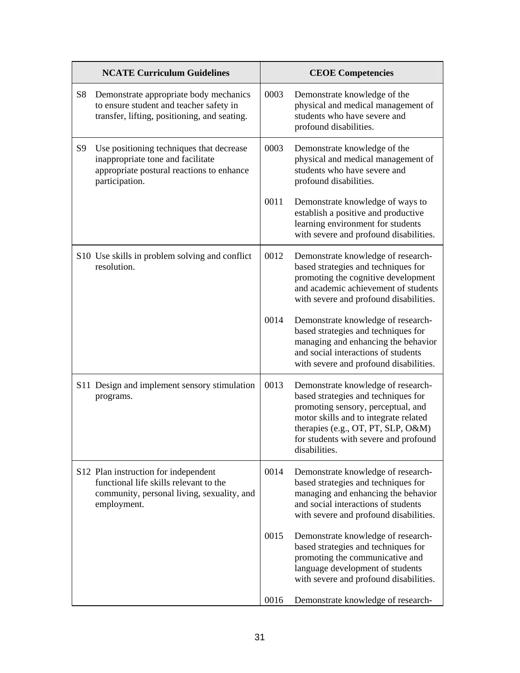|                | <b>NCATE Curriculum Guidelines</b>                                                                                                           |      | <b>CEOE Competencies</b>                                                                                                                                                                                                                                 |
|----------------|----------------------------------------------------------------------------------------------------------------------------------------------|------|----------------------------------------------------------------------------------------------------------------------------------------------------------------------------------------------------------------------------------------------------------|
| S8             | Demonstrate appropriate body mechanics<br>to ensure student and teacher safety in<br>transfer, lifting, positioning, and seating.            | 0003 | Demonstrate knowledge of the<br>physical and medical management of<br>students who have severe and<br>profound disabilities.                                                                                                                             |
| S <sub>9</sub> | Use positioning techniques that decrease<br>inappropriate tone and facilitate<br>appropriate postural reactions to enhance<br>participation. | 0003 | Demonstrate knowledge of the<br>physical and medical management of<br>students who have severe and<br>profound disabilities.                                                                                                                             |
|                |                                                                                                                                              | 0011 | Demonstrate knowledge of ways to<br>establish a positive and productive<br>learning environment for students<br>with severe and profound disabilities.                                                                                                   |
|                | S10 Use skills in problem solving and conflict<br>resolution.                                                                                | 0012 | Demonstrate knowledge of research-<br>based strategies and techniques for<br>promoting the cognitive development<br>and academic achievement of students<br>with severe and profound disabilities.                                                       |
|                |                                                                                                                                              | 0014 | Demonstrate knowledge of research-<br>based strategies and techniques for<br>managing and enhancing the behavior<br>and social interactions of students<br>with severe and profound disabilities.                                                        |
|                | S11 Design and implement sensory stimulation<br>programs.                                                                                    | 0013 | Demonstrate knowledge of research-<br>based strategies and techniques for<br>promoting sensory, perceptual, and<br>motor skills and to integrate related<br>therapies (e.g., OT, PT, SLP, O&M)<br>for students with severe and profound<br>disabilities. |
|                | S12 Plan instruction for independent<br>functional life skills relevant to the<br>community, personal living, sexuality, and<br>employment.  | 0014 | Demonstrate knowledge of research-<br>based strategies and techniques for<br>managing and enhancing the behavior<br>and social interactions of students<br>with severe and profound disabilities.                                                        |
|                |                                                                                                                                              | 0015 | Demonstrate knowledge of research-<br>based strategies and techniques for<br>promoting the communicative and<br>language development of students<br>with severe and profound disabilities.                                                               |
|                |                                                                                                                                              | 0016 | Demonstrate knowledge of research-                                                                                                                                                                                                                       |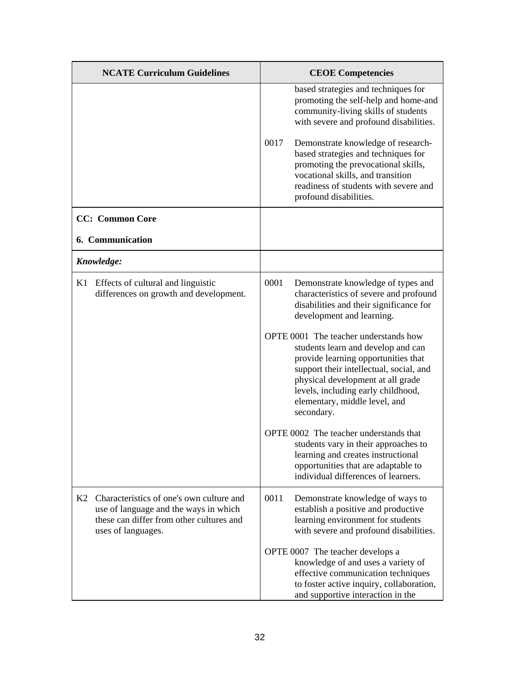|    | <b>NCATE Curriculum Guidelines</b>                                                                                                                  | <b>CEOE Competencies</b>                                                                                                                                                                                                                                                                                                                                                                                                                                                                                                                                                                                               |  |
|----|-----------------------------------------------------------------------------------------------------------------------------------------------------|------------------------------------------------------------------------------------------------------------------------------------------------------------------------------------------------------------------------------------------------------------------------------------------------------------------------------------------------------------------------------------------------------------------------------------------------------------------------------------------------------------------------------------------------------------------------------------------------------------------------|--|
|    |                                                                                                                                                     | based strategies and techniques for<br>promoting the self-help and home-and<br>community-living skills of students<br>with severe and profound disabilities.<br>0017<br>Demonstrate knowledge of research-<br>based strategies and techniques for<br>promoting the prevocational skills,<br>vocational skills, and transition<br>readiness of students with severe and<br>profound disabilities.                                                                                                                                                                                                                       |  |
|    | <b>CC:</b> Common Core                                                                                                                              |                                                                                                                                                                                                                                                                                                                                                                                                                                                                                                                                                                                                                        |  |
|    | 6. Communication                                                                                                                                    |                                                                                                                                                                                                                                                                                                                                                                                                                                                                                                                                                                                                                        |  |
|    | Knowledge:                                                                                                                                          |                                                                                                                                                                                                                                                                                                                                                                                                                                                                                                                                                                                                                        |  |
| K1 | Effects of cultural and linguistic<br>differences on growth and development.                                                                        | 0001<br>Demonstrate knowledge of types and<br>characteristics of severe and profound<br>disabilities and their significance for<br>development and learning.<br>OPTE 0001 The teacher understands how<br>students learn and develop and can<br>provide learning opportunities that<br>support their intellectual, social, and<br>physical development at all grade<br>levels, including early childhood,<br>elementary, middle level, and<br>secondary.<br>OPTE 0002 The teacher understands that<br>students vary in their approaches to<br>learning and creates instructional<br>opportunities that are adaptable to |  |
|    |                                                                                                                                                     | individual differences of learners.                                                                                                                                                                                                                                                                                                                                                                                                                                                                                                                                                                                    |  |
| K2 | Characteristics of one's own culture and<br>use of language and the ways in which<br>these can differ from other cultures and<br>uses of languages. | 0011<br>Demonstrate knowledge of ways to<br>establish a positive and productive<br>learning environment for students<br>with severe and profound disabilities.                                                                                                                                                                                                                                                                                                                                                                                                                                                         |  |
|    |                                                                                                                                                     | OPTE 0007 The teacher develops a<br>knowledge of and uses a variety of<br>effective communication techniques<br>to foster active inquiry, collaboration,<br>and supportive interaction in the                                                                                                                                                                                                                                                                                                                                                                                                                          |  |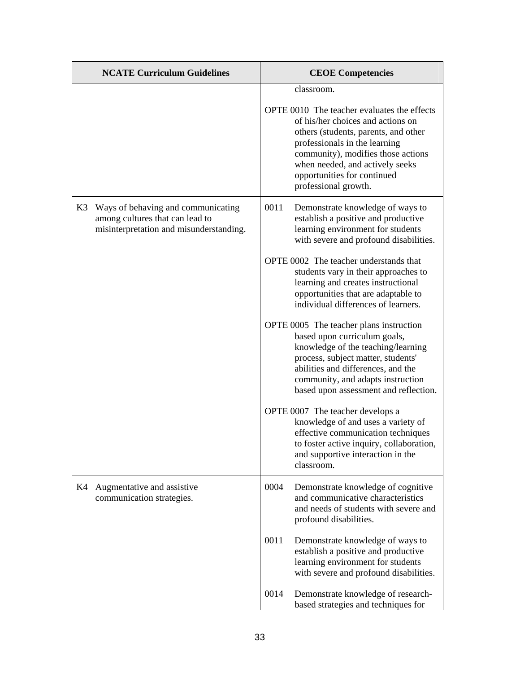| <b>NCATE Curriculum Guidelines</b>                                                                                     | <b>CEOE</b> Competencies                                                                                                                                                                                                                                                                                                                                             |
|------------------------------------------------------------------------------------------------------------------------|----------------------------------------------------------------------------------------------------------------------------------------------------------------------------------------------------------------------------------------------------------------------------------------------------------------------------------------------------------------------|
|                                                                                                                        | classroom.<br>OPTE 0010 The teacher evaluates the effects<br>of his/her choices and actions on<br>others (students, parents, and other<br>professionals in the learning<br>community), modifies those actions<br>when needed, and actively seeks<br>opportunities for continued<br>professional growth.                                                              |
| K3<br>Ways of behaving and communicating<br>among cultures that can lead to<br>misinterpretation and misunderstanding. | 0011<br>Demonstrate knowledge of ways to<br>establish a positive and productive<br>learning environment for students<br>with severe and profound disabilities.<br>OPTE 0002 The teacher understands that<br>students vary in their approaches to<br>learning and creates instructional<br>opportunities that are adaptable to<br>individual differences of learners. |
|                                                                                                                        | OPTE 0005 The teacher plans instruction<br>based upon curriculum goals,<br>knowledge of the teaching/learning<br>process, subject matter, students'<br>abilities and differences, and the<br>community, and adapts instruction<br>based upon assessment and reflection.                                                                                              |
|                                                                                                                        | OPTE 0007 The teacher develops a<br>knowledge of and uses a variety of<br>effective communication techniques<br>to foster active inquiry, collaboration,<br>and supportive interaction in the<br>classroom.                                                                                                                                                          |
| K4<br>Augmentative and assistive<br>communication strategies.                                                          | 0004<br>Demonstrate knowledge of cognitive<br>and communicative characteristics<br>and needs of students with severe and<br>profound disabilities.                                                                                                                                                                                                                   |
|                                                                                                                        | 0011<br>Demonstrate knowledge of ways to<br>establish a positive and productive<br>learning environment for students<br>with severe and profound disabilities.                                                                                                                                                                                                       |
|                                                                                                                        | 0014<br>Demonstrate knowledge of research-<br>based strategies and techniques for                                                                                                                                                                                                                                                                                    |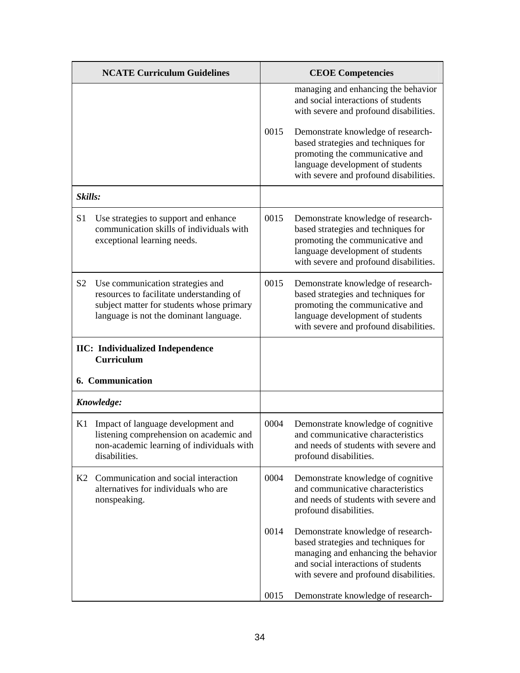|                | <b>NCATE Curriculum Guidelines</b>                                                                                                                                  |      | <b>CEOE Competencies</b>                                                                                                                                                                                                                                                                                           |
|----------------|---------------------------------------------------------------------------------------------------------------------------------------------------------------------|------|--------------------------------------------------------------------------------------------------------------------------------------------------------------------------------------------------------------------------------------------------------------------------------------------------------------------|
|                |                                                                                                                                                                     | 0015 | managing and enhancing the behavior<br>and social interactions of students<br>with severe and profound disabilities.<br>Demonstrate knowledge of research-<br>based strategies and techniques for<br>promoting the communicative and<br>language development of students<br>with severe and profound disabilities. |
| Skills:        |                                                                                                                                                                     |      |                                                                                                                                                                                                                                                                                                                    |
| S <sub>1</sub> | Use strategies to support and enhance<br>communication skills of individuals with<br>exceptional learning needs.                                                    | 0015 | Demonstrate knowledge of research-<br>based strategies and techniques for<br>promoting the communicative and<br>language development of students<br>with severe and profound disabilities.                                                                                                                         |
| S <sub>2</sub> | Use communication strategies and<br>resources to facilitate understanding of<br>subject matter for students whose primary<br>language is not the dominant language. | 0015 | Demonstrate knowledge of research-<br>based strategies and techniques for<br>promoting the communicative and<br>language development of students<br>with severe and profound disabilities.                                                                                                                         |
|                | <b>IIC:</b> Individualized Independence<br><b>Curriculum</b><br>6. Communication                                                                                    |      |                                                                                                                                                                                                                                                                                                                    |
|                | Knowledge:                                                                                                                                                          |      |                                                                                                                                                                                                                                                                                                                    |
| K1             | Impact of language development and<br>listening comprehension on academic and<br>non-academic learning of individuals with<br>disabilities.                         | 0004 | Demonstrate knowledge of cognitive<br>and communicative characteristics<br>and needs of students with severe and<br>profound disabilities.                                                                                                                                                                         |
| K2             | Communication and social interaction<br>alternatives for individuals who are<br>nonspeaking.                                                                        | 0004 | Demonstrate knowledge of cognitive<br>and communicative characteristics<br>and needs of students with severe and<br>profound disabilities.                                                                                                                                                                         |
|                |                                                                                                                                                                     | 0014 | Demonstrate knowledge of research-<br>based strategies and techniques for<br>managing and enhancing the behavior<br>and social interactions of students<br>with severe and profound disabilities.                                                                                                                  |
|                |                                                                                                                                                                     | 0015 | Demonstrate knowledge of research-                                                                                                                                                                                                                                                                                 |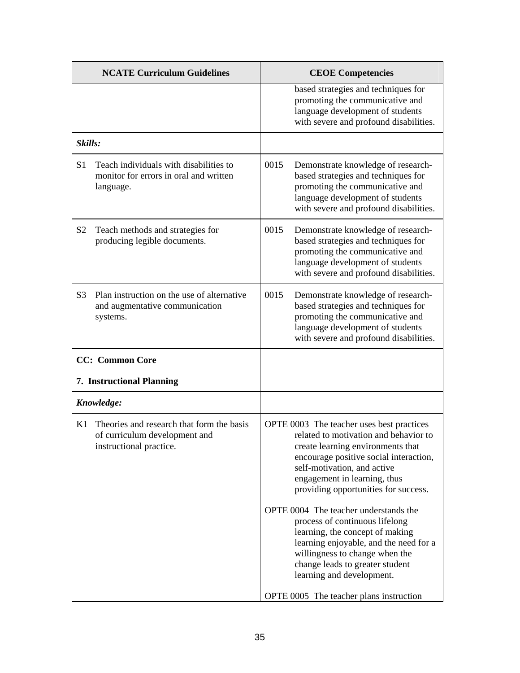|                | <b>NCATE Curriculum Guidelines</b>                                                                    |      | <b>CEOE Competencies</b>                                                                                                                                                                                                                                                                                                                                                                                                                                                                                                           |
|----------------|-------------------------------------------------------------------------------------------------------|------|------------------------------------------------------------------------------------------------------------------------------------------------------------------------------------------------------------------------------------------------------------------------------------------------------------------------------------------------------------------------------------------------------------------------------------------------------------------------------------------------------------------------------------|
|                |                                                                                                       |      | based strategies and techniques for<br>promoting the communicative and<br>language development of students<br>with severe and profound disabilities.                                                                                                                                                                                                                                                                                                                                                                               |
| Skills:        |                                                                                                       |      |                                                                                                                                                                                                                                                                                                                                                                                                                                                                                                                                    |
| S <sub>1</sub> | Teach individuals with disabilities to<br>monitor for errors in oral and written<br>language.         | 0015 | Demonstrate knowledge of research-<br>based strategies and techniques for<br>promoting the communicative and<br>language development of students<br>with severe and profound disabilities.                                                                                                                                                                                                                                                                                                                                         |
| S <sub>2</sub> | Teach methods and strategies for<br>producing legible documents.                                      | 0015 | Demonstrate knowledge of research-<br>based strategies and techniques for<br>promoting the communicative and<br>language development of students<br>with severe and profound disabilities.                                                                                                                                                                                                                                                                                                                                         |
| S <sub>3</sub> | Plan instruction on the use of alternative<br>and augmentative communication<br>systems.              | 0015 | Demonstrate knowledge of research-<br>based strategies and techniques for<br>promoting the communicative and<br>language development of students<br>with severe and profound disabilities.                                                                                                                                                                                                                                                                                                                                         |
|                | <b>CC:</b> Common Core                                                                                |      |                                                                                                                                                                                                                                                                                                                                                                                                                                                                                                                                    |
|                | 7. Instructional Planning                                                                             |      |                                                                                                                                                                                                                                                                                                                                                                                                                                                                                                                                    |
|                | Knowledge:                                                                                            |      |                                                                                                                                                                                                                                                                                                                                                                                                                                                                                                                                    |
| K1             | Theories and research that form the basis<br>of curriculum development and<br>instructional practice. |      | OPTE 0003 The teacher uses best practices<br>related to motivation and behavior to<br>create learning environments that<br>encourage positive social interaction,<br>self-motivation, and active<br>engagement in learning, thus<br>providing opportunities for success.<br>OPTE 0004 The teacher understands the<br>process of continuous lifelong<br>learning, the concept of making<br>learning enjoyable, and the need for a<br>willingness to change when the<br>change leads to greater student<br>learning and development. |
|                |                                                                                                       |      | OPTE 0005 The teacher plans instruction                                                                                                                                                                                                                                                                                                                                                                                                                                                                                            |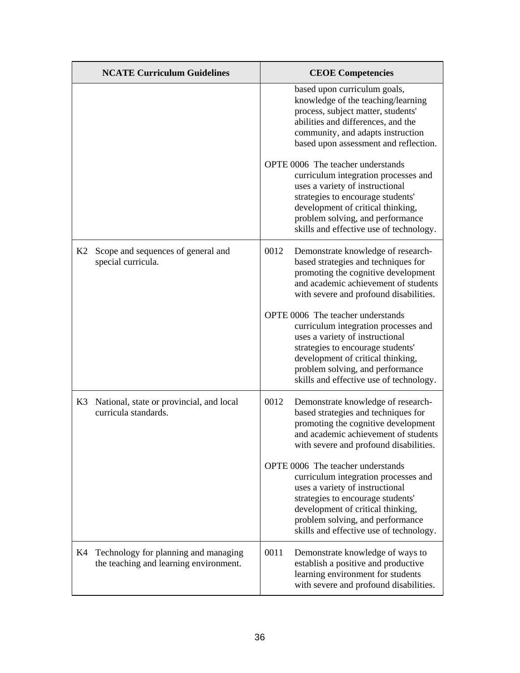|    | <b>NCATE Curriculum Guidelines</b>                                             | <b>CEOE Competencies</b>                                                                                                                                                                                                                                                                                                                                                                                                                                   |  |
|----|--------------------------------------------------------------------------------|------------------------------------------------------------------------------------------------------------------------------------------------------------------------------------------------------------------------------------------------------------------------------------------------------------------------------------------------------------------------------------------------------------------------------------------------------------|--|
|    |                                                                                | based upon curriculum goals,<br>knowledge of the teaching/learning<br>process, subject matter, students'<br>abilities and differences, and the<br>community, and adapts instruction<br>based upon assessment and reflection.<br>OPTE 0006 The teacher understands<br>curriculum integration processes and<br>uses a variety of instructional<br>strategies to encourage students'<br>development of critical thinking,<br>problem solving, and performance |  |
| K2 | Scope and sequences of general and<br>special curricula.                       | skills and effective use of technology.<br>0012<br>Demonstrate knowledge of research-<br>based strategies and techniques for<br>promoting the cognitive development<br>and academic achievement of students<br>with severe and profound disabilities.                                                                                                                                                                                                      |  |
|    |                                                                                | OPTE 0006 The teacher understands<br>curriculum integration processes and<br>uses a variety of instructional<br>strategies to encourage students'<br>development of critical thinking,<br>problem solving, and performance<br>skills and effective use of technology.                                                                                                                                                                                      |  |
| K3 | National, state or provincial, and local<br>curricula standards.               | 0012<br>Demonstrate knowledge of research-<br>based strategies and techniques for<br>promoting the cognitive development<br>and academic achievement of students<br>with severe and profound disabilities.                                                                                                                                                                                                                                                 |  |
|    |                                                                                | OPTE 0006 The teacher understands<br>curriculum integration processes and<br>uses a variety of instructional<br>strategies to encourage students'<br>development of critical thinking,<br>problem solving, and performance<br>skills and effective use of technology.                                                                                                                                                                                      |  |
| K4 | Technology for planning and managing<br>the teaching and learning environment. | 0011<br>Demonstrate knowledge of ways to<br>establish a positive and productive<br>learning environment for students<br>with severe and profound disabilities.                                                                                                                                                                                                                                                                                             |  |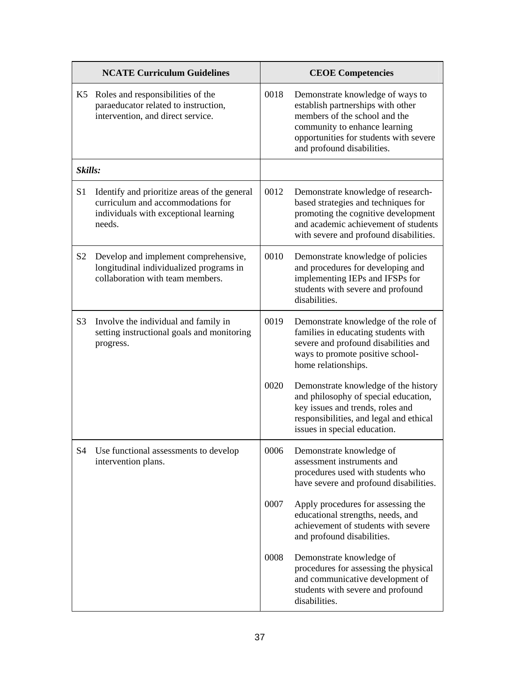| <b>NCATE Curriculum Guidelines</b> |                                                                                                                                      | <b>CEOE Competencies</b> |                                                                                                                                                                                                                 |
|------------------------------------|--------------------------------------------------------------------------------------------------------------------------------------|--------------------------|-----------------------------------------------------------------------------------------------------------------------------------------------------------------------------------------------------------------|
| K5                                 | Roles and responsibilities of the<br>paraeducator related to instruction,<br>intervention, and direct service.                       | 0018                     | Demonstrate knowledge of ways to<br>establish partnerships with other<br>members of the school and the<br>community to enhance learning<br>opportunities for students with severe<br>and profound disabilities. |
| Skills:                            |                                                                                                                                      |                          |                                                                                                                                                                                                                 |
| S <sub>1</sub>                     | Identify and prioritize areas of the general<br>curriculum and accommodations for<br>individuals with exceptional learning<br>needs. | 0012                     | Demonstrate knowledge of research-<br>based strategies and techniques for<br>promoting the cognitive development<br>and academic achievement of students<br>with severe and profound disabilities.              |
| S <sub>2</sub>                     | Develop and implement comprehensive,<br>longitudinal individualized programs in<br>collaboration with team members.                  | 0010                     | Demonstrate knowledge of policies<br>and procedures for developing and<br>implementing IEPs and IFSPs for<br>students with severe and profound<br>disabilities.                                                 |
| S <sub>3</sub>                     | Involve the individual and family in<br>setting instructional goals and monitoring<br>progress.                                      | 0019                     | Demonstrate knowledge of the role of<br>families in educating students with<br>severe and profound disabilities and<br>ways to promote positive school-<br>home relationships.                                  |
|                                    |                                                                                                                                      | 0020                     | Demonstrate knowledge of the history<br>and philosophy of special education,<br>key issues and trends, roles and<br>responsibilities, and legal and ethical<br>issues in special education.                     |
| S4                                 | Use functional assessments to develop<br>intervention plans.                                                                         | 0006                     | Demonstrate knowledge of<br>assessment instruments and<br>procedures used with students who<br>have severe and profound disabilities.                                                                           |
|                                    |                                                                                                                                      | 0007                     | Apply procedures for assessing the<br>educational strengths, needs, and<br>achievement of students with severe<br>and profound disabilities.                                                                    |
|                                    |                                                                                                                                      | 0008                     | Demonstrate knowledge of<br>procedures for assessing the physical<br>and communicative development of<br>students with severe and profound<br>disabilities.                                                     |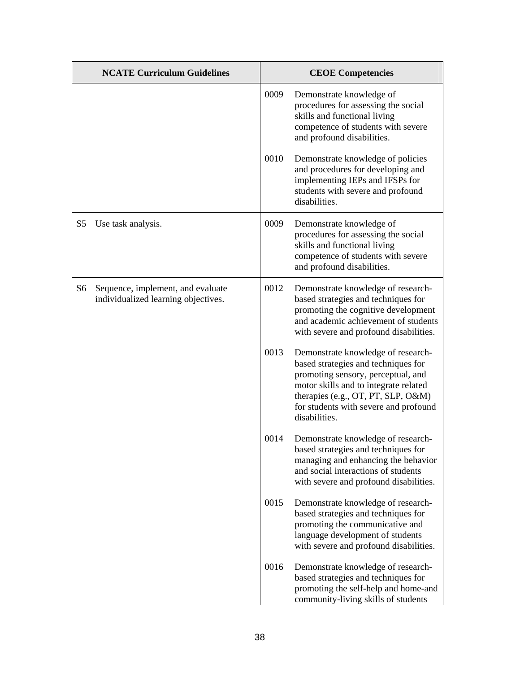|                | <b>NCATE Curriculum Guidelines</b>                                       |      | <b>CEOE Competencies</b>                                                                                                                                                                                                                                 |
|----------------|--------------------------------------------------------------------------|------|----------------------------------------------------------------------------------------------------------------------------------------------------------------------------------------------------------------------------------------------------------|
|                |                                                                          | 0009 | Demonstrate knowledge of<br>procedures for assessing the social<br>skills and functional living<br>competence of students with severe<br>and profound disabilities.                                                                                      |
|                |                                                                          | 0010 | Demonstrate knowledge of policies<br>and procedures for developing and<br>implementing IEPs and IFSPs for<br>students with severe and profound<br>disabilities.                                                                                          |
| S <sub>5</sub> | Use task analysis.                                                       | 0009 | Demonstrate knowledge of<br>procedures for assessing the social<br>skills and functional living<br>competence of students with severe<br>and profound disabilities.                                                                                      |
| S <sub>6</sub> | Sequence, implement, and evaluate<br>individualized learning objectives. | 0012 | Demonstrate knowledge of research-<br>based strategies and techniques for<br>promoting the cognitive development<br>and academic achievement of students<br>with severe and profound disabilities.                                                       |
|                |                                                                          | 0013 | Demonstrate knowledge of research-<br>based strategies and techniques for<br>promoting sensory, perceptual, and<br>motor skills and to integrate related<br>therapies (e.g., OT, PT, SLP, O&M)<br>for students with severe and profound<br>disabilities. |
|                |                                                                          | 0014 | Demonstrate knowledge of research-<br>based strategies and techniques for<br>managing and enhancing the behavior<br>and social interactions of students<br>with severe and profound disabilities.                                                        |
|                |                                                                          | 0015 | Demonstrate knowledge of research-<br>based strategies and techniques for<br>promoting the communicative and<br>language development of students<br>with severe and profound disabilities.                                                               |
|                |                                                                          | 0016 | Demonstrate knowledge of research-<br>based strategies and techniques for<br>promoting the self-help and home-and<br>community-living skills of students                                                                                                 |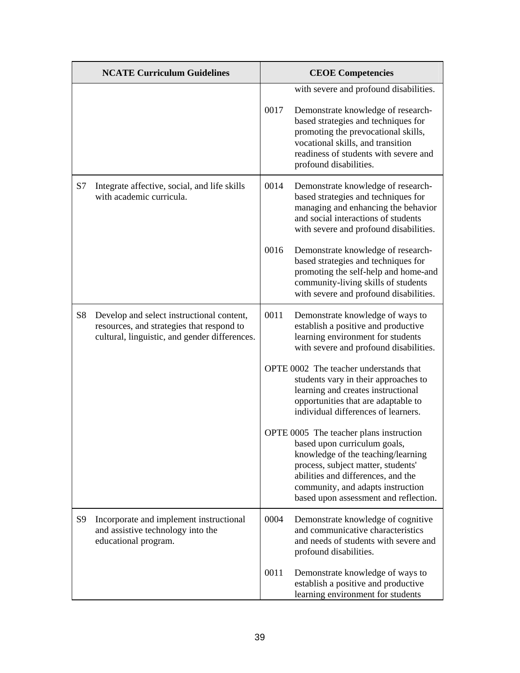|                | <b>NCATE Curriculum Guidelines</b>                                                                                                      | <b>CEOE Competencies</b> |                                                                                                                                                                                                                                                                         |
|----------------|-----------------------------------------------------------------------------------------------------------------------------------------|--------------------------|-------------------------------------------------------------------------------------------------------------------------------------------------------------------------------------------------------------------------------------------------------------------------|
|                |                                                                                                                                         | 0017                     | with severe and profound disabilities.<br>Demonstrate knowledge of research-<br>based strategies and techniques for<br>promoting the prevocational skills,<br>vocational skills, and transition<br>readiness of students with severe and<br>profound disabilities.      |
| S7             | Integrate affective, social, and life skills<br>with academic curricula.                                                                | 0014                     | Demonstrate knowledge of research-<br>based strategies and techniques for<br>managing and enhancing the behavior<br>and social interactions of students<br>with severe and profound disabilities.                                                                       |
|                |                                                                                                                                         | 0016                     | Demonstrate knowledge of research-<br>based strategies and techniques for<br>promoting the self-help and home-and<br>community-living skills of students<br>with severe and profound disabilities.                                                                      |
| S <sub>8</sub> | Develop and select instructional content,<br>resources, and strategies that respond to<br>cultural, linguistic, and gender differences. | 0011                     | Demonstrate knowledge of ways to<br>establish a positive and productive<br>learning environment for students<br>with severe and profound disabilities.                                                                                                                  |
|                |                                                                                                                                         |                          | OPTE 0002 The teacher understands that<br>students vary in their approaches to<br>learning and creates instructional<br>opportunities that are adaptable to<br>individual differences of learners.                                                                      |
|                |                                                                                                                                         |                          | OPTE 0005 The teacher plans instruction<br>based upon curriculum goals,<br>knowledge of the teaching/learning<br>process, subject matter, students'<br>abilities and differences, and the<br>community, and adapts instruction<br>based upon assessment and reflection. |
| S <sub>9</sub> | Incorporate and implement instructional<br>and assistive technology into the<br>educational program.                                    | 0004                     | Demonstrate knowledge of cognitive<br>and communicative characteristics<br>and needs of students with severe and<br>profound disabilities.                                                                                                                              |
|                |                                                                                                                                         | 0011                     | Demonstrate knowledge of ways to<br>establish a positive and productive<br>learning environment for students                                                                                                                                                            |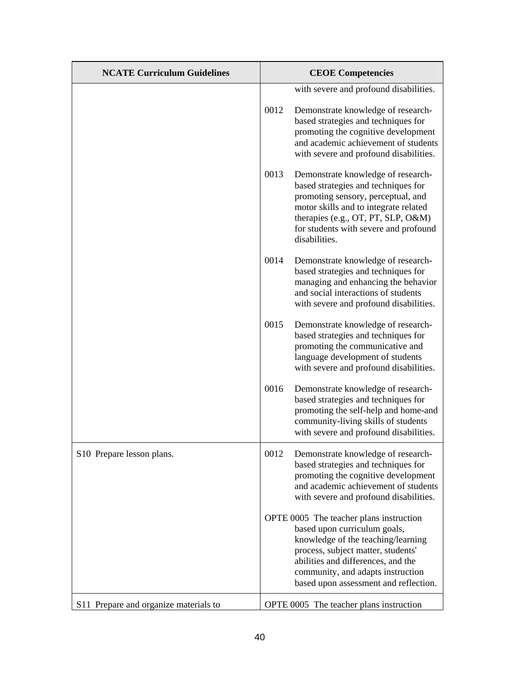| <b>NCATE Curriculum Guidelines</b>    |      | <b>CEOE Competencies</b>                                                                                                                                                                                                                                                |
|---------------------------------------|------|-------------------------------------------------------------------------------------------------------------------------------------------------------------------------------------------------------------------------------------------------------------------------|
|                                       |      | with severe and profound disabilities.                                                                                                                                                                                                                                  |
|                                       | 0012 | Demonstrate knowledge of research-<br>based strategies and techniques for<br>promoting the cognitive development<br>and academic achievement of students<br>with severe and profound disabilities.                                                                      |
|                                       | 0013 | Demonstrate knowledge of research-<br>based strategies and techniques for<br>promoting sensory, perceptual, and<br>motor skills and to integrate related<br>therapies (e.g., OT, PT, SLP, O&M)<br>for students with severe and profound<br>disabilities.                |
|                                       | 0014 | Demonstrate knowledge of research-<br>based strategies and techniques for<br>managing and enhancing the behavior<br>and social interactions of students<br>with severe and profound disabilities.                                                                       |
|                                       | 0015 | Demonstrate knowledge of research-<br>based strategies and techniques for<br>promoting the communicative and<br>language development of students<br>with severe and profound disabilities.                                                                              |
|                                       | 0016 | Demonstrate knowledge of research-<br>based strategies and techniques for<br>promoting the self-help and home-and<br>community-living skills of students<br>with severe and profound disabilities.                                                                      |
| S10 Prepare lesson plans.             | 0012 | Demonstrate knowledge of research-<br>based strategies and techniques for<br>promoting the cognitive development<br>and academic achievement of students<br>with severe and profound disabilities.                                                                      |
|                                       |      | OPTE 0005 The teacher plans instruction<br>based upon curriculum goals,<br>knowledge of the teaching/learning<br>process, subject matter, students'<br>abilities and differences, and the<br>community, and adapts instruction<br>based upon assessment and reflection. |
| S11 Prepare and organize materials to |      | OPTE 0005 The teacher plans instruction                                                                                                                                                                                                                                 |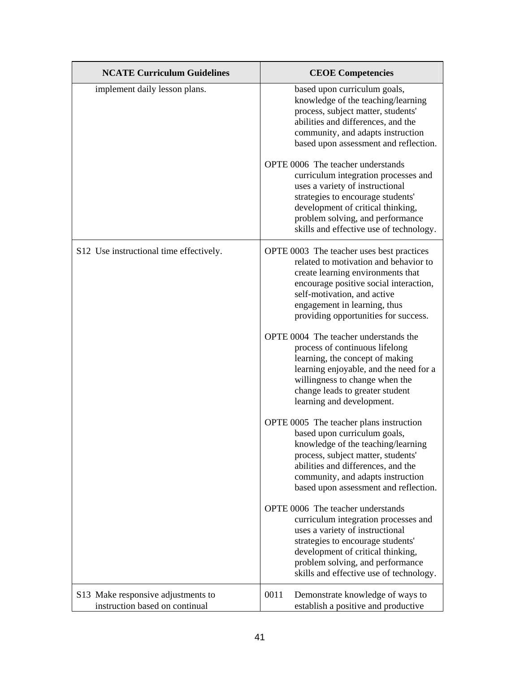| <b>NCATE Curriculum Guidelines</b>                                   | <b>CEOE Competencies</b>                                                                                                                                                                                                                                                 |
|----------------------------------------------------------------------|--------------------------------------------------------------------------------------------------------------------------------------------------------------------------------------------------------------------------------------------------------------------------|
| implement daily lesson plans.                                        | based upon curriculum goals,<br>knowledge of the teaching/learning<br>process, subject matter, students'<br>abilities and differences, and the<br>community, and adapts instruction<br>based upon assessment and reflection.                                             |
|                                                                      | OPTE 0006 The teacher understands<br>curriculum integration processes and<br>uses a variety of instructional<br>strategies to encourage students'<br>development of critical thinking,<br>problem solving, and performance<br>skills and effective use of technology.    |
| S12 Use instructional time effectively.                              | OPTE 0003 The teacher uses best practices<br>related to motivation and behavior to<br>create learning environments that<br>encourage positive social interaction,<br>self-motivation, and active<br>engagement in learning, thus<br>providing opportunities for success. |
|                                                                      | OPTE 0004 The teacher understands the<br>process of continuous lifelong<br>learning, the concept of making<br>learning enjoyable, and the need for a<br>willingness to change when the<br>change leads to greater student<br>learning and development.                   |
|                                                                      | OPTE 0005 The teacher plans instruction<br>based upon curriculum goals,<br>knowledge of the teaching/learning<br>process, subject matter, students'<br>abilities and differences, and the<br>community, and adapts instruction<br>based upon assessment and reflection.  |
|                                                                      | OPTE 0006 The teacher understands<br>curriculum integration processes and<br>uses a variety of instructional<br>strategies to encourage students'<br>development of critical thinking,<br>problem solving, and performance<br>skills and effective use of technology.    |
| S13 Make responsive adjustments to<br>instruction based on continual | 0011<br>Demonstrate knowledge of ways to<br>establish a positive and productive                                                                                                                                                                                          |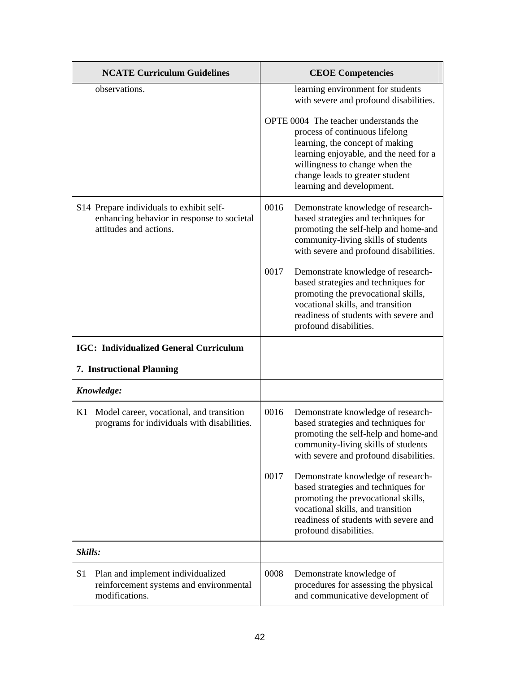| <b>NCATE Curriculum Guidelines</b>                                                                               | <b>CEOE Competencies</b>                                                                                                                                                                                                                               |
|------------------------------------------------------------------------------------------------------------------|--------------------------------------------------------------------------------------------------------------------------------------------------------------------------------------------------------------------------------------------------------|
| observations.                                                                                                    | learning environment for students<br>with severe and profound disabilities.                                                                                                                                                                            |
|                                                                                                                  | OPTE 0004 The teacher understands the<br>process of continuous lifelong<br>learning, the concept of making<br>learning enjoyable, and the need for a<br>willingness to change when the<br>change leads to greater student<br>learning and development. |
| S14 Prepare individuals to exhibit self-<br>enhancing behavior in response to societal<br>attitudes and actions. | 0016<br>Demonstrate knowledge of research-<br>based strategies and techniques for<br>promoting the self-help and home-and<br>community-living skills of students<br>with severe and profound disabilities.                                             |
|                                                                                                                  | 0017<br>Demonstrate knowledge of research-<br>based strategies and techniques for<br>promoting the prevocational skills,<br>vocational skills, and transition<br>readiness of students with severe and<br>profound disabilities.                       |
| <b>IGC: Individualized General Curriculum</b>                                                                    |                                                                                                                                                                                                                                                        |
| 7. Instructional Planning                                                                                        |                                                                                                                                                                                                                                                        |
| Knowledge:                                                                                                       |                                                                                                                                                                                                                                                        |
| K1<br>Model career, vocational, and transition<br>programs for individuals with disabilities.                    | 0016<br>Demonstrate knowledge of research-<br>based strategies and techniques for<br>promoting the self-help and home-and<br>community-living skills of students<br>with severe and profound disabilities.                                             |
|                                                                                                                  | 0017<br>Demonstrate knowledge of research-<br>based strategies and techniques for<br>promoting the prevocational skills,<br>vocational skills, and transition<br>readiness of students with severe and<br>profound disabilities.                       |
| Skills:                                                                                                          |                                                                                                                                                                                                                                                        |
| S <sub>1</sub><br>Plan and implement individualized<br>reinforcement systems and environmental<br>modifications. | 0008<br>Demonstrate knowledge of<br>procedures for assessing the physical<br>and communicative development of                                                                                                                                          |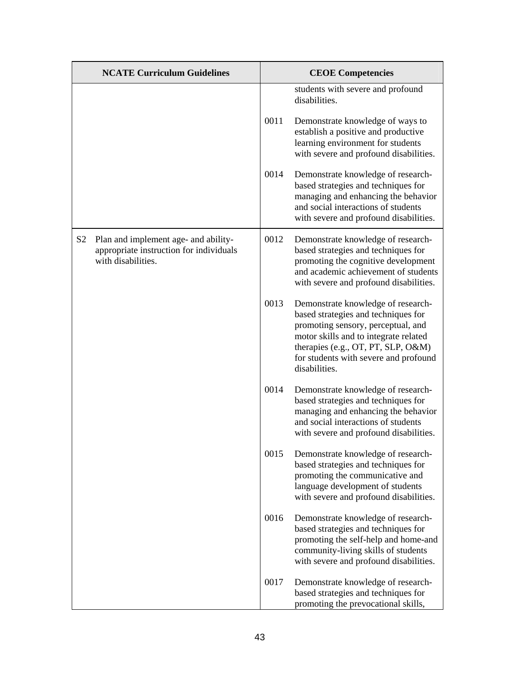|                | <b>NCATE Curriculum Guidelines</b>                                                                    | <b>CEOE Competencies</b> |                                                                                                                                                                                                                                                          |
|----------------|-------------------------------------------------------------------------------------------------------|--------------------------|----------------------------------------------------------------------------------------------------------------------------------------------------------------------------------------------------------------------------------------------------------|
|                |                                                                                                       |                          | students with severe and profound<br>disabilities.                                                                                                                                                                                                       |
|                |                                                                                                       | 0011                     | Demonstrate knowledge of ways to<br>establish a positive and productive<br>learning environment for students<br>with severe and profound disabilities.                                                                                                   |
|                |                                                                                                       | 0014                     | Demonstrate knowledge of research-<br>based strategies and techniques for<br>managing and enhancing the behavior<br>and social interactions of students<br>with severe and profound disabilities.                                                        |
| S <sub>2</sub> | Plan and implement age- and ability-<br>appropriate instruction for individuals<br>with disabilities. | 0012                     | Demonstrate knowledge of research-<br>based strategies and techniques for<br>promoting the cognitive development<br>and academic achievement of students<br>with severe and profound disabilities.                                                       |
|                |                                                                                                       | 0013                     | Demonstrate knowledge of research-<br>based strategies and techniques for<br>promoting sensory, perceptual, and<br>motor skills and to integrate related<br>therapies (e.g., OT, PT, SLP, O&M)<br>for students with severe and profound<br>disabilities. |
|                |                                                                                                       | 0014                     | Demonstrate knowledge of research-<br>based strategies and techniques for<br>managing and enhancing the behavior<br>and social interactions of students<br>with severe and profound disabilities.                                                        |
|                |                                                                                                       | 0015                     | Demonstrate knowledge of research-<br>based strategies and techniques for<br>promoting the communicative and<br>language development of students<br>with severe and profound disabilities.                                                               |
|                |                                                                                                       | 0016                     | Demonstrate knowledge of research-<br>based strategies and techniques for<br>promoting the self-help and home-and<br>community-living skills of students<br>with severe and profound disabilities.                                                       |
|                |                                                                                                       | 0017                     | Demonstrate knowledge of research-<br>based strategies and techniques for<br>promoting the prevocational skills,                                                                                                                                         |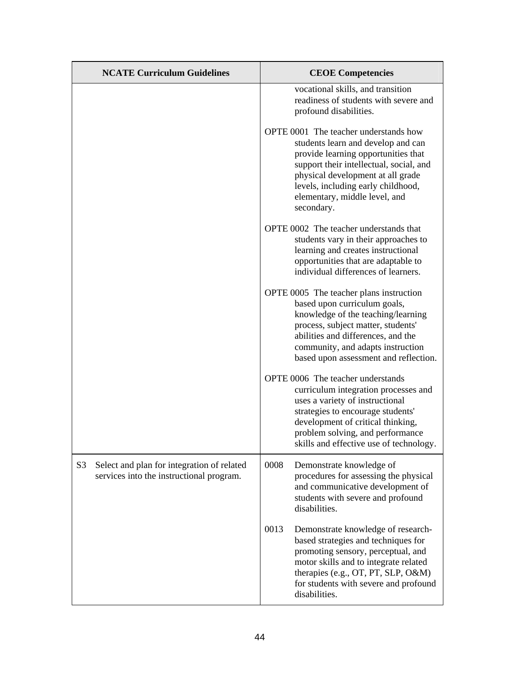| <b>NCATE Curriculum Guidelines</b>                                                                       | <b>CEOE Competencies</b>                                                                                                                                                                                                                                                                |
|----------------------------------------------------------------------------------------------------------|-----------------------------------------------------------------------------------------------------------------------------------------------------------------------------------------------------------------------------------------------------------------------------------------|
|                                                                                                          | vocational skills, and transition<br>readiness of students with severe and<br>profound disabilities.                                                                                                                                                                                    |
|                                                                                                          | OPTE 0001 The teacher understands how<br>students learn and develop and can<br>provide learning opportunities that<br>support their intellectual, social, and<br>physical development at all grade<br>levels, including early childhood,<br>elementary, middle level, and<br>secondary. |
|                                                                                                          | OPTE 0002 The teacher understands that<br>students vary in their approaches to<br>learning and creates instructional<br>opportunities that are adaptable to<br>individual differences of learners.                                                                                      |
|                                                                                                          | OPTE 0005 The teacher plans instruction<br>based upon curriculum goals,<br>knowledge of the teaching/learning<br>process, subject matter, students'<br>abilities and differences, and the<br>community, and adapts instruction<br>based upon assessment and reflection.                 |
|                                                                                                          | OPTE 0006 The teacher understands<br>curriculum integration processes and<br>uses a variety of instructional<br>strategies to encourage students'<br>development of critical thinking,<br>problem solving, and performance<br>skills and effective use of technology.                   |
| S <sub>3</sub><br>Select and plan for integration of related<br>services into the instructional program. | 0008<br>Demonstrate knowledge of<br>procedures for assessing the physical<br>and communicative development of<br>students with severe and profound<br>disabilities.                                                                                                                     |
|                                                                                                          | 0013<br>Demonstrate knowledge of research-<br>based strategies and techniques for<br>promoting sensory, perceptual, and<br>motor skills and to integrate related<br>therapies (e.g., OT, PT, SLP, O&M)<br>for students with severe and profound<br>disabilities.                        |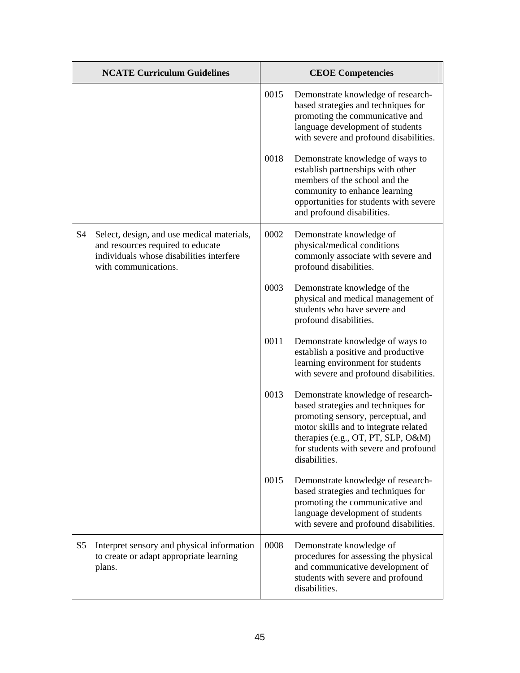|                | <b>NCATE Curriculum Guidelines</b>                                                                                                                  |      | <b>CEOE Competencies</b>                                                                                                                                                                                                                                 |
|----------------|-----------------------------------------------------------------------------------------------------------------------------------------------------|------|----------------------------------------------------------------------------------------------------------------------------------------------------------------------------------------------------------------------------------------------------------|
|                |                                                                                                                                                     | 0015 | Demonstrate knowledge of research-<br>based strategies and techniques for<br>promoting the communicative and<br>language development of students<br>with severe and profound disabilities.                                                               |
|                |                                                                                                                                                     | 0018 | Demonstrate knowledge of ways to<br>establish partnerships with other<br>members of the school and the<br>community to enhance learning<br>opportunities for students with severe<br>and profound disabilities.                                          |
| S <sub>4</sub> | Select, design, and use medical materials,<br>and resources required to educate<br>individuals whose disabilities interfere<br>with communications. | 0002 | Demonstrate knowledge of<br>physical/medical conditions<br>commonly associate with severe and<br>profound disabilities.                                                                                                                                  |
|                |                                                                                                                                                     | 0003 | Demonstrate knowledge of the<br>physical and medical management of<br>students who have severe and<br>profound disabilities.                                                                                                                             |
|                |                                                                                                                                                     | 0011 | Demonstrate knowledge of ways to<br>establish a positive and productive<br>learning environment for students<br>with severe and profound disabilities.                                                                                                   |
|                |                                                                                                                                                     | 0013 | Demonstrate knowledge of research-<br>based strategies and techniques for<br>promoting sensory, perceptual, and<br>motor skills and to integrate related<br>therapies (e.g., OT, PT, SLP, O&M)<br>for students with severe and profound<br>disabilities. |
|                |                                                                                                                                                     | 0015 | Demonstrate knowledge of research-<br>based strategies and techniques for<br>promoting the communicative and<br>language development of students<br>with severe and profound disabilities.                                                               |
| S <sub>5</sub> | Interpret sensory and physical information<br>to create or adapt appropriate learning<br>plans.                                                     | 0008 | Demonstrate knowledge of<br>procedures for assessing the physical<br>and communicative development of<br>students with severe and profound<br>disabilities.                                                                                              |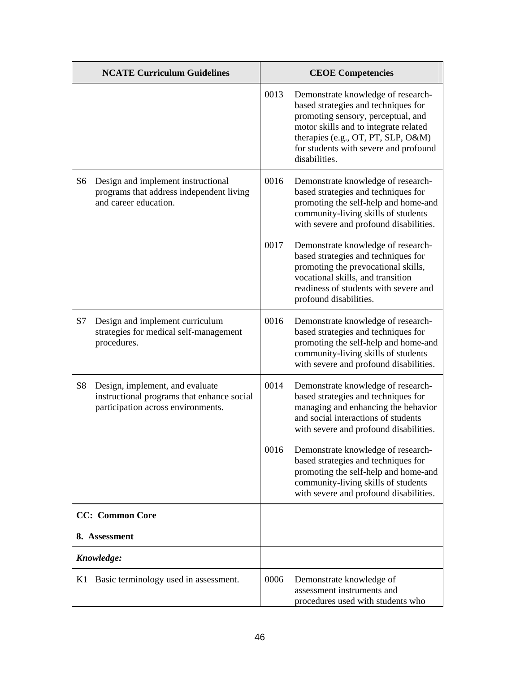|                | <b>NCATE Curriculum Guidelines</b>                                                                                  |      | <b>CEOE Competencies</b>                                                                                                                                                                                                                                 |
|----------------|---------------------------------------------------------------------------------------------------------------------|------|----------------------------------------------------------------------------------------------------------------------------------------------------------------------------------------------------------------------------------------------------------|
|                |                                                                                                                     | 0013 | Demonstrate knowledge of research-<br>based strategies and techniques for<br>promoting sensory, perceptual, and<br>motor skills and to integrate related<br>therapies (e.g., OT, PT, SLP, O&M)<br>for students with severe and profound<br>disabilities. |
| S <sub>6</sub> | Design and implement instructional<br>programs that address independent living<br>and career education.             | 0016 | Demonstrate knowledge of research-<br>based strategies and techniques for<br>promoting the self-help and home-and<br>community-living skills of students<br>with severe and profound disabilities.                                                       |
|                |                                                                                                                     | 0017 | Demonstrate knowledge of research-<br>based strategies and techniques for<br>promoting the prevocational skills,<br>vocational skills, and transition<br>readiness of students with severe and<br>profound disabilities.                                 |
| S7             | Design and implement curriculum<br>strategies for medical self-management<br>procedures.                            | 0016 | Demonstrate knowledge of research-<br>based strategies and techniques for<br>promoting the self-help and home-and<br>community-living skills of students<br>with severe and profound disabilities.                                                       |
| <b>S8</b>      | Design, implement, and evaluate<br>instructional programs that enhance social<br>participation across environments. | 0014 | Demonstrate knowledge of research-<br>based strategies and techniques for<br>managing and enhancing the behavior<br>and social interactions of students<br>with severe and profound disabilities.                                                        |
|                |                                                                                                                     | 0016 | Demonstrate knowledge of research-<br>based strategies and techniques for<br>promoting the self-help and home-and<br>community-living skills of students<br>with severe and profound disabilities.                                                       |
|                | <b>CC:</b> Common Core                                                                                              |      |                                                                                                                                                                                                                                                          |
|                | 8. Assessment                                                                                                       |      |                                                                                                                                                                                                                                                          |
|                | Knowledge:                                                                                                          |      |                                                                                                                                                                                                                                                          |
| K1             | Basic terminology used in assessment.                                                                               | 0006 | Demonstrate knowledge of<br>assessment instruments and<br>procedures used with students who                                                                                                                                                              |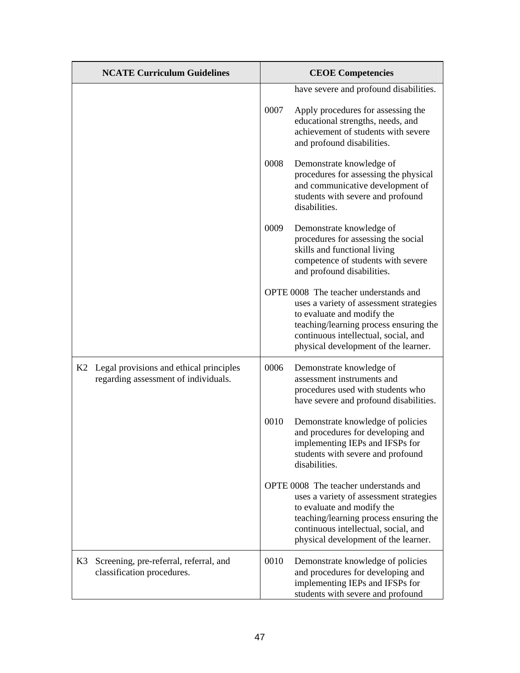|    | <b>NCATE Curriculum Guidelines</b>                                              | <b>CEOE Competencies</b> |                                                                                                                                                                                                                                          |
|----|---------------------------------------------------------------------------------|--------------------------|------------------------------------------------------------------------------------------------------------------------------------------------------------------------------------------------------------------------------------------|
|    |                                                                                 |                          | have severe and profound disabilities.                                                                                                                                                                                                   |
|    |                                                                                 | 0007                     | Apply procedures for assessing the<br>educational strengths, needs, and<br>achievement of students with severe<br>and profound disabilities.                                                                                             |
|    |                                                                                 | 0008                     | Demonstrate knowledge of<br>procedures for assessing the physical<br>and communicative development of<br>students with severe and profound<br>disabilities.                                                                              |
|    |                                                                                 | 0009                     | Demonstrate knowledge of<br>procedures for assessing the social<br>skills and functional living<br>competence of students with severe<br>and profound disabilities.                                                                      |
|    |                                                                                 |                          | OPTE 0008 The teacher understands and<br>uses a variety of assessment strategies<br>to evaluate and modify the<br>teaching/learning process ensuring the<br>continuous intellectual, social, and<br>physical development of the learner. |
| K2 | Legal provisions and ethical principles<br>regarding assessment of individuals. | 0006                     | Demonstrate knowledge of<br>assessment instruments and<br>procedures used with students who<br>have severe and profound disabilities.                                                                                                    |
|    |                                                                                 | 0010                     | Demonstrate knowledge of policies<br>and procedures for developing and<br>implementing IEPs and IFSPs for<br>students with severe and profound<br>disabilities.                                                                          |
|    |                                                                                 |                          | OPTE 0008 The teacher understands and<br>uses a variety of assessment strategies<br>to evaluate and modify the<br>teaching/learning process ensuring the<br>continuous intellectual, social, and<br>physical development of the learner. |
| K3 | Screening, pre-referral, referral, and<br>classification procedures.            | 0010                     | Demonstrate knowledge of policies<br>and procedures for developing and<br>implementing IEPs and IFSPs for<br>students with severe and profound                                                                                           |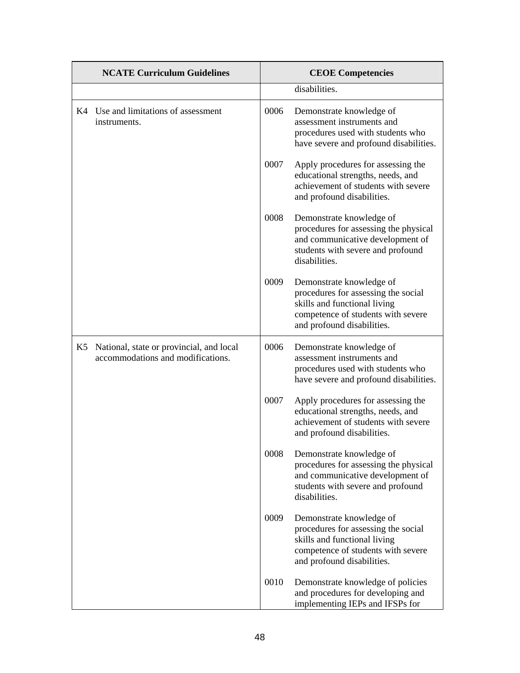| <b>NCATE Curriculum Guidelines</b> |                                                                                  | <b>CEOE Competencies</b> |                                                                                                                                                                     |
|------------------------------------|----------------------------------------------------------------------------------|--------------------------|---------------------------------------------------------------------------------------------------------------------------------------------------------------------|
|                                    |                                                                                  |                          | disabilities.                                                                                                                                                       |
|                                    | K4 Use and limitations of assessment<br>instruments.                             | 0006                     | Demonstrate knowledge of<br>assessment instruments and<br>procedures used with students who<br>have severe and profound disabilities.                               |
|                                    |                                                                                  | 0007                     | Apply procedures for assessing the<br>educational strengths, needs, and<br>achievement of students with severe<br>and profound disabilities.                        |
|                                    |                                                                                  | 0008                     | Demonstrate knowledge of<br>procedures for assessing the physical<br>and communicative development of<br>students with severe and profound<br>disabilities.         |
|                                    |                                                                                  | 0009                     | Demonstrate knowledge of<br>procedures for assessing the social<br>skills and functional living<br>competence of students with severe<br>and profound disabilities. |
|                                    | K5 National, state or provincial, and local<br>accommodations and modifications. | 0006                     | Demonstrate knowledge of<br>assessment instruments and<br>procedures used with students who<br>have severe and profound disabilities.                               |
|                                    |                                                                                  | 0007                     | Apply procedures for assessing the<br>educational strengths, needs, and<br>achievement of students with severe<br>and profound disabilities.                        |
|                                    |                                                                                  | 0008                     | Demonstrate knowledge of<br>procedures for assessing the physical<br>and communicative development of<br>students with severe and profound<br>disabilities.         |
|                                    |                                                                                  | 0009                     | Demonstrate knowledge of<br>procedures for assessing the social<br>skills and functional living<br>competence of students with severe<br>and profound disabilities. |
|                                    |                                                                                  | 0010                     | Demonstrate knowledge of policies<br>and procedures for developing and<br>implementing IEPs and IFSPs for                                                           |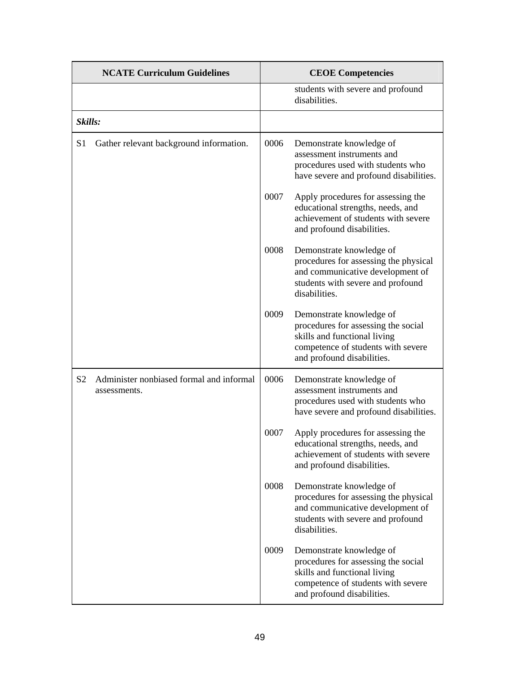|                | <b>NCATE Curriculum Guidelines</b>                       |      | <b>CEOE Competencies</b>                                                                                                                                            |
|----------------|----------------------------------------------------------|------|---------------------------------------------------------------------------------------------------------------------------------------------------------------------|
|                |                                                          |      | students with severe and profound<br>disabilities.                                                                                                                  |
| Skills:        |                                                          |      |                                                                                                                                                                     |
| S <sub>1</sub> | Gather relevant background information.                  | 0006 | Demonstrate knowledge of<br>assessment instruments and<br>procedures used with students who<br>have severe and profound disabilities.                               |
|                |                                                          | 0007 | Apply procedures for assessing the<br>educational strengths, needs, and<br>achievement of students with severe<br>and profound disabilities.                        |
|                |                                                          | 0008 | Demonstrate knowledge of<br>procedures for assessing the physical<br>and communicative development of<br>students with severe and profound<br>disabilities.         |
|                |                                                          | 0009 | Demonstrate knowledge of<br>procedures for assessing the social<br>skills and functional living<br>competence of students with severe<br>and profound disabilities. |
| S <sub>2</sub> | Administer nonbiased formal and informal<br>assessments. | 0006 | Demonstrate knowledge of<br>assessment instruments and<br>procedures used with students who<br>have severe and profound disabilities.                               |
|                |                                                          | 0007 | Apply procedures for assessing the<br>educational strengths, needs, and<br>achievement of students with severe<br>and profound disabilities.                        |
|                |                                                          | 0008 | Demonstrate knowledge of<br>procedures for assessing the physical<br>and communicative development of<br>students with severe and profound<br>disabilities.         |
|                |                                                          | 0009 | Demonstrate knowledge of<br>procedures for assessing the social<br>skills and functional living<br>competence of students with severe<br>and profound disabilities. |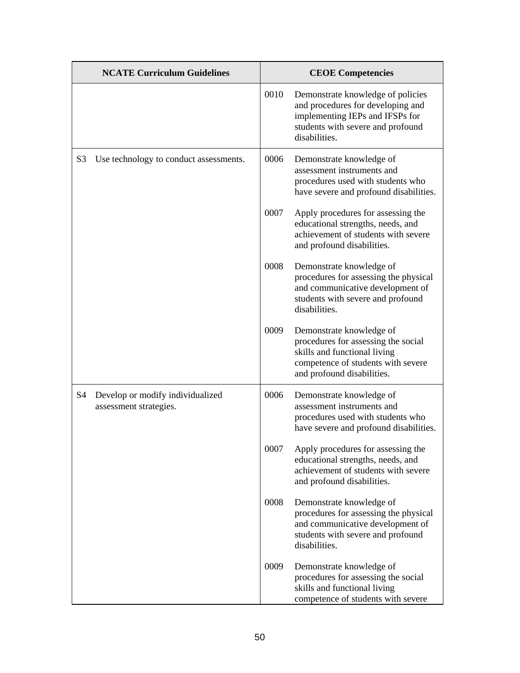| <b>NCATE Curriculum Guidelines</b> |                                                            | <b>CEOE Competencies</b> |                                                                                                                                                                     |
|------------------------------------|------------------------------------------------------------|--------------------------|---------------------------------------------------------------------------------------------------------------------------------------------------------------------|
|                                    |                                                            | 0010                     | Demonstrate knowledge of policies<br>and procedures for developing and<br>implementing IEPs and IFSPs for<br>students with severe and profound<br>disabilities.     |
| S <sub>3</sub>                     | Use technology to conduct assessments.                     | 0006                     | Demonstrate knowledge of<br>assessment instruments and<br>procedures used with students who<br>have severe and profound disabilities.                               |
|                                    |                                                            | 0007                     | Apply procedures for assessing the<br>educational strengths, needs, and<br>achievement of students with severe<br>and profound disabilities.                        |
|                                    |                                                            | 0008                     | Demonstrate knowledge of<br>procedures for assessing the physical<br>and communicative development of<br>students with severe and profound<br>disabilities.         |
|                                    |                                                            | 0009                     | Demonstrate knowledge of<br>procedures for assessing the social<br>skills and functional living<br>competence of students with severe<br>and profound disabilities. |
| S <sub>4</sub>                     | Develop or modify individualized<br>assessment strategies. | 0006                     | Demonstrate knowledge of<br>assessment instruments and<br>procedures used with students who<br>have severe and profound disabilities.                               |
|                                    |                                                            | 0007                     | Apply procedures for assessing the<br>educational strengths, needs, and<br>achievement of students with severe<br>and profound disabilities.                        |
|                                    |                                                            | 0008                     | Demonstrate knowledge of<br>procedures for assessing the physical<br>and communicative development of<br>students with severe and profound<br>disabilities.         |
|                                    |                                                            | 0009                     | Demonstrate knowledge of<br>procedures for assessing the social<br>skills and functional living<br>competence of students with severe                               |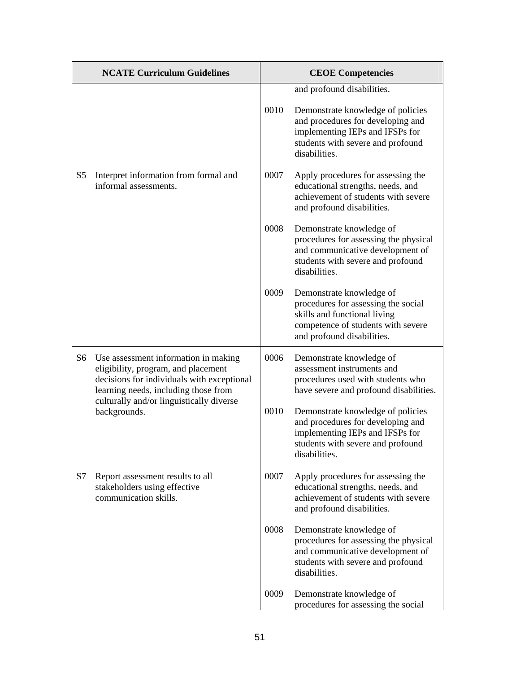|                | <b>NCATE Curriculum Guidelines</b>                                                                                                                                                                            |      | <b>CEOE Competencies</b>                                                                                                                                            |
|----------------|---------------------------------------------------------------------------------------------------------------------------------------------------------------------------------------------------------------|------|---------------------------------------------------------------------------------------------------------------------------------------------------------------------|
|                |                                                                                                                                                                                                               |      | and profound disabilities.                                                                                                                                          |
|                |                                                                                                                                                                                                               | 0010 | Demonstrate knowledge of policies<br>and procedures for developing and<br>implementing IEPs and IFSPs for<br>students with severe and profound<br>disabilities.     |
| S <sub>5</sub> | Interpret information from formal and<br>informal assessments.                                                                                                                                                | 0007 | Apply procedures for assessing the<br>educational strengths, needs, and<br>achievement of students with severe<br>and profound disabilities.                        |
|                |                                                                                                                                                                                                               | 0008 | Demonstrate knowledge of<br>procedures for assessing the physical<br>and communicative development of<br>students with severe and profound<br>disabilities.         |
|                |                                                                                                                                                                                                               | 0009 | Demonstrate knowledge of<br>procedures for assessing the social<br>skills and functional living<br>competence of students with severe<br>and profound disabilities. |
| S <sub>6</sub> | Use assessment information in making<br>eligibility, program, and placement<br>decisions for individuals with exceptional<br>learning needs, including those from<br>culturally and/or linguistically diverse | 0006 | Demonstrate knowledge of<br>assessment instruments and<br>procedures used with students who<br>have severe and profound disabilities.                               |
|                | backgrounds.                                                                                                                                                                                                  | 0010 | Demonstrate knowledge of policies<br>and procedures for developing and<br>implementing IEPs and IFSPs for<br>students with severe and profound<br>disabilities.     |
| S7             | Report assessment results to all<br>stakeholders using effective<br>communication skills.                                                                                                                     | 0007 | Apply procedures for assessing the<br>educational strengths, needs, and<br>achievement of students with severe<br>and profound disabilities.                        |
|                |                                                                                                                                                                                                               | 0008 | Demonstrate knowledge of<br>procedures for assessing the physical<br>and communicative development of<br>students with severe and profound<br>disabilities.         |
|                |                                                                                                                                                                                                               | 0009 | Demonstrate knowledge of<br>procedures for assessing the social                                                                                                     |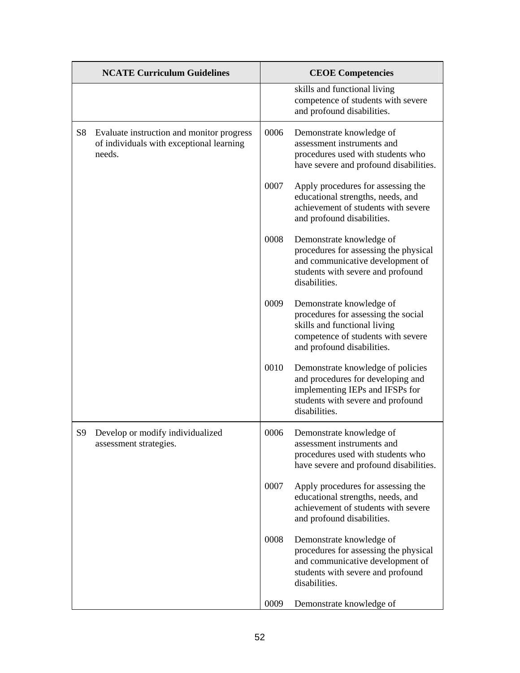|                | <b>NCATE Curriculum Guidelines</b>                                                              |      | <b>CEOE</b> Competencies                                                                                                                                            |
|----------------|-------------------------------------------------------------------------------------------------|------|---------------------------------------------------------------------------------------------------------------------------------------------------------------------|
|                |                                                                                                 |      | skills and functional living<br>competence of students with severe<br>and profound disabilities.                                                                    |
| S8             | Evaluate instruction and monitor progress<br>of individuals with exceptional learning<br>needs. | 0006 | Demonstrate knowledge of<br>assessment instruments and<br>procedures used with students who<br>have severe and profound disabilities.                               |
|                |                                                                                                 | 0007 | Apply procedures for assessing the<br>educational strengths, needs, and<br>achievement of students with severe<br>and profound disabilities.                        |
|                |                                                                                                 | 0008 | Demonstrate knowledge of<br>procedures for assessing the physical<br>and communicative development of<br>students with severe and profound<br>disabilities.         |
|                |                                                                                                 | 0009 | Demonstrate knowledge of<br>procedures for assessing the social<br>skills and functional living<br>competence of students with severe<br>and profound disabilities. |
|                |                                                                                                 | 0010 | Demonstrate knowledge of policies<br>and procedures for developing and<br>implementing IEPs and IFSPs for<br>students with severe and profound<br>disabilities.     |
| S <sub>9</sub> | Develop or modify individualized<br>assessment strategies.                                      | 0006 | Demonstrate knowledge of<br>assessment instruments and<br>procedures used with students who<br>have severe and profound disabilities.                               |
|                |                                                                                                 | 0007 | Apply procedures for assessing the<br>educational strengths, needs, and<br>achievement of students with severe<br>and profound disabilities.                        |
|                |                                                                                                 | 0008 | Demonstrate knowledge of<br>procedures for assessing the physical<br>and communicative development of<br>students with severe and profound<br>disabilities.         |
|                |                                                                                                 | 0009 | Demonstrate knowledge of                                                                                                                                            |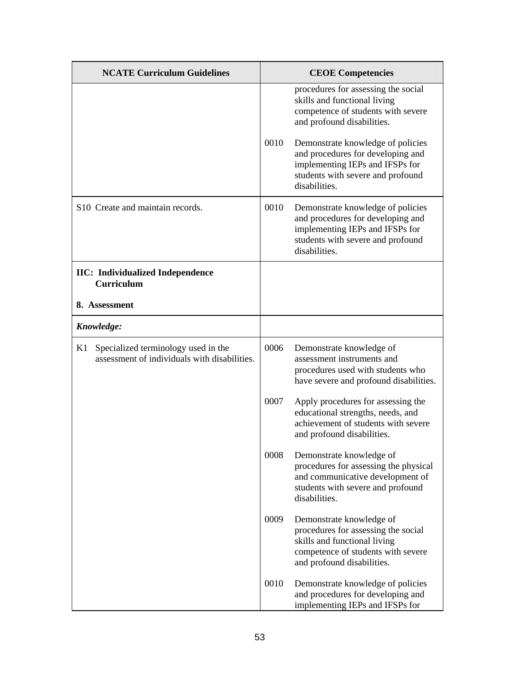| <b>NCATE Curriculum Guidelines</b>                                                        |      | <b>CEOE Competencies</b>                                                                                                                                            |
|-------------------------------------------------------------------------------------------|------|---------------------------------------------------------------------------------------------------------------------------------------------------------------------|
|                                                                                           |      | procedures for assessing the social<br>skills and functional living<br>competence of students with severe<br>and profound disabilities.                             |
|                                                                                           | 0010 | Demonstrate knowledge of policies<br>and procedures for developing and<br>implementing IEPs and IFSPs for<br>students with severe and profound<br>disabilities.     |
| S <sub>10</sub> Create and maintain records.                                              | 0010 | Demonstrate knowledge of policies<br>and procedures for developing and<br>implementing IEPs and IFSPs for<br>students with severe and profound<br>disabilities.     |
| <b>IIC:</b> Individualized Independence<br><b>Curriculum</b>                              |      |                                                                                                                                                                     |
| 8. Assessment                                                                             |      |                                                                                                                                                                     |
| Knowledge:                                                                                |      |                                                                                                                                                                     |
| Specialized terminology used in the<br>K1<br>assessment of individuals with disabilities. | 0006 | Demonstrate knowledge of<br>assessment instruments and<br>procedures used with students who<br>have severe and profound disabilities.                               |
|                                                                                           | 0007 | Apply procedures for assessing the<br>educational strengths, needs, and<br>achievement of students with severe<br>and profound disabilities.                        |
|                                                                                           | 0008 | Demonstrate knowledge of<br>procedures for assessing the physical<br>and communicative development of<br>students with severe and profound<br>disabilities.         |
|                                                                                           | 0009 | Demonstrate knowledge of<br>procedures for assessing the social<br>skills and functional living<br>competence of students with severe<br>and profound disabilities. |
|                                                                                           | 0010 | Demonstrate knowledge of policies<br>and procedures for developing and<br>implementing IEPs and IFSPs for                                                           |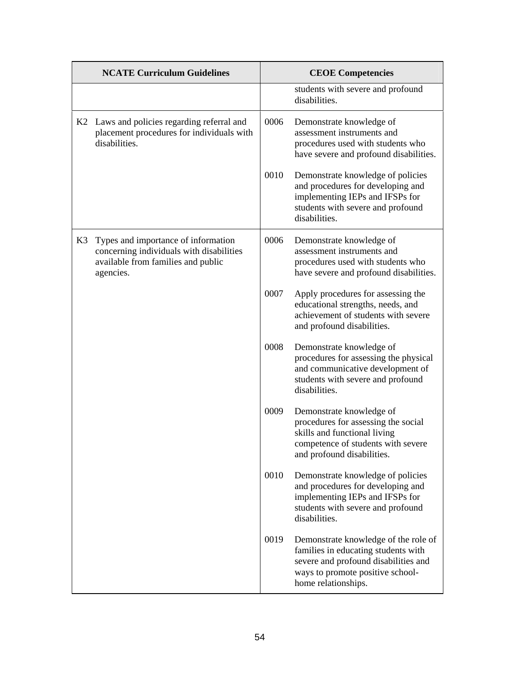|    | <b>NCATE Curriculum Guidelines</b>                                                                                                 | <b>CEOE Competencies</b> |                                                                                                                                                                                |
|----|------------------------------------------------------------------------------------------------------------------------------------|--------------------------|--------------------------------------------------------------------------------------------------------------------------------------------------------------------------------|
|    |                                                                                                                                    |                          | students with severe and profound<br>disabilities.                                                                                                                             |
|    | K2 Laws and policies regarding referral and<br>placement procedures for individuals with<br>disabilities.                          | 0006                     | Demonstrate knowledge of<br>assessment instruments and<br>procedures used with students who<br>have severe and profound disabilities.                                          |
|    |                                                                                                                                    | 0010                     | Demonstrate knowledge of policies<br>and procedures for developing and<br>implementing IEPs and IFSPs for<br>students with severe and profound<br>disabilities.                |
| K3 | Types and importance of information<br>concerning individuals with disabilities<br>available from families and public<br>agencies. | 0006                     | Demonstrate knowledge of<br>assessment instruments and<br>procedures used with students who<br>have severe and profound disabilities.                                          |
|    |                                                                                                                                    | 0007                     | Apply procedures for assessing the<br>educational strengths, needs, and<br>achievement of students with severe<br>and profound disabilities.                                   |
|    |                                                                                                                                    | 0008                     | Demonstrate knowledge of<br>procedures for assessing the physical<br>and communicative development of<br>students with severe and profound<br>disabilities.                    |
|    |                                                                                                                                    | 0009                     | Demonstrate knowledge of<br>procedures for assessing the social<br>skills and functional living<br>competence of students with severe<br>and profound disabilities.            |
|    |                                                                                                                                    | 0010                     | Demonstrate knowledge of policies<br>and procedures for developing and<br>implementing IEPs and IFSPs for<br>students with severe and profound<br>disabilities.                |
|    |                                                                                                                                    | 0019                     | Demonstrate knowledge of the role of<br>families in educating students with<br>severe and profound disabilities and<br>ways to promote positive school-<br>home relationships. |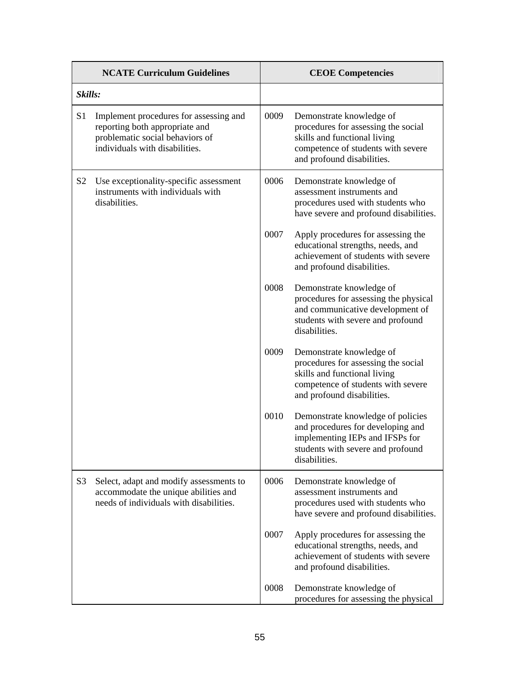| <b>NCATE Curriculum Guidelines</b> |                                                                                                                                               |      | <b>CEOE Competencies</b>                                                                                                                                            |
|------------------------------------|-----------------------------------------------------------------------------------------------------------------------------------------------|------|---------------------------------------------------------------------------------------------------------------------------------------------------------------------|
| Skills:                            |                                                                                                                                               |      |                                                                                                                                                                     |
| S <sub>1</sub>                     | Implement procedures for assessing and<br>reporting both appropriate and<br>problematic social behaviors of<br>individuals with disabilities. | 0009 | Demonstrate knowledge of<br>procedures for assessing the social<br>skills and functional living<br>competence of students with severe<br>and profound disabilities. |
| S <sub>2</sub>                     | Use exceptionality-specific assessment<br>instruments with individuals with<br>disabilities.                                                  | 0006 | Demonstrate knowledge of<br>assessment instruments and<br>procedures used with students who<br>have severe and profound disabilities.                               |
|                                    |                                                                                                                                               | 0007 | Apply procedures for assessing the<br>educational strengths, needs, and<br>achievement of students with severe<br>and profound disabilities.                        |
|                                    |                                                                                                                                               | 0008 | Demonstrate knowledge of<br>procedures for assessing the physical<br>and communicative development of<br>students with severe and profound<br>disabilities.         |
|                                    |                                                                                                                                               | 0009 | Demonstrate knowledge of<br>procedures for assessing the social<br>skills and functional living<br>competence of students with severe<br>and profound disabilities. |
|                                    |                                                                                                                                               | 0010 | Demonstrate knowledge of policies<br>and procedures for developing and<br>implementing IEPs and IFSPs for<br>students with severe and profound<br>disabilities.     |
| S <sub>3</sub>                     | Select, adapt and modify assessments to<br>accommodate the unique abilities and<br>needs of individuals with disabilities.                    | 0006 | Demonstrate knowledge of<br>assessment instruments and<br>procedures used with students who<br>have severe and profound disabilities.                               |
|                                    |                                                                                                                                               | 0007 | Apply procedures for assessing the<br>educational strengths, needs, and<br>achievement of students with severe<br>and profound disabilities.                        |
|                                    |                                                                                                                                               | 0008 | Demonstrate knowledge of<br>procedures for assessing the physical                                                                                                   |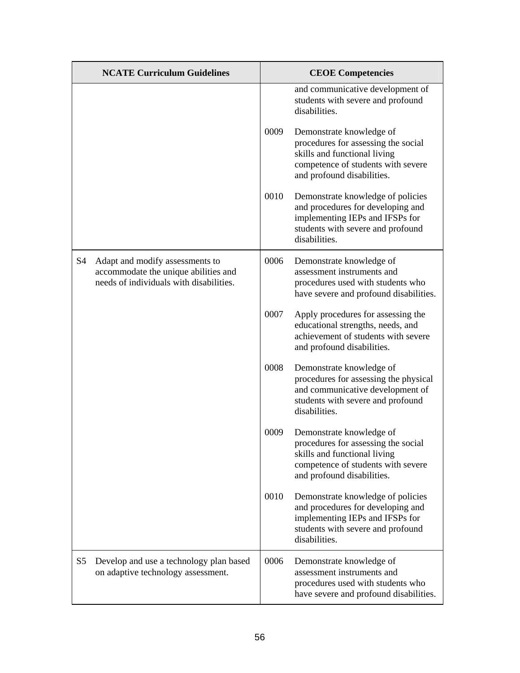|                | <b>NCATE Curriculum Guidelines</b>                                                                                 |      | <b>CEOE Competencies</b>                                                                                                                                            |
|----------------|--------------------------------------------------------------------------------------------------------------------|------|---------------------------------------------------------------------------------------------------------------------------------------------------------------------|
|                |                                                                                                                    |      | and communicative development of<br>students with severe and profound<br>disabilities.                                                                              |
|                |                                                                                                                    | 0009 | Demonstrate knowledge of<br>procedures for assessing the social<br>skills and functional living<br>competence of students with severe<br>and profound disabilities. |
|                |                                                                                                                    | 0010 | Demonstrate knowledge of policies<br>and procedures for developing and<br>implementing IEPs and IFSPs for<br>students with severe and profound<br>disabilities.     |
| S4             | Adapt and modify assessments to<br>accommodate the unique abilities and<br>needs of individuals with disabilities. | 0006 | Demonstrate knowledge of<br>assessment instruments and<br>procedures used with students who<br>have severe and profound disabilities.                               |
|                |                                                                                                                    | 0007 | Apply procedures for assessing the<br>educational strengths, needs, and<br>achievement of students with severe<br>and profound disabilities.                        |
|                |                                                                                                                    | 0008 | Demonstrate knowledge of<br>procedures for assessing the physical<br>and communicative development of<br>students with severe and profound<br>disabilities.         |
|                |                                                                                                                    | 0009 | Demonstrate knowledge of<br>procedures for assessing the social<br>skills and functional living<br>competence of students with severe<br>and profound disabilities. |
|                |                                                                                                                    | 0010 | Demonstrate knowledge of policies<br>and procedures for developing and<br>implementing IEPs and IFSPs for<br>students with severe and profound<br>disabilities.     |
| S <sub>5</sub> | Develop and use a technology plan based<br>on adaptive technology assessment.                                      | 0006 | Demonstrate knowledge of<br>assessment instruments and<br>procedures used with students who<br>have severe and profound disabilities.                               |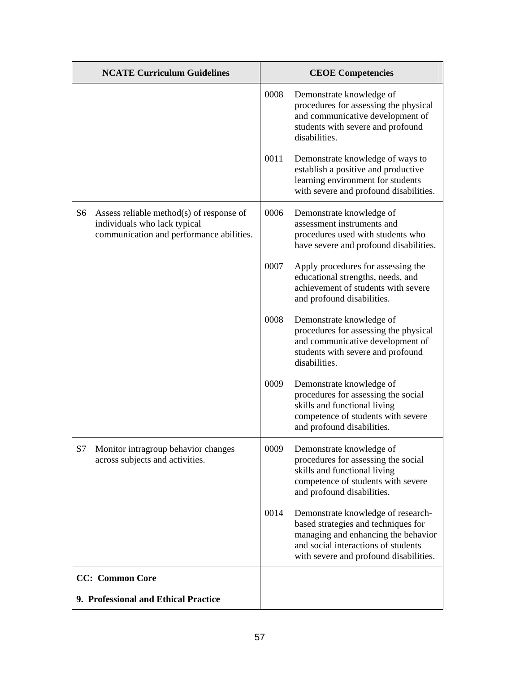|    | <b>NCATE Curriculum Guidelines</b>                                                                                   |      | <b>CEOE Competencies</b>                                                                                                                                                                          |
|----|----------------------------------------------------------------------------------------------------------------------|------|---------------------------------------------------------------------------------------------------------------------------------------------------------------------------------------------------|
|    |                                                                                                                      | 0008 | Demonstrate knowledge of<br>procedures for assessing the physical<br>and communicative development of<br>students with severe and profound<br>disabilities.                                       |
|    |                                                                                                                      | 0011 | Demonstrate knowledge of ways to<br>establish a positive and productive<br>learning environment for students<br>with severe and profound disabilities.                                            |
| S6 | Assess reliable method(s) of response of<br>individuals who lack typical<br>communication and performance abilities. | 0006 | Demonstrate knowledge of<br>assessment instruments and<br>procedures used with students who<br>have severe and profound disabilities.                                                             |
|    |                                                                                                                      | 0007 | Apply procedures for assessing the<br>educational strengths, needs, and<br>achievement of students with severe<br>and profound disabilities.                                                      |
|    |                                                                                                                      | 0008 | Demonstrate knowledge of<br>procedures for assessing the physical<br>and communicative development of<br>students with severe and profound<br>disabilities.                                       |
|    |                                                                                                                      | 0009 | Demonstrate knowledge of<br>procedures for assessing the social<br>skills and functional living<br>competence of students with severe<br>and profound disabilities.                               |
| S7 | Monitor intragroup behavior changes<br>across subjects and activities.                                               | 0009 | Demonstrate knowledge of<br>procedures for assessing the social<br>skills and functional living<br>competence of students with severe<br>and profound disabilities.                               |
|    |                                                                                                                      | 0014 | Demonstrate knowledge of research-<br>based strategies and techniques for<br>managing and enhancing the behavior<br>and social interactions of students<br>with severe and profound disabilities. |
|    | <b>CC:</b> Common Core                                                                                               |      |                                                                                                                                                                                                   |
|    | 9. Professional and Ethical Practice                                                                                 |      |                                                                                                                                                                                                   |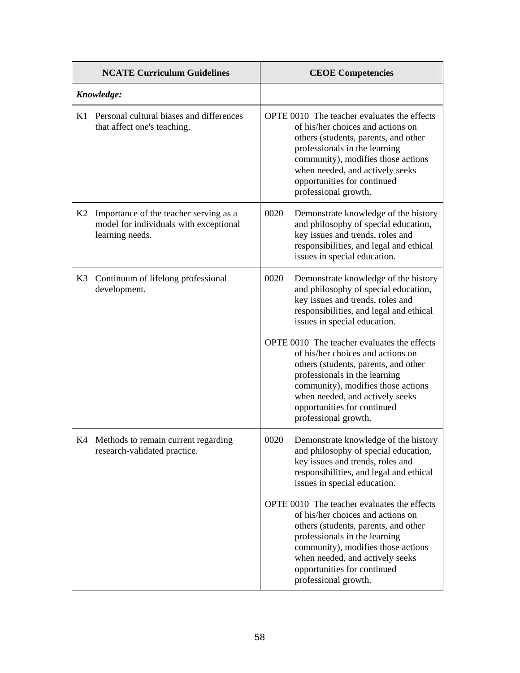|    | <b>NCATE Curriculum Guidelines</b>                                                                  | <b>CEOE Competencies</b>                                                                                                                                                                                                                                                                                                                                                                                                                                                                         |
|----|-----------------------------------------------------------------------------------------------------|--------------------------------------------------------------------------------------------------------------------------------------------------------------------------------------------------------------------------------------------------------------------------------------------------------------------------------------------------------------------------------------------------------------------------------------------------------------------------------------------------|
|    | Knowledge:                                                                                          |                                                                                                                                                                                                                                                                                                                                                                                                                                                                                                  |
| K1 | Personal cultural biases and differences<br>that affect one's teaching.                             | OPTE 0010 The teacher evaluates the effects<br>of his/her choices and actions on<br>others (students, parents, and other<br>professionals in the learning<br>community), modifies those actions<br>when needed, and actively seeks<br>opportunities for continued<br>professional growth.                                                                                                                                                                                                        |
| K2 | Importance of the teacher serving as a<br>model for individuals with exceptional<br>learning needs. | 0020<br>Demonstrate knowledge of the history<br>and philosophy of special education,<br>key issues and trends, roles and<br>responsibilities, and legal and ethical<br>issues in special education.                                                                                                                                                                                                                                                                                              |
| K3 | Continuum of lifelong professional<br>development.                                                  | 0020<br>Demonstrate knowledge of the history<br>and philosophy of special education,<br>key issues and trends, roles and<br>responsibilities, and legal and ethical<br>issues in special education.<br>OPTE 0010 The teacher evaluates the effects<br>of his/her choices and actions on<br>others (students, parents, and other<br>professionals in the learning<br>community), modifies those actions<br>when needed, and actively seeks<br>opportunities for continued<br>professional growth. |
|    | K4 Methods to remain current regarding<br>research-validated practice.                              | Demonstrate knowledge of the history<br>0020<br>and philosophy of special education,<br>key issues and trends, roles and<br>responsibilities, and legal and ethical<br>issues in special education.<br>OPTE 0010 The teacher evaluates the effects<br>of his/her choices and actions on<br>others (students, parents, and other<br>professionals in the learning<br>community), modifies those actions<br>when needed, and actively seeks<br>opportunities for continued<br>professional growth. |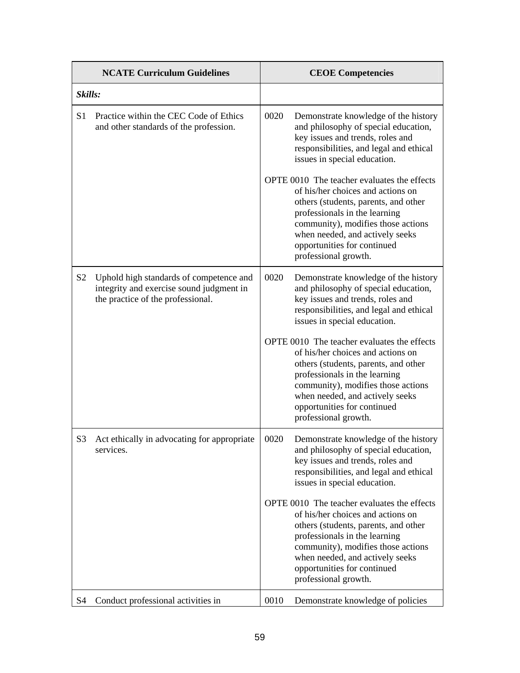| <b>NCATE Curriculum Guidelines</b> |                                                                                                                          |      | <b>CEOE Competencies</b>                                                                                                                                                                                                                                                                  |
|------------------------------------|--------------------------------------------------------------------------------------------------------------------------|------|-------------------------------------------------------------------------------------------------------------------------------------------------------------------------------------------------------------------------------------------------------------------------------------------|
| Skills:                            |                                                                                                                          |      |                                                                                                                                                                                                                                                                                           |
| S <sub>1</sub>                     | Practice within the CEC Code of Ethics<br>and other standards of the profession.                                         | 0020 | Demonstrate knowledge of the history<br>and philosophy of special education,<br>key issues and trends, roles and<br>responsibilities, and legal and ethical<br>issues in special education.                                                                                               |
|                                    |                                                                                                                          |      | OPTE 0010 The teacher evaluates the effects<br>of his/her choices and actions on<br>others (students, parents, and other<br>professionals in the learning<br>community), modifies those actions<br>when needed, and actively seeks<br>opportunities for continued<br>professional growth. |
| S <sub>2</sub>                     | Uphold high standards of competence and<br>integrity and exercise sound judgment in<br>the practice of the professional. | 0020 | Demonstrate knowledge of the history<br>and philosophy of special education,<br>key issues and trends, roles and<br>responsibilities, and legal and ethical<br>issues in special education.                                                                                               |
|                                    |                                                                                                                          |      | OPTE 0010 The teacher evaluates the effects<br>of his/her choices and actions on<br>others (students, parents, and other<br>professionals in the learning<br>community), modifies those actions<br>when needed, and actively seeks<br>opportunities for continued<br>professional growth. |
| S <sub>3</sub>                     | Act ethically in advocating for appropriate<br>services.                                                                 | 0020 | Demonstrate knowledge of the history<br>and philosophy of special education,<br>key issues and trends, roles and<br>responsibilities, and legal and ethical<br>issues in special education.                                                                                               |
|                                    |                                                                                                                          |      | OPTE 0010 The teacher evaluates the effects<br>of his/her choices and actions on<br>others (students, parents, and other<br>professionals in the learning<br>community), modifies those actions<br>when needed, and actively seeks<br>opportunities for continued<br>professional growth. |
| S <sub>4</sub>                     | Conduct professional activities in                                                                                       | 0010 | Demonstrate knowledge of policies                                                                                                                                                                                                                                                         |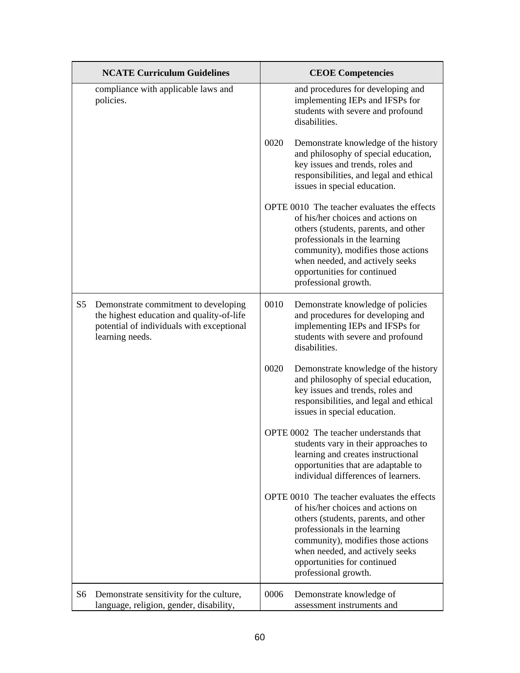|                | <b>NCATE Curriculum Guidelines</b>                                                                                                                |      | <b>CEOE Competencies</b>                                                                                                                                                                                                                                                                  |
|----------------|---------------------------------------------------------------------------------------------------------------------------------------------------|------|-------------------------------------------------------------------------------------------------------------------------------------------------------------------------------------------------------------------------------------------------------------------------------------------|
|                | compliance with applicable laws and<br>policies.                                                                                                  |      | and procedures for developing and<br>implementing IEPs and IFSPs for<br>students with severe and profound<br>disabilities.                                                                                                                                                                |
|                |                                                                                                                                                   | 0020 | Demonstrate knowledge of the history<br>and philosophy of special education,<br>key issues and trends, roles and<br>responsibilities, and legal and ethical<br>issues in special education.                                                                                               |
|                |                                                                                                                                                   |      | OPTE 0010 The teacher evaluates the effects<br>of his/her choices and actions on<br>others (students, parents, and other<br>professionals in the learning<br>community), modifies those actions<br>when needed, and actively seeks<br>opportunities for continued<br>professional growth. |
| S <sub>5</sub> | Demonstrate commitment to developing<br>the highest education and quality-of-life<br>potential of individuals with exceptional<br>learning needs. | 0010 | Demonstrate knowledge of policies<br>and procedures for developing and<br>implementing IEPs and IFSPs for<br>students with severe and profound<br>disabilities.                                                                                                                           |
|                |                                                                                                                                                   | 0020 | Demonstrate knowledge of the history<br>and philosophy of special education,<br>key issues and trends, roles and<br>responsibilities, and legal and ethical<br>issues in special education.                                                                                               |
|                |                                                                                                                                                   |      | OPTE 0002 The teacher understands that<br>students vary in their approaches to<br>learning and creates instructional<br>opportunities that are adaptable to<br>individual differences of learners.                                                                                        |
|                |                                                                                                                                                   |      | OPTE 0010 The teacher evaluates the effects<br>of his/her choices and actions on<br>others (students, parents, and other<br>professionals in the learning<br>community), modifies those actions<br>when needed, and actively seeks<br>opportunities for continued<br>professional growth. |
| S6             | Demonstrate sensitivity for the culture,<br>language, religion, gender, disability,                                                               | 0006 | Demonstrate knowledge of<br>assessment instruments and                                                                                                                                                                                                                                    |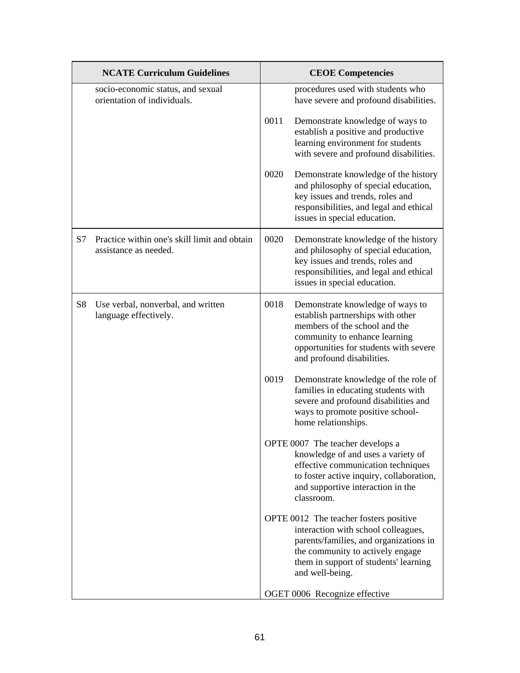|                | <b>NCATE Curriculum Guidelines</b>                                    |      | <b>CEOE Competencies</b>                                                                                                                                                                                                |
|----------------|-----------------------------------------------------------------------|------|-------------------------------------------------------------------------------------------------------------------------------------------------------------------------------------------------------------------------|
|                | socio-economic status, and sexual<br>orientation of individuals.      |      | procedures used with students who<br>have severe and profound disabilities.                                                                                                                                             |
|                |                                                                       | 0011 | Demonstrate knowledge of ways to<br>establish a positive and productive<br>learning environment for students<br>with severe and profound disabilities.                                                                  |
|                |                                                                       | 0020 | Demonstrate knowledge of the history<br>and philosophy of special education,<br>key issues and trends, roles and<br>responsibilities, and legal and ethical<br>issues in special education.                             |
| S7             | Practice within one's skill limit and obtain<br>assistance as needed. | 0020 | Demonstrate knowledge of the history<br>and philosophy of special education,<br>key issues and trends, roles and<br>responsibilities, and legal and ethical<br>issues in special education.                             |
| S <sub>8</sub> | Use verbal, nonverbal, and written<br>language effectively.           | 0018 | Demonstrate knowledge of ways to<br>establish partnerships with other<br>members of the school and the<br>community to enhance learning<br>opportunities for students with severe<br>and profound disabilities.         |
|                |                                                                       | 0019 | Demonstrate knowledge of the role of<br>families in educating students with<br>severe and profound disabilities and<br>ways to promote positive school-<br>home relationships.                                          |
|                |                                                                       |      | OPTE 0007 The teacher develops a<br>knowledge of and uses a variety of<br>effective communication techniques<br>to foster active inquiry, collaboration,<br>and supportive interaction in the<br>classroom.             |
|                |                                                                       |      | OPTE 0012 The teacher fosters positive<br>interaction with school colleagues,<br>parents/families, and organizations in<br>the community to actively engage<br>them in support of students' learning<br>and well-being. |
|                |                                                                       |      | OGET 0006 Recognize effective                                                                                                                                                                                           |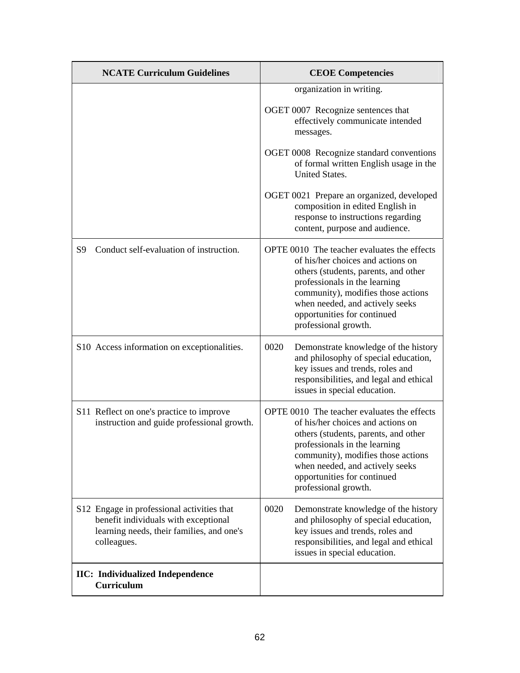| <b>NCATE Curriculum Guidelines</b>                                                                                                             | <b>CEOE Competencies</b>                                                                                                                                                                                                                                                                  |
|------------------------------------------------------------------------------------------------------------------------------------------------|-------------------------------------------------------------------------------------------------------------------------------------------------------------------------------------------------------------------------------------------------------------------------------------------|
|                                                                                                                                                | organization in writing.                                                                                                                                                                                                                                                                  |
|                                                                                                                                                | OGET 0007 Recognize sentences that<br>effectively communicate intended<br>messages.                                                                                                                                                                                                       |
|                                                                                                                                                | OGET 0008 Recognize standard conventions<br>of formal written English usage in the<br><b>United States.</b>                                                                                                                                                                               |
|                                                                                                                                                | OGET 0021 Prepare an organized, developed<br>composition in edited English in<br>response to instructions regarding<br>content, purpose and audience.                                                                                                                                     |
| Conduct self-evaluation of instruction.<br>S <sub>9</sub>                                                                                      | OPTE 0010 The teacher evaluates the effects<br>of his/her choices and actions on<br>others (students, parents, and other<br>professionals in the learning<br>community), modifies those actions<br>when needed, and actively seeks<br>opportunities for continued<br>professional growth. |
| S10 Access information on exceptionalities.                                                                                                    | 0020<br>Demonstrate knowledge of the history<br>and philosophy of special education,<br>key issues and trends, roles and<br>responsibilities, and legal and ethical<br>issues in special education.                                                                                       |
| S11 Reflect on one's practice to improve<br>instruction and guide professional growth.                                                         | OPTE 0010 The teacher evaluates the effects<br>of his/her choices and actions on<br>others (students, parents, and other<br>professionals in the learning<br>community), modifies those actions<br>when needed, and actively seeks<br>opportunities for continued<br>professional growth. |
| S12 Engage in professional activities that<br>benefit individuals with exceptional<br>learning needs, their families, and one's<br>colleagues. | 0020<br>Demonstrate knowledge of the history<br>and philosophy of special education,<br>key issues and trends, roles and<br>responsibilities, and legal and ethical<br>issues in special education.                                                                                       |
| <b>IIC:</b> Individualized Independence<br>Curriculum                                                                                          |                                                                                                                                                                                                                                                                                           |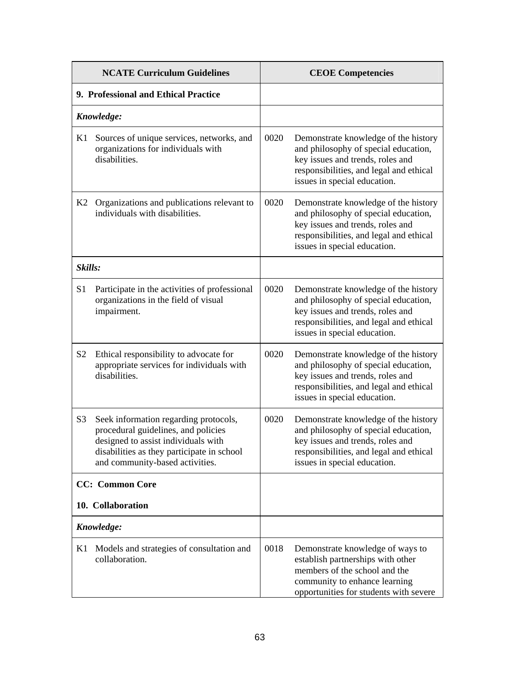|                                      | <b>NCATE Curriculum Guidelines</b>                                                                                                                                                                   |      | <b>CEOE Competencies</b>                                                                                                                                                                    |  |
|--------------------------------------|------------------------------------------------------------------------------------------------------------------------------------------------------------------------------------------------------|------|---------------------------------------------------------------------------------------------------------------------------------------------------------------------------------------------|--|
| 9. Professional and Ethical Practice |                                                                                                                                                                                                      |      |                                                                                                                                                                                             |  |
| Knowledge:                           |                                                                                                                                                                                                      |      |                                                                                                                                                                                             |  |
| K1                                   | Sources of unique services, networks, and<br>organizations for individuals with<br>disabilities.                                                                                                     | 0020 | Demonstrate knowledge of the history<br>and philosophy of special education,<br>key issues and trends, roles and<br>responsibilities, and legal and ethical<br>issues in special education. |  |
| K2                                   | Organizations and publications relevant to<br>individuals with disabilities.                                                                                                                         | 0020 | Demonstrate knowledge of the history<br>and philosophy of special education,<br>key issues and trends, roles and<br>responsibilities, and legal and ethical<br>issues in special education. |  |
| Skills:                              |                                                                                                                                                                                                      |      |                                                                                                                                                                                             |  |
| S <sub>1</sub>                       | Participate in the activities of professional<br>organizations in the field of visual<br>impairment.                                                                                                 | 0020 | Demonstrate knowledge of the history<br>and philosophy of special education,<br>key issues and trends, roles and<br>responsibilities, and legal and ethical<br>issues in special education. |  |
| S <sub>2</sub>                       | Ethical responsibility to advocate for<br>appropriate services for individuals with<br>disabilities.                                                                                                 | 0020 | Demonstrate knowledge of the history<br>and philosophy of special education,<br>key issues and trends, roles and<br>responsibilities, and legal and ethical<br>issues in special education. |  |
| S <sub>3</sub>                       | Seek information regarding protocols,<br>procedural guidelines, and policies<br>designed to assist individuals with<br>disabilities as they participate in school<br>and community-based activities. | 0020 | Demonstrate knowledge of the history<br>and philosophy of special education,<br>key issues and trends, roles and<br>responsibilities, and legal and ethical<br>issues in special education. |  |
|                                      | <b>CC:</b> Common Core                                                                                                                                                                               |      |                                                                                                                                                                                             |  |
|                                      | 10. Collaboration                                                                                                                                                                                    |      |                                                                                                                                                                                             |  |
|                                      | Knowledge:                                                                                                                                                                                           |      |                                                                                                                                                                                             |  |
| K1                                   | Models and strategies of consultation and<br>collaboration.                                                                                                                                          | 0018 | Demonstrate knowledge of ways to<br>establish partnerships with other<br>members of the school and the<br>community to enhance learning<br>opportunities for students with severe           |  |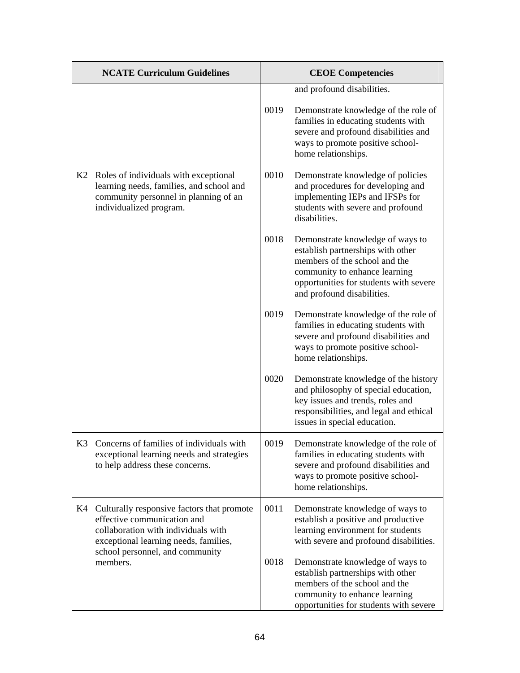| <b>NCATE Curriculum Guidelines</b> |                                                                                                                                                                                              | <b>CEOE Competencies</b> |                                                                                                                                                                                                                 |
|------------------------------------|----------------------------------------------------------------------------------------------------------------------------------------------------------------------------------------------|--------------------------|-----------------------------------------------------------------------------------------------------------------------------------------------------------------------------------------------------------------|
|                                    |                                                                                                                                                                                              |                          | and profound disabilities.                                                                                                                                                                                      |
|                                    |                                                                                                                                                                                              | 0019                     | Demonstrate knowledge of the role of<br>families in educating students with<br>severe and profound disabilities and<br>ways to promote positive school-<br>home relationships.                                  |
|                                    | K2 Roles of individuals with exceptional<br>learning needs, families, and school and<br>community personnel in planning of an<br>individualized program.                                     | 0010                     | Demonstrate knowledge of policies<br>and procedures for developing and<br>implementing IEPs and IFSPs for<br>students with severe and profound<br>disabilities.                                                 |
|                                    |                                                                                                                                                                                              | 0018                     | Demonstrate knowledge of ways to<br>establish partnerships with other<br>members of the school and the<br>community to enhance learning<br>opportunities for students with severe<br>and profound disabilities. |
|                                    |                                                                                                                                                                                              | 0019                     | Demonstrate knowledge of the role of<br>families in educating students with<br>severe and profound disabilities and<br>ways to promote positive school-<br>home relationships.                                  |
|                                    |                                                                                                                                                                                              | 0020                     | Demonstrate knowledge of the history<br>and philosophy of special education,<br>key issues and trends, roles and<br>responsibilities, and legal and ethical<br>issues in special education.                     |
| K <sub>3</sub>                     | Concerns of families of individuals with<br>exceptional learning needs and strategies<br>to help address these concerns.                                                                     | 0019                     | Demonstrate knowledge of the role of<br>families in educating students with<br>severe and profound disabilities and<br>ways to promote positive school-<br>home relationships.                                  |
| K4                                 | Culturally responsive factors that promote<br>effective communication and<br>collaboration with individuals with<br>exceptional learning needs, families,<br>school personnel, and community | 0011                     | Demonstrate knowledge of ways to<br>establish a positive and productive<br>learning environment for students<br>with severe and profound disabilities.                                                          |
|                                    | members.                                                                                                                                                                                     | 0018                     | Demonstrate knowledge of ways to<br>establish partnerships with other<br>members of the school and the<br>community to enhance learning<br>opportunities for students with severe                               |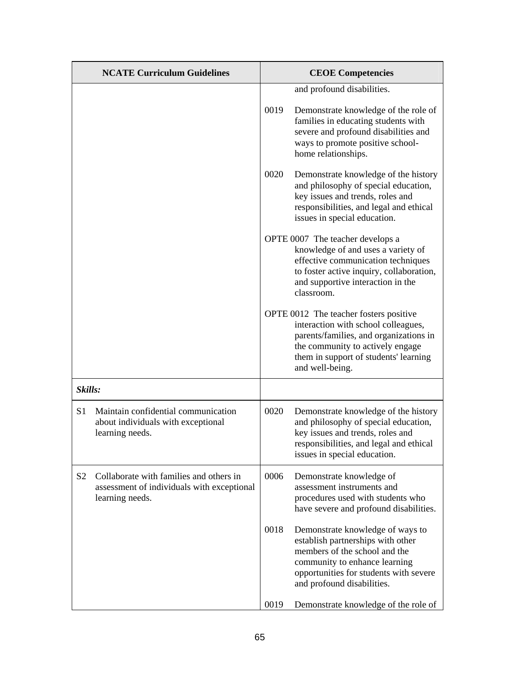|                | <b>NCATE Curriculum Guidelines</b>                                                                       | <b>CEOE</b> Competencies |                                                                                                                                                                                                                         |
|----------------|----------------------------------------------------------------------------------------------------------|--------------------------|-------------------------------------------------------------------------------------------------------------------------------------------------------------------------------------------------------------------------|
|                |                                                                                                          |                          | and profound disabilities.                                                                                                                                                                                              |
|                |                                                                                                          | 0019                     | Demonstrate knowledge of the role of<br>families in educating students with<br>severe and profound disabilities and<br>ways to promote positive school-<br>home relationships.                                          |
|                |                                                                                                          | 0020                     | Demonstrate knowledge of the history<br>and philosophy of special education,<br>key issues and trends, roles and<br>responsibilities, and legal and ethical<br>issues in special education.                             |
|                |                                                                                                          |                          | OPTE 0007 The teacher develops a<br>knowledge of and uses a variety of<br>effective communication techniques<br>to foster active inquiry, collaboration,<br>and supportive interaction in the<br>classroom.             |
|                |                                                                                                          |                          | OPTE 0012 The teacher fosters positive<br>interaction with school colleagues,<br>parents/families, and organizations in<br>the community to actively engage<br>them in support of students' learning<br>and well-being. |
| Skills:        |                                                                                                          |                          |                                                                                                                                                                                                                         |
| S <sub>1</sub> | Maintain confidential communication<br>about individuals with exceptional<br>learning needs.             | 0020                     | Demonstrate knowledge of the history<br>and philosophy of special education,<br>key issues and trends, roles and<br>responsibilities, and legal and ethical<br>issues in special education.                             |
| S <sub>2</sub> | Collaborate with families and others in<br>assessment of individuals with exceptional<br>learning needs. | 0006                     | Demonstrate knowledge of<br>assessment instruments and<br>procedures used with students who<br>have severe and profound disabilities.                                                                                   |
|                |                                                                                                          | 0018                     | Demonstrate knowledge of ways to<br>establish partnerships with other<br>members of the school and the<br>community to enhance learning<br>opportunities for students with severe<br>and profound disabilities.         |
|                |                                                                                                          | 0019                     | Demonstrate knowledge of the role of                                                                                                                                                                                    |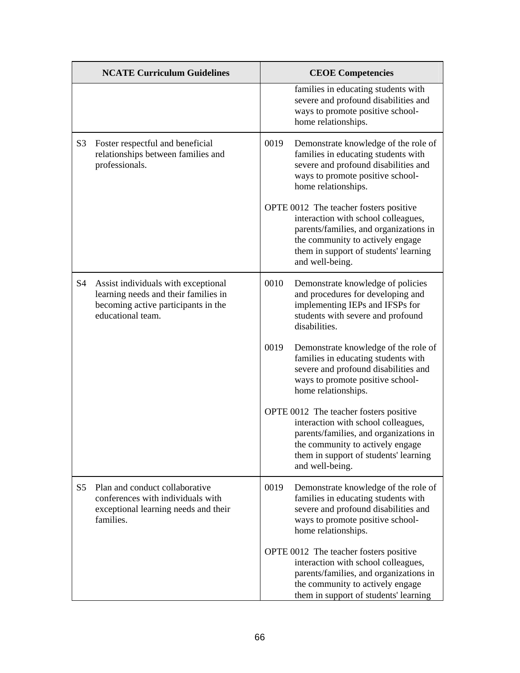|                | <b>NCATE Curriculum Guidelines</b>                                                                                                      |      | <b>CEOE Competencies</b>                                                                                                                                                                                                |
|----------------|-----------------------------------------------------------------------------------------------------------------------------------------|------|-------------------------------------------------------------------------------------------------------------------------------------------------------------------------------------------------------------------------|
|                |                                                                                                                                         |      | families in educating students with<br>severe and profound disabilities and<br>ways to promote positive school-<br>home relationships.                                                                                  |
| S <sub>3</sub> | Foster respectful and beneficial<br>relationships between families and<br>professionals.                                                | 0019 | Demonstrate knowledge of the role of<br>families in educating students with<br>severe and profound disabilities and<br>ways to promote positive school-<br>home relationships.                                          |
|                |                                                                                                                                         |      | OPTE 0012 The teacher fosters positive<br>interaction with school colleagues,<br>parents/families, and organizations in<br>the community to actively engage<br>them in support of students' learning<br>and well-being. |
| S4             | Assist individuals with exceptional<br>learning needs and their families in<br>becoming active participants in the<br>educational team. | 0010 | Demonstrate knowledge of policies<br>and procedures for developing and<br>implementing IEPs and IFSPs for<br>students with severe and profound<br>disabilities.                                                         |
|                |                                                                                                                                         | 0019 | Demonstrate knowledge of the role of<br>families in educating students with<br>severe and profound disabilities and<br>ways to promote positive school-<br>home relationships.                                          |
|                |                                                                                                                                         |      | OPTE 0012 The teacher fosters positive<br>interaction with school colleagues,<br>parents/families, and organizations in<br>the community to actively engage<br>them in support of students' learning<br>and well-being. |
| S <sub>5</sub> | Plan and conduct collaborative<br>conferences with individuals with<br>exceptional learning needs and their<br>families.                | 0019 | Demonstrate knowledge of the role of<br>families in educating students with<br>severe and profound disabilities and<br>ways to promote positive school-<br>home relationships.                                          |
|                |                                                                                                                                         |      | OPTE 0012 The teacher fosters positive<br>interaction with school colleagues,<br>parents/families, and organizations in<br>the community to actively engage<br>them in support of students' learning                    |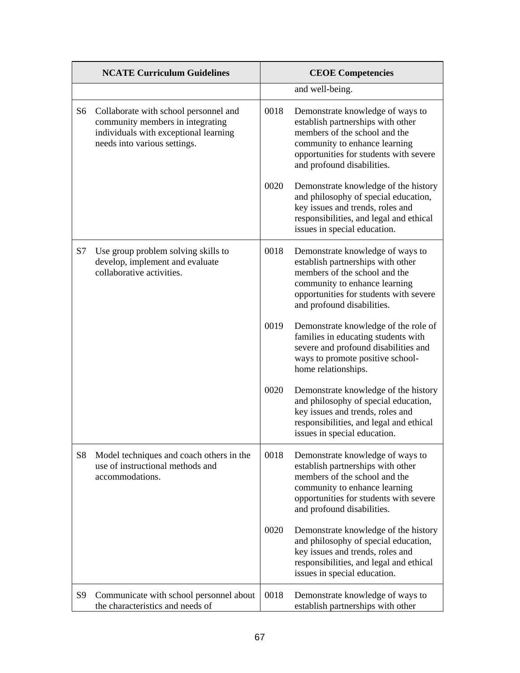|                | <b>NCATE Curriculum Guidelines</b>                                                                                                                 | <b>CEOE</b> Competencies |                                                                                                                                                                                                                 |
|----------------|----------------------------------------------------------------------------------------------------------------------------------------------------|--------------------------|-----------------------------------------------------------------------------------------------------------------------------------------------------------------------------------------------------------------|
|                |                                                                                                                                                    |                          | and well-being.                                                                                                                                                                                                 |
| S <sub>6</sub> | Collaborate with school personnel and<br>community members in integrating<br>individuals with exceptional learning<br>needs into various settings. | 0018                     | Demonstrate knowledge of ways to<br>establish partnerships with other<br>members of the school and the<br>community to enhance learning<br>opportunities for students with severe<br>and profound disabilities. |
|                |                                                                                                                                                    | 0020                     | Demonstrate knowledge of the history<br>and philosophy of special education,<br>key issues and trends, roles and<br>responsibilities, and legal and ethical<br>issues in special education.                     |
| S7             | Use group problem solving skills to<br>develop, implement and evaluate<br>collaborative activities.                                                | 0018                     | Demonstrate knowledge of ways to<br>establish partnerships with other<br>members of the school and the<br>community to enhance learning<br>opportunities for students with severe<br>and profound disabilities. |
|                |                                                                                                                                                    | 0019                     | Demonstrate knowledge of the role of<br>families in educating students with<br>severe and profound disabilities and<br>ways to promote positive school-<br>home relationships.                                  |
|                |                                                                                                                                                    | 0020                     | Demonstrate knowledge of the history<br>and philosophy of special education,<br>key issues and trends, roles and<br>responsibilities, and legal and ethical<br>issues in special education.                     |
| <b>S8</b>      | Model techniques and coach others in the<br>use of instructional methods and<br>accommodations.                                                    | 0018                     | Demonstrate knowledge of ways to<br>establish partnerships with other<br>members of the school and the<br>community to enhance learning<br>opportunities for students with severe<br>and profound disabilities. |
|                |                                                                                                                                                    | 0020                     | Demonstrate knowledge of the history<br>and philosophy of special education,<br>key issues and trends, roles and<br>responsibilities, and legal and ethical<br>issues in special education.                     |
| S9             | Communicate with school personnel about<br>the characteristics and needs of                                                                        | 0018                     | Demonstrate knowledge of ways to<br>establish partnerships with other                                                                                                                                           |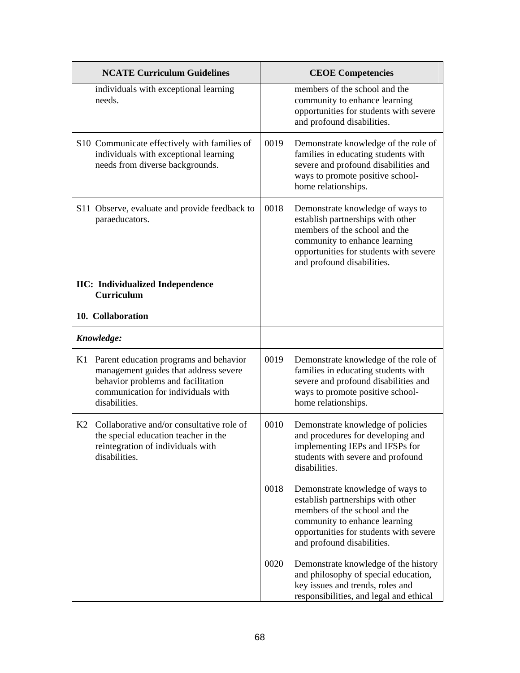|    | <b>NCATE Curriculum Guidelines</b>                                                                                                                                           | <b>CEOE Competencies</b> |                                                                                                                                                                                                                 |
|----|------------------------------------------------------------------------------------------------------------------------------------------------------------------------------|--------------------------|-----------------------------------------------------------------------------------------------------------------------------------------------------------------------------------------------------------------|
|    | individuals with exceptional learning<br>needs.                                                                                                                              |                          | members of the school and the<br>community to enhance learning<br>opportunities for students with severe<br>and profound disabilities.                                                                          |
|    | S10 Communicate effectively with families of<br>individuals with exceptional learning<br>needs from diverse backgrounds.                                                     | 0019                     | Demonstrate knowledge of the role of<br>families in educating students with<br>severe and profound disabilities and<br>ways to promote positive school-<br>home relationships.                                  |
|    | S11 Observe, evaluate and provide feedback to<br>paraeducators.                                                                                                              | 0018                     | Demonstrate knowledge of ways to<br>establish partnerships with other<br>members of the school and the<br>community to enhance learning<br>opportunities for students with severe<br>and profound disabilities. |
|    | <b>IIC:</b> Individualized Independence<br><b>Curriculum</b>                                                                                                                 |                          |                                                                                                                                                                                                                 |
|    | 10. Collaboration                                                                                                                                                            |                          |                                                                                                                                                                                                                 |
|    | Knowledge:                                                                                                                                                                   |                          |                                                                                                                                                                                                                 |
| K1 | Parent education programs and behavior<br>management guides that address severe<br>behavior problems and facilitation<br>communication for individuals with<br>disabilities. | 0019                     | Demonstrate knowledge of the role of<br>families in educating students with<br>severe and profound disabilities and<br>ways to promote positive school-<br>home relationships.                                  |
| K2 | Collaborative and/or consultative role of<br>the special education teacher in the<br>reintegration of individuals with<br>disabilities.                                      | 0010                     | Demonstrate knowledge of policies<br>and procedures for developing and<br>implementing IEPs and IFSPs for<br>students with severe and profound<br>disabilities.                                                 |
|    |                                                                                                                                                                              | 0018                     | Demonstrate knowledge of ways to<br>establish partnerships with other<br>members of the school and the<br>community to enhance learning<br>opportunities for students with severe<br>and profound disabilities. |
|    |                                                                                                                                                                              | 0020                     | Demonstrate knowledge of the history<br>and philosophy of special education,<br>key issues and trends, roles and<br>responsibilities, and legal and ethical                                                     |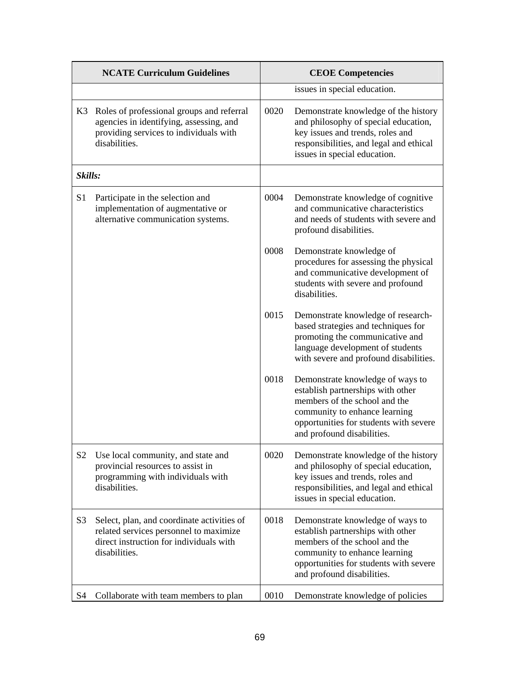|                | <b>NCATE Curriculum Guidelines</b>                                                                                                               |      | <b>CEOE Competencies</b>                                                                                                                                                                                        |  |
|----------------|--------------------------------------------------------------------------------------------------------------------------------------------------|------|-----------------------------------------------------------------------------------------------------------------------------------------------------------------------------------------------------------------|--|
|                |                                                                                                                                                  |      | issues in special education.                                                                                                                                                                                    |  |
| K3             | Roles of professional groups and referral<br>agencies in identifying, assessing, and<br>providing services to individuals with<br>disabilities.  | 0020 | Demonstrate knowledge of the history<br>and philosophy of special education,<br>key issues and trends, roles and<br>responsibilities, and legal and ethical<br>issues in special education.                     |  |
| Skills:        |                                                                                                                                                  |      |                                                                                                                                                                                                                 |  |
| S <sub>1</sub> | Participate in the selection and<br>implementation of augmentative or<br>alternative communication systems.                                      | 0004 | Demonstrate knowledge of cognitive<br>and communicative characteristics<br>and needs of students with severe and<br>profound disabilities.                                                                      |  |
|                |                                                                                                                                                  | 0008 | Demonstrate knowledge of<br>procedures for assessing the physical<br>and communicative development of<br>students with severe and profound<br>disabilities.                                                     |  |
|                |                                                                                                                                                  | 0015 | Demonstrate knowledge of research-<br>based strategies and techniques for<br>promoting the communicative and<br>language development of students<br>with severe and profound disabilities.                      |  |
|                |                                                                                                                                                  | 0018 | Demonstrate knowledge of ways to<br>establish partnerships with other<br>members of the school and the<br>community to enhance learning<br>opportunities for students with severe<br>and profound disabilities. |  |
| S <sub>2</sub> | Use local community, and state and<br>provincial resources to assist in<br>programming with individuals with<br>disabilities.                    | 0020 | Demonstrate knowledge of the history<br>and philosophy of special education,<br>key issues and trends, roles and<br>responsibilities, and legal and ethical<br>issues in special education.                     |  |
| S <sub>3</sub> | Select, plan, and coordinate activities of<br>related services personnel to maximize<br>direct instruction for individuals with<br>disabilities. | 0018 | Demonstrate knowledge of ways to<br>establish partnerships with other<br>members of the school and the<br>community to enhance learning<br>opportunities for students with severe<br>and profound disabilities. |  |
| S <sub>4</sub> | Collaborate with team members to plan                                                                                                            | 0010 | Demonstrate knowledge of policies                                                                                                                                                                               |  |